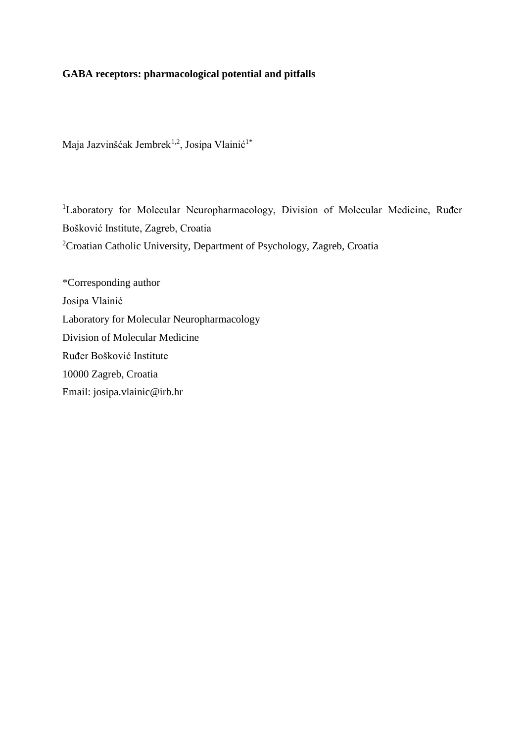# **GABA receptors: pharmacological potential and pitfalls**

Maja Jazvinšćak Jembrek<sup>1,2</sup>, Josipa Vlainić<sup>1\*</sup>

<sup>1</sup>Laboratory for Molecular Neuropharmacology, Division of Molecular Medicine, Ruđer Bošković Institute, Zagreb, Croatia <sup>2</sup>Croatian Catholic University, Department of Psychology, Zagreb, Croatia

\*Corresponding author Josipa Vlainić Laboratory for Molecular Neuropharmacology Division of Molecular Medicine Ruđer Bošković Institute 10000 Zagreb, Croatia Email: josipa.vlainic@irb.hr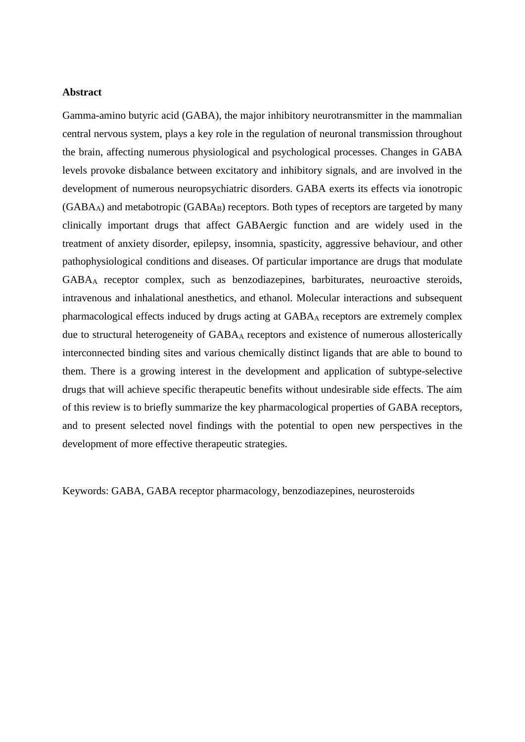# **Abstract**

Gamma-amino butyric acid (GABA), the major inhibitory neurotransmitter in the mammalian central nervous system, plays a key role in the regulation of neuronal transmission throughout the brain, affecting numerous physiological and psychological processes. Changes in GABA levels provoke disbalance between excitatory and inhibitory signals, and are involved in the development of numerous neuropsychiatric disorders. GABA exerts its effects via ionotropic  $(GABA_A)$  and metabotropic  $(GABA_B)$  receptors. Both types of receptors are targeted by many clinically important drugs that affect GABAergic function and are widely used in the treatment of anxiety disorder, epilepsy, insomnia, spasticity, aggressive behaviour, and other pathophysiological conditions and diseases. Of particular importance are drugs that modulate GABA<sup>A</sup> receptor complex, such as benzodiazepines, barbiturates, neuroactive steroids, intravenous and inhalational anesthetics, and ethanol. Molecular interactions and subsequent pharmacological effects induced by drugs acting at GABA<sup>A</sup> receptors are extremely complex due to structural heterogeneity of GABA<sup>A</sup> receptors and existence of numerous allosterically interconnected binding sites and various chemically distinct ligands that are able to bound to them. There is a growing interest in the development and application of subtype-selective drugs that will achieve specific therapeutic benefits without undesirable side effects. The aim of this review is to briefly summarize the key pharmacological properties of GABA receptors, and to present selected novel findings with the potential to open new perspectives in the development of more effective therapeutic strategies.

Keywords: GABA, GABA receptor pharmacology, benzodiazepines, neurosteroids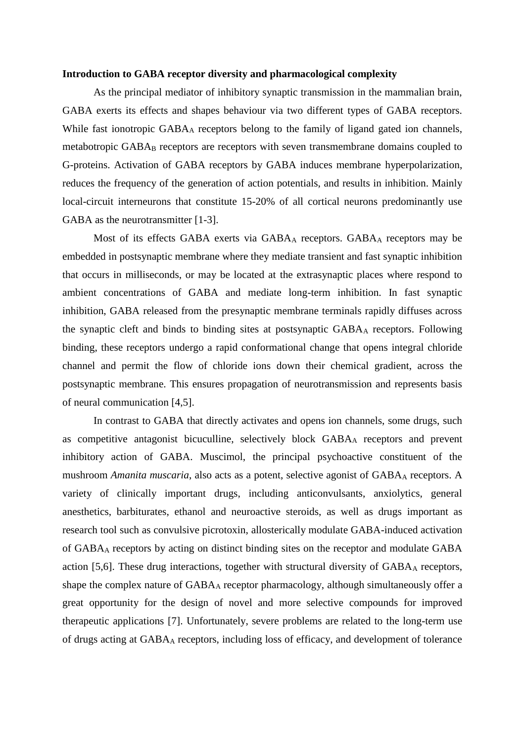#### **Introduction to GABA receptor diversity and pharmacological complexity**

As the principal mediator of inhibitory synaptic transmission in the mammalian brain, GABA exerts its effects and shapes behaviour via two different types of GABA receptors. While fast ionotropic GABA<sub>A</sub> receptors belong to the family of ligand gated ion channels, metabotropic GABA<sub>B</sub> receptors are receptors with seven transmembrane domains coupled to G-proteins. Activation of GABA receptors by GABA induces membrane hyperpolarization, reduces the frequency of the generation of action potentials, and results in inhibition. Mainly local-circuit interneurons that constitute 15-20% of all cortical neurons predominantly use GABA as the neurotransmitter [1-3].

Most of its effects GABA exerts via GABA<sub>A</sub> receptors. GABA<sub>A</sub> receptors may be embedded in postsynaptic membrane where they mediate transient and fast synaptic inhibition that occurs in milliseconds, or may be located at the extrasynaptic places where respond to ambient concentrations of GABA and mediate long-term inhibition. In fast synaptic inhibition, GABA released from the presynaptic membrane terminals rapidly diffuses across the synaptic cleft and binds to binding sites at postsynaptic GABA<sup>A</sup> receptors. Following binding, these receptors undergo a rapid conformational change that opens integral chloride channel and permit the flow of chloride ions down their chemical gradient, across the postsynaptic membrane. This ensures propagation of neurotransmission and represents basis of neural communication [4,5].

In contrast to GABA that directly activates and opens ion channels, some drugs, such as competitive antagonist bicuculline, selectively block GABA<sup>A</sup> receptors and prevent inhibitory action of GABA. Muscimol, the principal psychoactive constituent of the mushroom *Amanita muscaria*, also acts as a potent, selective agonist of GABA<sub>A</sub> receptors. A variety of clinically important drugs, including anticonvulsants, anxiolytics, general anesthetics, barbiturates, ethanol and neuroactive steroids, as well as drugs important as research tool such as convulsive picrotoxin, allosterically modulate GABA-induced activation of GABA<sup>A</sup> receptors by acting on distinct binding sites on the receptor and modulate GABA action [5,6]. These drug interactions, together with structural diversity of  $GABA<sub>A</sub>$  receptors, shape the complex nature of GABA<sub>A</sub> receptor pharmacology, although simultaneously offer a great opportunity for the design of novel and more selective compounds for improved therapeutic applications [7]. Unfortunately, severe problems are related to the long-term use of drugs acting at GABA<sup>A</sup> receptors, including loss of efficacy, and development of tolerance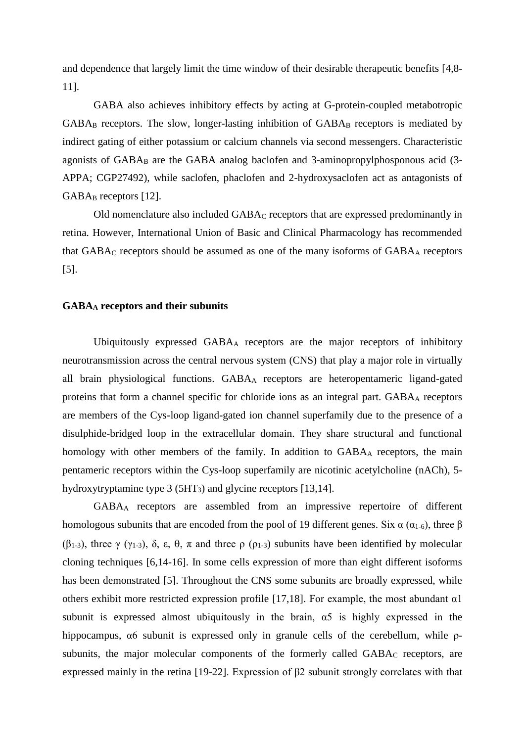and dependence that largely limit the time window of their desirable therapeutic benefits [4,8- 11].

GABA also achieves inhibitory effects by acting at G-protein-coupled metabotropic GABA<sub>B</sub> receptors. The slow, longer-lasting inhibition of GABA<sub>B</sub> receptors is mediated by indirect gating of either potassium or calcium channels via second messengers. Characteristic agonists of  $GABA_B$  are the  $GABA$  analog baclofen and 3-aminopropylphosponous acid (3-APPA; CGP27492), while saclofen, phaclofen and 2-hydroxysaclofen act as antagonists of GABA<sub>B</sub> receptors [12].

Old nomenclature also included GABA<sup>C</sup> receptors that are expressed predominantly in retina. However, International Union of Basic and Clinical Pharmacology has recommended that  $GABA_C$  receptors should be assumed as one of the many isoforms of  $GABA_A$  receptors [5].

# **GABA<sup>A</sup> receptors and their subunits**

Ubiquitously expressed GABA<sup>A</sup> receptors are the major receptors of inhibitory neurotransmission across the central nervous system (CNS) that play a major role in virtually all brain physiological functions. GABA<sup>A</sup> receptors are heteropentameric ligand-gated proteins that form a channel specific for chloride ions as an integral part. GABA<sup>A</sup> receptors are members of the Cys-loop ligand-gated ion channel superfamily due to the presence of a disulphide-bridged loop in the extracellular domain. They share structural and functional homology with other members of the family. In addition to GABA<sub>A</sub> receptors, the main pentameric receptors within the Cys-loop superfamily are nicotinic acetylcholine (nACh), 5 hydroxytryptamine type 3 (5HT<sub>3</sub>) and glycine receptors [13,14].

GABA<sup>A</sup> receptors are assembled from an impressive repertoire of different homologous subunits that are encoded from the pool of 19 different genes. Six  $\alpha$  ( $\alpha$ <sub>1-6</sub>), three  $\beta$ ( $\beta$ <sub>1-3</sub>), three γ (γ<sub>1-3</sub>), δ, ε, θ, π and three ρ (ρ<sub>1-3</sub>) subunits have been identified by molecular cloning techniques [6,14-16]. In some cells expression of more than eight different isoforms has been demonstrated [5]. Throughout the CNS some subunits are broadly expressed, while others exhibit more restricted expression profile [17,18]. For example, the most abundant  $\alpha$ 1 subunit is expressed almost ubiquitously in the brain,  $\alpha$ 5 is highly expressed in the hippocampus,  $\alpha$ 6 subunit is expressed only in granule cells of the cerebellum, while  $\rho$ subunits, the major molecular components of the formerly called GABA<sub>C</sub> receptors, are expressed mainly in the retina [19-22]. Expression of β2 subunit strongly correlates with that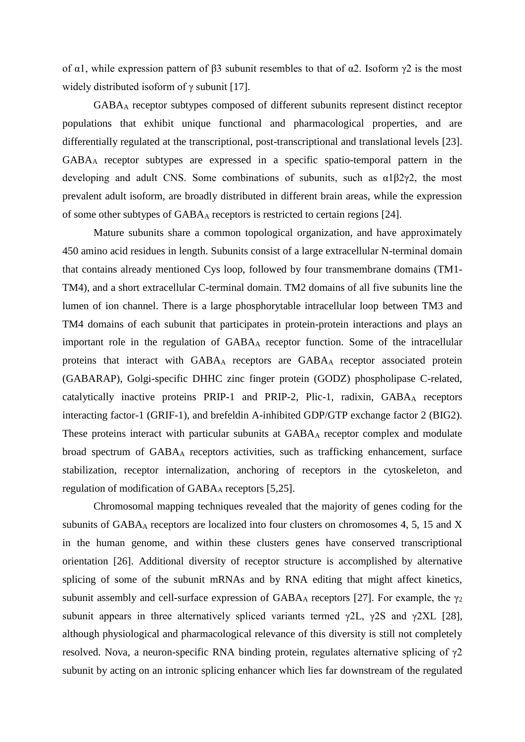of  $\alpha$ 1, while expression pattern of  $\beta$ 3 subunit resembles to that of  $\alpha$ 2. Isoform  $\gamma$ 2 is the most widely distributed isoform of  $\gamma$  subunit [17].

GABA<sup>A</sup> receptor subtypes composed of different subunits represent distinct receptor populations that exhibit unique functional and pharmacological properties, and are differentially regulated at the transcriptional, post-transcriptional and translational levels [23]. GABA<sup>A</sup> receptor subtypes are expressed in a specific spatio-temporal pattern in the developing and adult CNS. Some combinations of subunits, such as α1β2γ2, the most prevalent adult isoform, are broadly distributed in different brain areas, while the expression of some other subtypes of GABA<sup>A</sup> receptors is restricted to certain regions [24].

Mature subunits share a common topological organization, and have approximately 450 amino acid residues in length. Subunits consist of a large extracellular N-terminal domain that contains already mentioned Cys loop, followed by four transmembrane domains (TM1- TM4), and a short extracellular C-terminal domain. TM2 domains of all five subunits line the lumen of ion channel. There is a large phosphorytable intracellular loop between TM3 and TM4 domains of each subunit that participates in protein-protein interactions and plays an important role in the regulation of GABA<sup>A</sup> receptor function. Some of the intracellular proteins that interact with GABA<sup>A</sup> receptors are GABA<sup>A</sup> receptor associated protein (GABARAP), Golgi-specific DHHC zinc finger protein (GODZ) phospholipase C-related, catalytically inactive proteins PRIP-1 and PRIP-2, Plic-1, radixin,  $GABA<sub>A</sub>$  receptors interacting factor-1 (GRIF-1), and brefeldin A-inhibited GDP/GTP exchange factor 2 (BIG2). These proteins interact with particular subunits at GABAA receptor complex and modulate broad spectrum of GABA<sup>A</sup> receptors activities, such as trafficking enhancement, surface stabilization, receptor internalization, anchoring of receptors in the cytoskeleton, and regulation of modification of GABA<sub>A</sub> receptors [5,25].

Chromosomal mapping techniques revealed that the majority of genes coding for the subunits of GABA<sup>A</sup> receptors are localized into four clusters on chromosomes 4, 5, 15 and X in the human genome, and within these clusters genes have conserved transcriptional orientation [26]. Additional diversity of receptor structure is accomplished by alternative splicing of some of the subunit mRNAs and by RNA editing that might affect kinetics, subunit assembly and cell-surface expression of GABA<sub>A</sub> receptors [27]. For example, the  $\gamma_2$ subunit appears in three alternatively spliced variants termed  $\gamma$ 2L,  $\gamma$ 2S and  $\gamma$ 2XL [28], although physiological and pharmacological relevance of this diversity is still not completely resolved. Nova, a neuron-specific RNA binding protein, regulates alternative splicing of  $\gamma$ 2 subunit by acting on an intronic splicing enhancer which lies far downstream of the regulated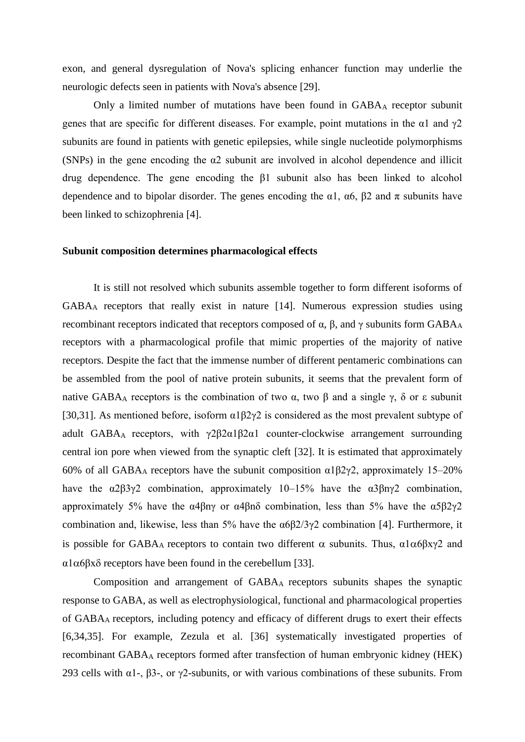exon, and general dysregulation of Nova's splicing enhancer function may underlie the neurologic defects seen in patients with Nova's absence [29].

Only a limited number of mutations have been found in GABA<sup>A</sup> receptor subunit genes that are specific for different diseases. For example, point mutations in the  $\alpha$ 1 and  $\gamma$ 2 subunits are found in patients with genetic epilepsies, while single nucleotide polymorphisms (SNPs) in the gene encoding the  $\alpha$ 2 subunit are involved in alcohol dependence and illicit drug dependence. The gene encoding the β1 subunit also has been linked to alcohol dependence and to bipolar disorder. The genes encoding the  $\alpha$ 1,  $\alpha$ 6,  $\beta$ 2 and  $\pi$  subunits have been linked to schizophrenia [4].

### **Subunit composition determines pharmacological effects**

It is still not resolved which subunits assemble together to form different isoforms of GABA<sup>A</sup> receptors that really exist in nature [14]. Numerous expression studies using recombinant receptors indicated that receptors composed of  $\alpha$ ,  $\beta$ , and γ subunits form GABA<sub>A</sub> receptors with a pharmacological profile that mimic properties of the majority of native receptors. Despite the fact that the immense number of different pentameric combinations can be assembled from the pool of native protein subunits, it seems that the prevalent form of native GABA<sub>A</sub> receptors is the combination of two  $\alpha$ , two β and a single γ, δ or ε subunit [30,31]. As mentioned before, isoform  $\alpha$ 1 $\beta$ 2 $\gamma$ 2 is considered as the most prevalent subtype of adult GABAA receptors, with γ2β2α1β2α1 counter-clockwise arrangement surrounding central ion pore when viewed from the synaptic cleft [32]. It is estimated that approximately 60% of all GABA<sub>A</sub> receptors have the subunit composition  $\alpha$ 1 $\beta$ 2 $\gamma$ 2, approximately 15–20% have the  $\alpha$ 2β3γ2 combination, approximately 10–15% have the  $\alpha$ 3βnγ2 combination, approximately 5% have the  $\alpha$ 4βnγ or  $\alpha$ 4βnδ combination, less than 5% have the  $\alpha$ 5β2γ2 combination and, likewise, less than 5% have the  $\alpha 6\beta 2/3\gamma 2$  combination [4]. Furthermore, it is possible for GABA<sub>A</sub> receptors to contain two different  $\alpha$  subunits. Thus, α1α6βxγ2 and  $α1α6βxδ$  receptors have been found in the cerebellum [33].

Composition and arrangement of GABAA receptors subunits shapes the synaptic response to GABA, as well as electrophysiological, functional and pharmacological properties of GABAA receptors, including potency and efficacy of different drugs to exert their effects [6,34,35]. For example, Zezula et al. [36] systematically investigated properties of recombinant GABA<sup>A</sup> receptors formed after transfection of human embryonic kidney (HEK) 293 cells with  $\alpha$ 1-,  $\beta$ 3-, or γ2-subunits, or with various combinations of these subunits. From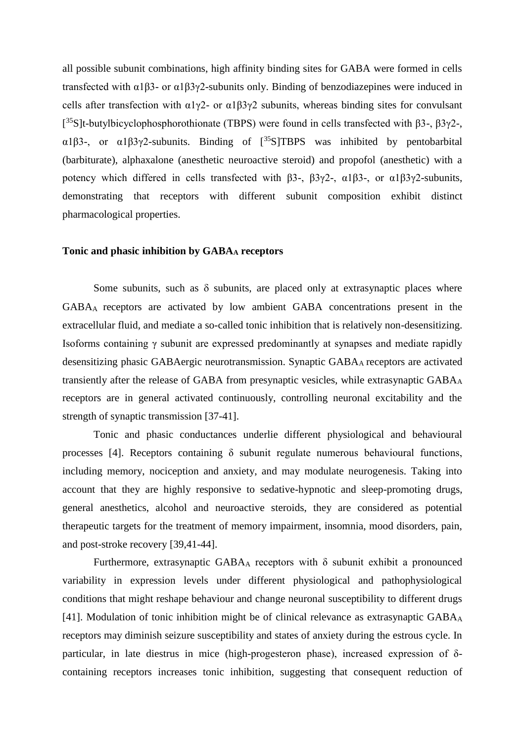all possible subunit combinations, high affinity binding sites for GABA were formed in cells transfected with  $\alpha$ 1β3- or  $\alpha$ 1β3γ2-subunits only. Binding of benzodiazepines were induced in cells after transfection with  $\alpha$ 1γ2- or  $\alpha$ 1β3γ2 subunits, whereas binding sites for convulsant [<sup>35</sup>S]t-butylbicyclophosphorothionate (TBPS) were found in cells transfected with β3-, β3γ2-,  $\alpha$ 1β3-, or  $\alpha$ 1β3γ2-subunits. Binding of [<sup>35</sup>S]TBPS was inhibited by pentobarbital (barbiturate), alphaxalone (anesthetic neuroactive steroid) and propofol (anesthetic) with a potency which differed in cells transfected with β3-, β3γ2-,  $\alpha$ 1β3-, or  $\alpha$ 1β3γ2-subunits, demonstrating that receptors with different subunit composition exhibit distinct pharmacological properties.

#### **Tonic and phasic inhibition by GABA<sup>A</sup> receptors**

Some subunits, such as  $\delta$  subunits, are placed only at extrasynaptic places where GABAA receptors are activated by low ambient GABA concentrations present in the extracellular fluid, and mediate a so-called tonic inhibition that is relatively non-desensitizing. Isoforms containing γ subunit are expressed predominantly at synapses and mediate rapidly desensitizing phasic GABAergic neurotransmission. Synaptic GABAA receptors are activated transiently after the release of GABA from presynaptic vesicles, while extrasynaptic GABA<sup>A</sup> receptors are in general activated continuously, controlling neuronal excitability and the strength of synaptic transmission [37-41].

Tonic and phasic conductances underlie different physiological and behavioural processes [4]. Receptors containing  $\delta$  subunit regulate numerous behavioural functions, including memory, nociception and anxiety, and may modulate neurogenesis. Taking into account that they are highly responsive to sedative-hypnotic and sleep-promoting drugs, general anesthetics, alcohol and neuroactive steroids, they are considered as potential therapeutic targets for the treatment of memory impairment, insomnia, mood disorders, pain, and post-stroke recovery [39,41-44].

Furthermore, extrasynaptic GABA<sub>A</sub> receptors with  $\delta$  subunit exhibit a pronounced variability in expression levels under different physiological and pathophysiological conditions that might reshape behaviour and change neuronal susceptibility to different drugs [41]. Modulation of tonic inhibition might be of clinical relevance as extrasynaptic GABA<sub>A</sub> receptors may diminish seizure susceptibility and states of anxiety during the estrous cycle. In particular, in late diestrus in mice (high-progesteron phase), increased expression of δcontaining receptors increases tonic inhibition, suggesting that consequent reduction of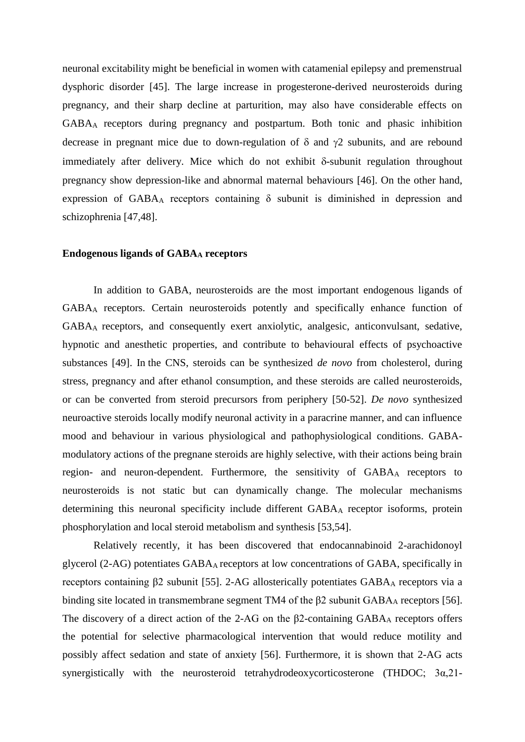neuronal excitability might be beneficial in women with catamenial epilepsy and premenstrual dysphoric disorder [45]. The large increase in progesterone-derived neurosteroids during pregnancy, and their sharp decline at parturition, may also have considerable effects on GABA<sup>A</sup> receptors during pregnancy and postpartum. Both tonic and phasic inhibition decrease in pregnant mice due to down-regulation of  $\delta$  and  $\gamma$ 2 subunits, and are rebound immediately after delivery. Mice which do not exhibit  $\delta$ -subunit regulation throughout pregnancy show depression-like and abnormal maternal behaviours [46]. On the other hand, expression of GABA<sub>A</sub> receptors containing  $\delta$  subunit is diminished in depression and schizophrenia [47,48].

#### **Endogenous ligands of GABA<sup>A</sup> receptors**

In addition to GABA, neurosteroids are the most important endogenous ligands of GABA<sup>A</sup> receptors. Certain neurosteroids potently and specifically enhance function of GABAA receptors, and consequently exert anxiolytic, analgesic, anticonvulsant, sedative, hypnotic and anesthetic properties, and contribute to behavioural effects of psychoactive substances [49]. In the CNS, steroids can be synthesized *de novo* from [cholesterol,](javascript:void(0);) during stress, pregnancy and after ethanol consumption, and these steroids are called neurosteroids, or can be converted from steroid precursors from periphery [50-52]. *De novo* synthesized neuroactive steroids locally modify neuronal activity in a paracrine manner, and can influence mood and behaviour in various physiological and pathophysiological conditions. GABAmodulatory actions of the pregnane steroids are highly selective, with their actions being brain region- and neuron-dependent. Furthermore, the sensitivity of GABA<sup>A</sup> receptors to neurosteroids is not static but can dynamically change. The molecular mechanisms determining this neuronal specificity include different GABA<sup>A</sup> receptor isoforms, protein phosphorylation and local steroid metabolism and synthesis [53,54].

Relatively recently, it has been discovered that endocannabinoid 2-arachidonoyl glycerol (2-AG) potentiates GABAA receptors at low concentrations of GABA, specifically in receptors containing β2 subunit [55]. 2-AG allosterically potentiates GABA<sup>A</sup> receptors via a binding site located in transmembrane segment TM4 of the β2 subunit GABA<sup>A</sup> receptors [56]. The discovery of a direct action of the 2-AG on the  $\beta$ 2-containing GABA<sub>A</sub> receptors offers the potential for selective pharmacological intervention that would reduce motility and possibly affect sedation and state of anxiety [56]. Furthermore, it is shown that 2-AG acts synergistically with the neurosteroid tetrahydrodeoxycorticosterone (THDOC; 3α,21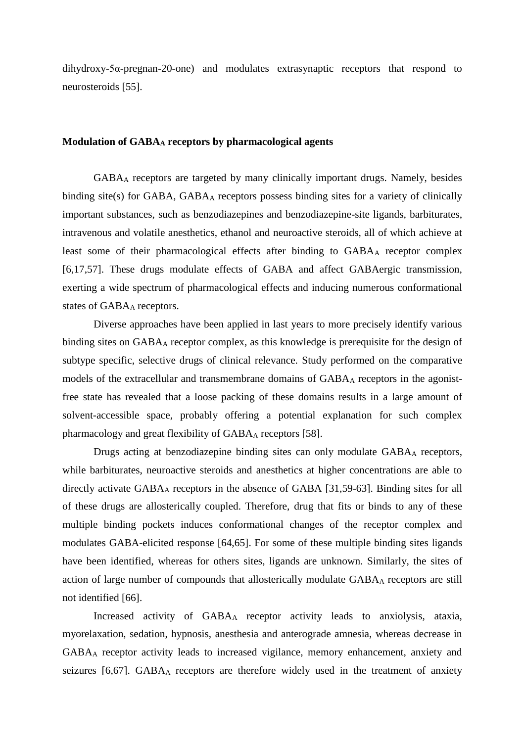dihydroxy-5α-pregnan-20-one) and modulates extrasynaptic receptors that respond to neurosteroids [55].

# **Modulation of GABA<sup>A</sup> receptors by pharmacological agents**

GABA<sup>A</sup> receptors are targeted by many clinically important drugs. Namely, besides binding site(s) for GABA, GABA<sub>A</sub> receptors possess binding sites for a variety of clinically important substances, such as benzodiazepines and benzodiazepine-site ligands, barbiturates, intravenous and volatile anesthetics, ethanol and neuroactive steroids, all of which achieve at least some of their pharmacological effects after binding to GABA<sub>A</sub> receptor complex [6,17,57]. These drugs modulate effects of GABA and affect GABAergic transmission, exerting a wide spectrum of pharmacological effects and inducing numerous conformational states of GABAA receptors.

Diverse approaches have been applied in last years to more precisely identify various binding sites on GABA<sup>A</sup> receptor complex, as this knowledge is prerequisite for the design of subtype specific, selective drugs of clinical relevance. Study performed on the comparative models of the extracellular and transmembrane domains of GABA<sup>A</sup> receptors in the agonistfree state has revealed that a loose packing of these domains results in a large amount of solvent-accessible space, probably offering a potential explanation for such complex pharmacology and great flexibility of GABAA receptors [58].

Drugs acting at benzodiazepine binding sites can only modulate GABA<sub>A</sub> receptors, while barbiturates, neuroactive steroids and anesthetics at higher concentrations are able to directly activate GABA<sub>A</sub> receptors in the absence of GABA [31,59-63]. Binding sites for all of these drugs are allosterically coupled. Therefore, drug that fits or binds to any of these multiple binding pockets induces conformational changes of the receptor complex and modulates GABA-elicited response [64,65]. For some of these multiple binding sites ligands have been identified, whereas for others sites, ligands are unknown. Similarly, the sites of action of large number of compounds that allosterically modulate GABA<sup>A</sup> receptors are still not identified [66].

Increased activity of GABA<sup>A</sup> receptor activity leads to anxiolysis, ataxia, myorelaxation, sedation, hypnosis, anesthesia and anterograde amnesia, whereas decrease in GABA<sup>A</sup> receptor activity leads to increased vigilance, memory enhancement, anxiety and seizures [6,67]. GABA<sub>A</sub> receptors are therefore widely used in the treatment of anxiety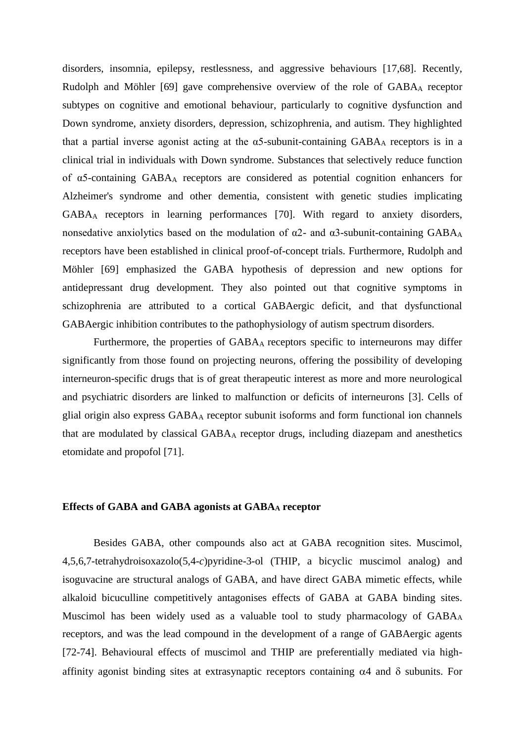disorders, insomnia, epilepsy, restlessness, and aggressive behaviours [17,68]. Recently, Rudolph and Möhler [69] gave comprehensive overview of the role of GABA<sup>A</sup> receptor subtypes on cognitive and emotional behaviour, particularly to cognitive dysfunction and Down syndrome, anxiety disorders, depression, schizophrenia, and autism. They highlighted that a partial inverse agonist acting at the  $\alpha$ 5-subunit-containing GABA<sub>A</sub> receptors is in a clinical trial in individuals with Down syndrome. Substances that selectively reduce function of α5-containing GABA<sup>A</sup> receptors are considered as potential cognition enhancers for Alzheimer's syndrome and other dementia, consistent with genetic studies implicating GABA<sup>A</sup> receptors in learning performances [70]. With regard to anxiety disorders, nonsedative anxiolytics based on the modulation of  $\alpha$ 2- and  $\alpha$ 3-subunit-containing GABA<sub>A</sub> receptors have been established in clinical proof-of-concept trials. Furthermore, Rudolph and Möhler [69] emphasized the GABA hypothesis of depression and new options for antidepressant drug development. They also pointed out that cognitive symptoms in schizophrenia are attributed to a cortical GABAergic deficit, and that dysfunctional GABAergic inhibition contributes to the pathophysiology of autism spectrum disorders.

Furthermore, the properties of GABAA receptors specific to interneurons may differ significantly from those found on projecting neurons, offering the possibility of developing interneuron-specific drugs that is of great therapeutic interest as more and more neurological and psychiatric disorders are linked to malfunction or deficits of interneurons [3]. Cells of glial origin also express GABA<sup>A</sup> receptor subunit isoforms and form functional ion channels that are modulated by classical GABA<sup>A</sup> receptor drugs, including diazepam and anesthetics etomidate and propofol [71].

# **Effects of GABA and GABA agonists at GABA<sup>A</sup> receptor**

Besides GABA, other compounds also act at GABA recognition sites. Muscimol, 4,5,6,7-tetrahydroisoxazolo(5,4-*c*)pyridine-3-ol (THIP, a bicyclic muscimol analog) and isoguvacine are structural analogs of GABA, and have direct GABA mimetic effects, while alkaloid bicuculline competitively antagonises effects of GABA at GABA binding sites. Muscimol has been widely used as a valuable tool to study pharmacology of GABAA receptors, and was the lead compound in the development of a range of GABAergic agents [72-74]. Behavioural effects of muscimol and THIP are preferentially mediated via highaffinity agonist binding sites at extrasynaptic receptors containing  $\alpha$ 4 and  $\delta$  subunits. For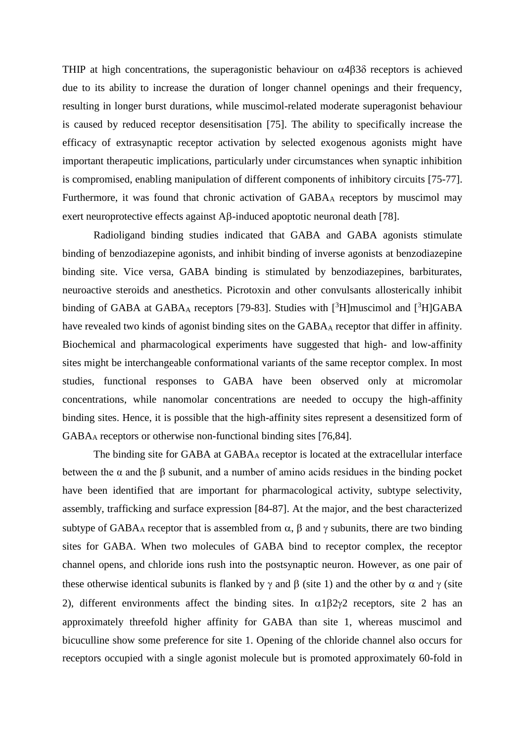THIP at high concentrations, the superagonistic behaviour on  $\alpha$ 4 $\beta$ 3 $\delta$  receptors is achieved due to its ability to increase the duration of longer channel openings and their frequency, resulting in longer burst durations, while muscimol-related moderate superagonist behaviour is caused by reduced receptor desensitisation [75]. The ability to specifically increase the efficacy of extrasynaptic receptor activation by selected exogenous agonists might have important therapeutic implications, particularly under circumstances when synaptic inhibition is compromised, enabling manipulation of different components of inhibitory circuits [75-77]. Furthermore, it was found that chronic activation of GABA<sub>A</sub> receptors by muscimol may exert neuroprotective effects against  $\mathbf{A}\beta$ -induced apoptotic neuronal death [78].

Radioligand binding studies indicated that GABA and GABA agonists stimulate binding of benzodiazepine agonists, and inhibit binding of inverse agonists at benzodiazepine binding site. Vice versa, GABA binding is stimulated by benzodiazepines, barbiturates, neuroactive steroids and anesthetics. Picrotoxin and other convulsants allosterically inhibit binding of GABA at GABA<sub>A</sub> receptors [79-83]. Studies with  $[{}^{3}H]$ muscimol and  $[{}^{3}H]GABA$ have revealed two kinds of agonist binding sites on the GABA<sub>A</sub> receptor that differ in affinity. Biochemical and pharmacological experiments have suggested that high- and low-affinity sites might be interchangeable conformational variants of the same receptor complex. In most studies, functional responses to GABA have been observed only at micromolar concentrations, while nanomolar concentrations are needed to occupy the high-affinity binding sites. Hence, it is possible that the high-affinity sites represent a desensitized form of GABA<sup>A</sup> receptors or otherwise non-functional binding sites [76,84].

The binding site for GABA at GABA<sub>A</sub> receptor is located at the extracellular interface between the  $\alpha$  and the  $\beta$  subunit, and a number of amino acids residues in the binding pocket have been identified that are important for pharmacological activity, subtype selectivity, assembly, trafficking and surface expression [84-87]. At the major, and the best characterized subtype of GABA<sub>A</sub> receptor that is assembled from  $\alpha$ ,  $\beta$  and  $\gamma$  subunits, there are two binding sites for GABA. When two molecules of GABA bind to receptor complex, the receptor channel opens, and chloride ions rush into the postsynaptic neuron. However, as one pair of these otherwise identical subunits is flanked by  $\gamma$  and  $\beta$  (site 1) and the other by  $\alpha$  and  $\gamma$  (site 2), different environments affect the binding sites. In  $\alpha$ 182 $\gamma$ 2 receptors, site 2 has an approximately threefold higher affinity for GABA than site 1, whereas muscimol and bicuculline show some preference for site 1. Opening of the chloride channel also occurs for receptors occupied with a single agonist molecule but is promoted approximately 60-fold in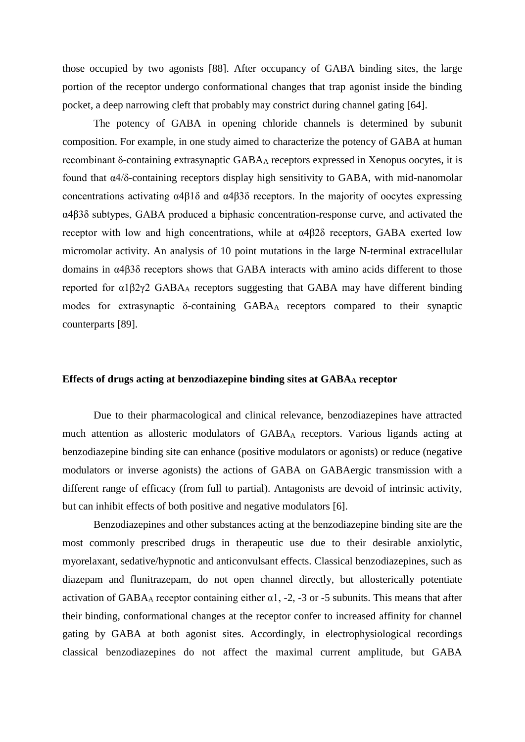those occupied by two agonists [88]. After occupancy of GABA binding sites, the large portion of the receptor undergo conformational changes that trap agonist inside the binding pocket, a deep narrowing cleft that probably may constrict during channel gating [64].

The potency of GABA in opening chloride channels is determined by subunit composition. For example, in one study aimed to characterize the potency of GABA at human recombinant δ-containing extrasynaptic GABA<sup>A</sup> receptors expressed in Xenopus oocytes, it is found that α4/δ-containing receptors display high sensitivity to GABA, with mid-nanomolar concentrations activating α4β1δ and α4β3δ receptors. In the majority of oocytes expressing α4β3δ subtypes, GABA produced a biphasic concentration-response curve, and activated the receptor with low and high concentrations, while at α4β2δ receptors, GABA exerted low micromolar activity. An analysis of 10 point mutations in the large N-terminal extracellular domains in α4β3δ receptors shows that GABA interacts with amino acids different to those reported for α1β2γ2 GABA<sup>A</sup> receptors suggesting that GABA may have different binding modes for extrasynaptic δ-containing GABA<sup>A</sup> receptors compared to their synaptic counterparts [89].

#### **Effects of drugs acting at benzodiazepine binding sites at GABA<sup>A</sup> receptor**

Due to their pharmacological and clinical relevance, benzodiazepines have attracted much attention as allosteric modulators of GABA<sup>A</sup> receptors. Various ligands acting at benzodiazepine binding site can enhance (positive modulators or agonists) or reduce (negative modulators or inverse agonists) the actions of GABA on GABAergic transmission with a different range of efficacy (from full to partial). Antagonists are devoid of intrinsic activity, but can inhibit effects of both positive and negative modulators [6].

Benzodiazepines and other substances acting at the benzodiazepine binding site are the most commonly prescribed drugs in therapeutic use due to their desirable anxiolytic, myorelaxant, sedative/hypnotic and anticonvulsant effects. Classical benzodiazepines, such as diazepam and flunitrazepam, do not open channel directly, but allosterically potentiate activation of GABAA receptor containing either  $\alpha$ 1, -2, -3 or -5 subunits. This means that after their binding, conformational changes at the receptor confer to increased affinity for channel gating by GABA at both agonist sites. Accordingly, in electrophysiological recordings classical benzodiazepines do not affect the maximal current amplitude, but GABA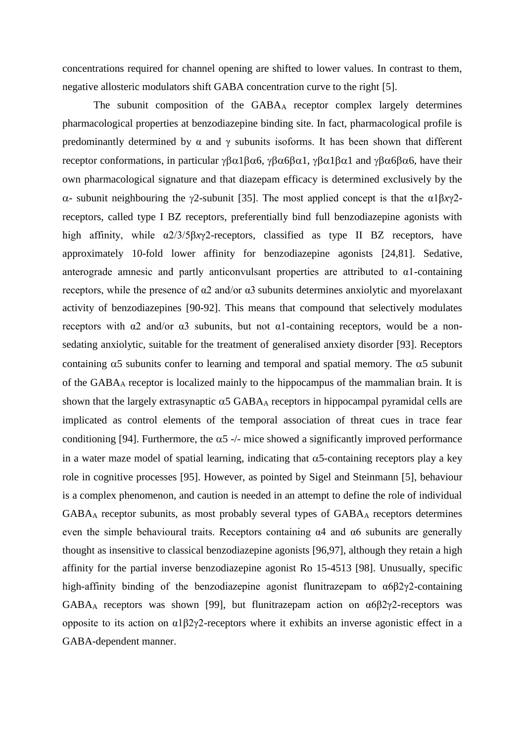concentrations required for channel opening are shifted to lower values. In contrast to them, negative allosteric modulators shift GABA concentration curve to the right [5].

The subunit composition of the GABA<sup>A</sup> receptor complex largely determines pharmacological properties at benzodiazepine binding site. In fact, pharmacological profile is predominantly determined by  $\alpha$  and  $\gamma$  subunits isoforms. It has been shown that different receptor conformations, in particular  $\gamma \beta \alpha 1 \beta \alpha 6$ ,  $\gamma \beta \alpha 6 \beta \alpha 1$ ,  $\gamma \beta \alpha 1 \beta \alpha 1$  and  $\gamma \beta \alpha 6 \beta \alpha 6$ , have their own pharmacological signature and that diazepam efficacy is determined exclusively by the  $α$ - subunit neighbouring the γ2-subunit [35]. The most applied concept is that the  $α1β*x*γ2$ receptors, called type I BZ receptors, preferentially bind full benzodiazepine agonists with high affinity, while α2/3/5β*x*γ2-receptors, classified as type II BZ receptors, have approximately 10-fold lower affinity for benzodiazepine agonists [24,81]. Sedative, anterograde amnesic and partly anticonvulsant properties are attributed to α1-containing receptors, while the presence of α2 and/or α3 subunits determines anxiolytic and myorelaxant activity of benzodiazepines [90-92]. This means that compound that selectively modulates receptors with α2 and/or α3 subunits, but not α1-containing receptors, would be a nonsedating anxiolytic, suitable for the treatment of generalised anxiety disorder [93]. Receptors containing  $\alpha$ 5 subunits confer to learning and temporal and spatial memory. The  $\alpha$ 5 subunit of the GABA<sup>A</sup> receptor is localized mainly to the hippocampus of the mammalian brain. It is shown that the largely extrasynaptic  $\alpha$ 5 GABA<sub>A</sub> receptors in hippocampal pyramidal cells are implicated as control elements of the temporal association of threat cues in trace fear conditioning [94]. Furthermore, the  $\alpha$ 5 -/- mice showed a significantly improved performance in a water maze model of spatial learning, indicating that  $\alpha$ 5-containing receptors play a key role in cognitive processes [95]. However, as pointed by Sigel and Steinmann [5], behaviour is a complex phenomenon, and caution is needed in an attempt to define the role of individual GABA<sup>A</sup> receptor subunits, as most probably several types of GABA<sup>A</sup> receptors determines even the simple behavioural traits. Receptors containing α4 and α6 subunits are generally thought as insensitive to classical benzodiazepine agonists [96,97], although they retain a high affinity for the partial inverse benzodiazepine agonist Ro 15-4513 [98]. Unusually, specific high-affinity binding of the benzodiazepine agonist flunitrazepam to α6β2γ2-containing GABA<sub>A</sub> receptors was shown [99], but flunitrazepam action on  $\alpha 6\beta 2\gamma$ <sup>2</sup>-receptors was opposite to its action on α1β2γ2-receptors where it exhibits an inverse agonistic effect in a GABA-dependent manner.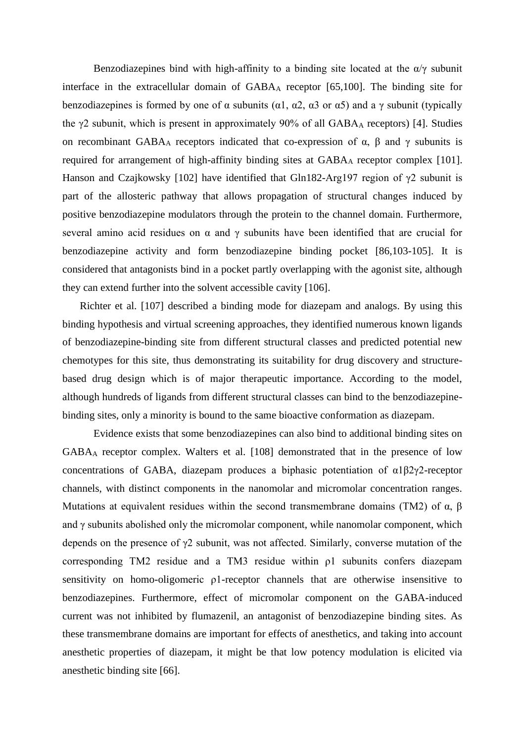Benzodiazepines bind with high-affinity to a binding site located at the  $\alpha/\gamma$  subunit interface in the extracellular domain of  $GABA_A$  receptor  $[65,100]$ . The binding site for benzodiazepines is formed by one of  $\alpha$  subunits ( $\alpha$ 1,  $\alpha$ 2,  $\alpha$ 3 or  $\alpha$ 5) and a  $\gamma$  subunit (typically the  $\gamma$ 2 subunit, which is present in approximately 90% of all GABA<sub>A</sub> receptors) [4]. Studies on recombinant GABA<sub>A</sub> receptors indicated that co-expression of  $\alpha$ ,  $\beta$  and  $\gamma$  subunits is required for arrangement of high-affinity binding sites at GABA<sub>A</sub> receptor complex [101]. Hanson and Czajkowsky [102] have identified that Gln182-Arg197 region of  $\gamma$ 2 subunit is part of the allosteric pathway that allows propagation of structural changes induced by positive benzodiazepine modulators through the protein to the channel domain. Furthermore, several amino acid residues on  $\alpha$  and  $\gamma$  subunits have been identified that are crucial for benzodiazepine activity and form benzodiazepine binding pocket [86,103-105]. It is considered that antagonists bind in a pocket partly overlapping with the agonist site, although they can extend further into the solvent accessible cavity [106].

Richter et al. [107] described a binding mode for diazepam and analogs. By using this binding hypothesis and virtual screening approaches, they identified numerous known ligands of benzodiazepine-binding site from different structural classes and predicted potential new chemotypes for this site, thus demonstrating its suitability for drug discovery and structurebased drug design which is of major therapeutic importance. According to the model, although hundreds of ligands from different structural classes can bind to the benzodiazepinebinding sites, only a minority is bound to the same bioactive conformation as diazepam.

Evidence exists that some benzodiazepines can also bind to additional binding sites on GABA<sup>A</sup> receptor complex. Walters et al. [108] demonstrated that in the presence of low concentrations of GABA, diazepam produces a biphasic potentiation of α1β2γ2-receptor channels, with distinct components in the nanomolar and micromolar concentration ranges. Mutations at equivalent residues within the second transmembrane domains (TM2) of  $\alpha$ ,  $\beta$ and  $\gamma$  subunits abolished only the micromolar component, while nanomolar component, which depends on the presence of γ2 subunit, was not affected. Similarly, converse mutation of the corresponding TM2 residue and a TM3 residue within ρ1 subunits confers diazepam sensitivity on homo-oligomeric ρ1-receptor channels that are otherwise insensitive to benzodiazepines. Furthermore, effect of micromolar component on the GABA-induced current was not inhibited by flumazenil, an antagonist of benzodiazepine binding sites. As these transmembrane domains are important for effects of anesthetics, and taking into account anesthetic properties of diazepam, it might be that low potency modulation is elicited via anesthetic binding site [66].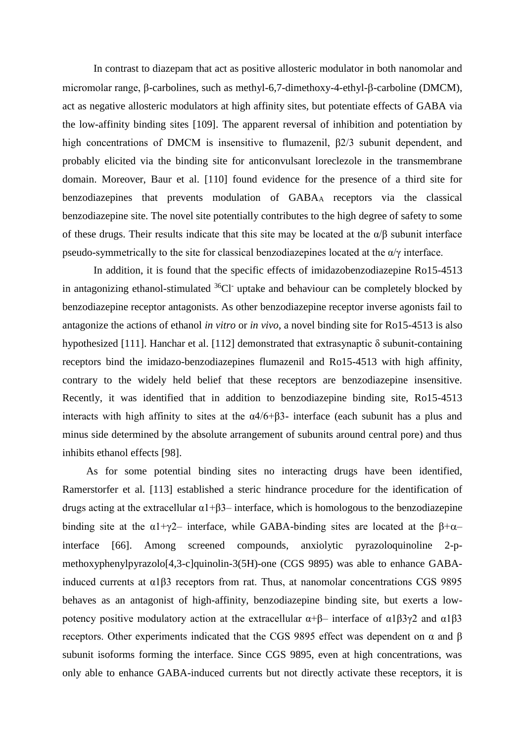In contrast to diazepam that act as positive allosteric modulator in both nanomolar and micromolar range, β-carbolines, such as methyl-6,7-dimethoxy-4-ethyl-β-carboline (DMCM), act as negative allosteric modulators at high affinity sites, but potentiate effects of GABA via the low-affinity binding sites [109]. The apparent reversal of inhibition and potentiation by high concentrations of DMCM is insensitive to flumazenil, β2/3 subunit dependent, and probably elicited via the binding site for anticonvulsant loreclezole in the transmembrane domain. Moreover, Baur et al. [110] found evidence for the presence of a third site for benzodiazepines that prevents modulation of GABA<sup>A</sup> receptors via the classical benzodiazepine site. The novel site potentially contributes to the high degree of safety to some of these drugs. Their results indicate that this site may be located at the  $\alpha/\beta$  subunit interface pseudo-symmetrically to the site for classical benzodiazepines located at the  $\alpha/\gamma$  interface.

In addition, it is found that the specific effects of imidazobenzodiazepine Ro15-4513 in antagonizing ethanol-stimulated  ${}^{36}Cl^-$  uptake and behaviour can be completely blocked by benzodiazepine receptor antagonists. As other benzodiazepine receptor inverse agonists fail to antagonize the actions of ethanol *in vitro* or *in vivo*, a novel binding site for Ro15-4513 is also hypothesized [111]. Hanchar et al. [112] demonstrated that extrasynaptic δ subunit-containing receptors bind the imidazo-benzodiazepines flumazenil and Ro15-4513 with high affinity, contrary to the widely held belief that these receptors are benzodiazepine insensitive. Recently, it was identified that in addition to benzodiazepine binding site, Ro15-4513 interacts with high affinity to sites at the  $\alpha$ 4/6+β3- interface (each subunit has a plus and minus side determined by the absolute arrangement of subunits around central pore) and thus inhibits ethanol effects [98].

As for some potential binding sites no interacting drugs have been identified, Ramerstorfer et al. [113] established a steric hindrance procedure for the identification of drugs acting at the extracellular  $\alpha$ 1+β3– interface, which is homologous to the benzodiazepine binding site at the  $\alpha$ 1+γ2– interface, while GABA-binding sites are located at the  $\beta$ + $\alpha$ – interface [66]. Among screened compounds, anxiolytic pyrazoloquinoline 2-pmethoxyphenylpyrazolo[4,3-c]quinolin-3(5H)-one (CGS 9895) was able to enhance GABAinduced currents at α1β3 receptors from rat. Thus, at nanomolar concentrations CGS 9895 behaves as an antagonist of high-affinity, benzodiazepine binding site, but exerts a lowpotency positive modulatory action at the extracellular  $\alpha+\beta$ – interface of  $\alpha$ 1β3γ2 and  $\alpha$ 1β3 receptors. Other experiments indicated that the CGS 9895 effect was dependent on α and β subunit isoforms forming the interface. Since CGS 9895, even at high concentrations, was only able to enhance GABA-induced currents but not directly activate these receptors, it is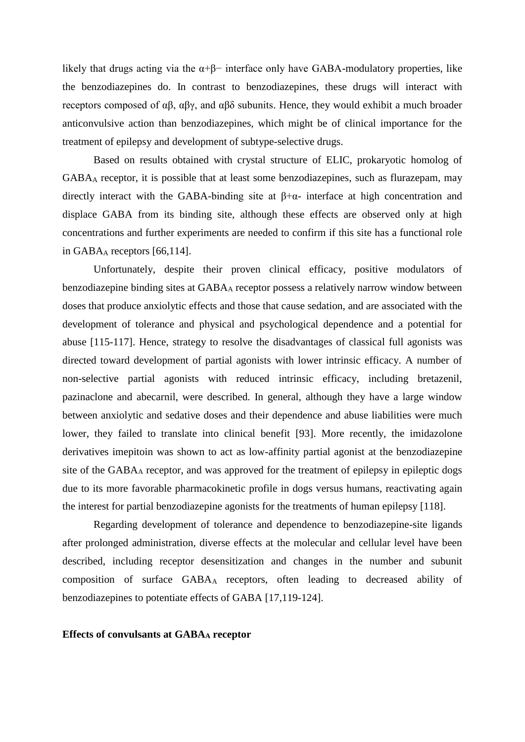likely that drugs acting via the  $\alpha+\beta$ − interface only have GABA-modulatory properties, like the benzodiazepines do. In contrast to benzodiazepines, these drugs will interact with receptors composed of αβ, αβγ, and αβδ subunits. Hence, they would exhibit a much broader anticonvulsive action than benzodiazepines, which might be of clinical importance for the treatment of epilepsy and development of subtype-selective drugs.

Based on results obtained with crystal structure of ELIC, prokaryotic homolog of GABA<sup>A</sup> receptor, it is possible that at least some benzodiazepines, such as flurazepam, may directly interact with the GABA-binding site at  $\beta + \alpha$ - interface at high concentration and displace GABA from its binding site, although these effects are observed only at high concentrations and further experiments are needed to confirm if this site has a functional role in GABA $_A$  receptors [66,114].

Unfortunately, despite their proven clinical efficacy, positive modulators of benzodiazepine binding sites at GABA<sup>A</sup> receptor possess a relatively narrow window between doses that produce anxiolytic effects and those that cause sedation, and are associated with the development of tolerance and physical and psychological dependence and a potential for abuse [115-117]. Hence, strategy to resolve the disadvantages of classical full agonists was directed toward development of partial agonists with lower intrinsic efficacy. A number of non-selective partial agonists with reduced intrinsic efficacy, including bretazenil, pazinaclone and abecarnil, were described. In general, although they have a large window between anxiolytic and sedative doses and their dependence and abuse liabilities were much lower, they failed to translate into clinical benefit [93]. More recently, the imidazolone derivatives imepitoin was shown to act as low-affinity partial agonist at the benzodiazepine site of the GABA<sub>A</sub> receptor, and was approved for the treatment of epilepsy in epileptic dogs due to its more favorable pharmacokinetic profile in dogs versus humans, reactivating again the interest for partial benzodiazepine agonists for the treatments of human epilepsy [118].

Regarding development of tolerance and dependence to benzodiazepine-site ligands after prolonged administration, diverse effects at the molecular and cellular level have been described, including receptor desensitization and changes in the number and subunit composition of surface GABA<sup>A</sup> receptors, often leading to decreased ability of benzodiazepines to potentiate effects of GABA [17,119-124].

#### **Effects of convulsants at GABA<sup>A</sup> receptor**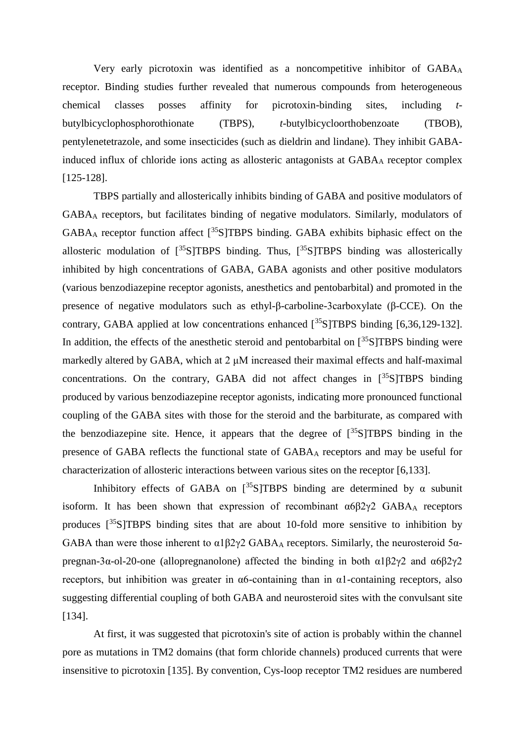Very early picrotoxin was identified as a noncompetitive inhibitor of GABA<sup>A</sup> receptor. Binding studies further revealed that numerous compounds from heterogeneous chemical classes posses affinity for picrotoxin-binding sites, including *t*butylbicyclophosphorothionate (TBPS), *t*-butylbicycloorthobenzoate (TBOB), pentylenetetrazole, and some insecticides (such as dieldrin and lindane). They inhibit GABAinduced influx of chloride ions acting as allosteric antagonists at GABA<sup>A</sup> receptor complex [125-128].

TBPS partially and allosterically inhibits binding of GABA and positive modulators of GABA<sup>A</sup> receptors, but facilitates binding of negative modulators. Similarly, modulators of  $GABA_A$  receptor function affect  $\lceil \frac{35}{5} \rceil$ TBPS binding. GABA exhibits biphasic effect on the allosteric modulation of  $\left[^{35}S\right]TBPS$  binding. Thus,  $\left[^{35}S\right]TBPS$  binding was allosterically inhibited by high concentrations of GABA, GABA agonists and other positive modulators (various benzodiazepine receptor agonists, anesthetics and pentobarbital) and promoted in the presence of negative modulators such as ethyl-β-carboline-3carboxylate (β-CCE). On the contrary, GABA applied at low concentrations enhanced  $[35\text{S}1T$ BPS binding  $[6,36,129-132]$ . In addition, the effects of the anesthetic steroid and pentobarbital on  $\binom{35}{5}$ TBPS binding were markedly altered by GABA, which at 2 μM increased their maximal effects and half-maximal concentrations. On the contrary, GABA did not affect changes in  $[^{35}S]TBPS$  binding produced by various benzodiazepine receptor agonists, indicating more pronounced functional coupling of the GABA sites with those for the steroid and the barbiturate, as compared with the benzodiazepine site. Hence, it appears that the degree of  $\int_{0}^{35}S/TBPS$  binding in the presence of GABA reflects the functional state of GABA<sup>A</sup> receptors and may be useful for characterization of allosteric interactions between various sites on the receptor [6,133].

Inhibitory effects of GABA on  $\left[35\right]$ S]TBPS binding are determined by  $\alpha$  subunit isoform. It has been shown that expression of recombinant  $\alpha 682\gamma 2$  GABA receptors produces  $[35S]$ TBPS binding sites that are about 10-fold more sensitive to inhibition by GABA than were those inherent to  $\alpha$ 1 $\beta$ 2 $\gamma$ 2 GABA<sub>A</sub> receptors. Similarly, the neurosteroid 5 $\alpha$ pregnan-3α-ol-20-one (allopregnanolone) affected the binding in both α1β2γ2 and α6β2γ2 receptors, but inhibition was greater in  $\alpha$ 6-containing than in  $\alpha$ 1-containing receptors, also suggesting differential coupling of both GABA and neurosteroid sites with the convulsant site [134].

At first, it was suggested that picrotoxin's site of action is probably within the channel pore as mutations in TM2 domains (that form chloride channels) produced currents that were insensitive to picrotoxin [135]. By convention, Cys-loop receptor TM2 residues are numbered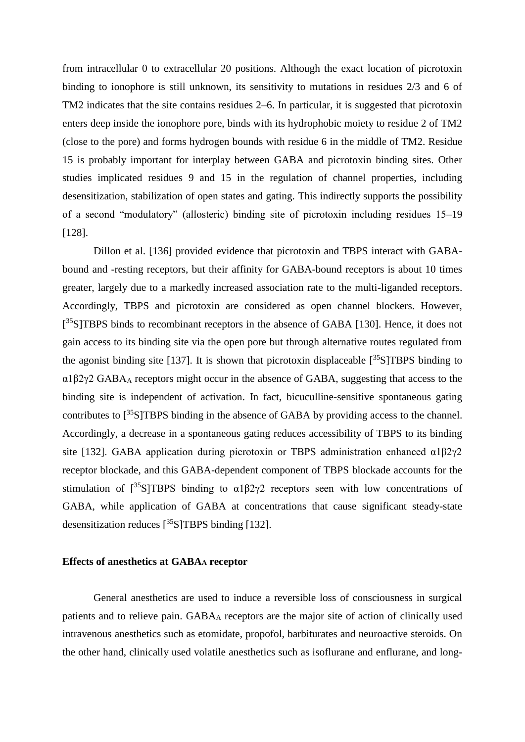from intracellular 0 to extracellular 20 positions. Although the exact location of picrotoxin binding to ionophore is still unknown, its sensitivity to mutations in residues 2/3 and 6 of TM2 indicates that the site contains residues 2–6. In particular, it is suggested that picrotoxin enters deep inside the ionophore pore, binds with its hydrophobic moiety to residue 2 of TM2 (close to the pore) and forms hydrogen bounds with residue 6 in the middle of TM2. Residue 15 is probably important for interplay between GABA and picrotoxin binding sites. Other studies implicated residues 9 and 15 in the regulation of channel properties, including desensitization, stabilization of open states and gating. This indirectly supports the possibility of a second "modulatory" (allosteric) binding site of picrotoxin including residues 15–19 [128].

Dillon et al. [136] provided evidence that picrotoxin and TBPS interact with GABAbound and -resting receptors, but their affinity for GABA-bound receptors is about 10 times greater, largely due to a markedly increased association rate to the multi-liganded receptors. Accordingly, TBPS and picrotoxin are considered as open channel blockers. However, [<sup>35</sup>S]TBPS binds to recombinant receptors in the absence of GABA [130]. Hence, it does not gain access to its binding site via the open pore but through alternative routes regulated from the agonist binding site [137]. It is shown that picrotoxin displaceable  $[^{35}S]$ TBPS binding to α1β2γ2 GABA<sup>A</sup> receptors might occur in the absence of GABA, suggesting that access to the binding site is independent of activation. In fact, bicuculline-sensitive spontaneous gating contributes to  $\binom{35}{5}$ TBPS binding in the absence of GABA by providing access to the channel. Accordingly, a decrease in a spontaneous gating reduces accessibility of TBPS to its binding site [132]. GABA application during picrotoxin or TBPS administration enhanced  $\alpha$ 1 $\beta$ 2 $\gamma$ 2 receptor blockade, and this GABA-dependent component of TBPS blockade accounts for the stimulation of  $\left[\frac{35}{5}\right]$ TBPS binding to  $\alpha$ 1 $\beta$ 2 $\gamma$ 2 receptors seen with low concentrations of GABA, while application of GABA at concentrations that cause significant steady-state desensitization reduces  $[^{35}S]$ TBPS binding [132].

### **Effects of anesthetics at GABA<sup>A</sup> receptor**

General anesthetics are used to induce a reversible loss of consciousness in surgical patients and to relieve pain. GABA<sup>A</sup> receptors are the major site of action of clinically used intravenous anesthetics such as etomidate, propofol, barbiturates and neuroactive steroids. On the other hand, clinically used volatile anesthetics such as isoflurane and enflurane, and long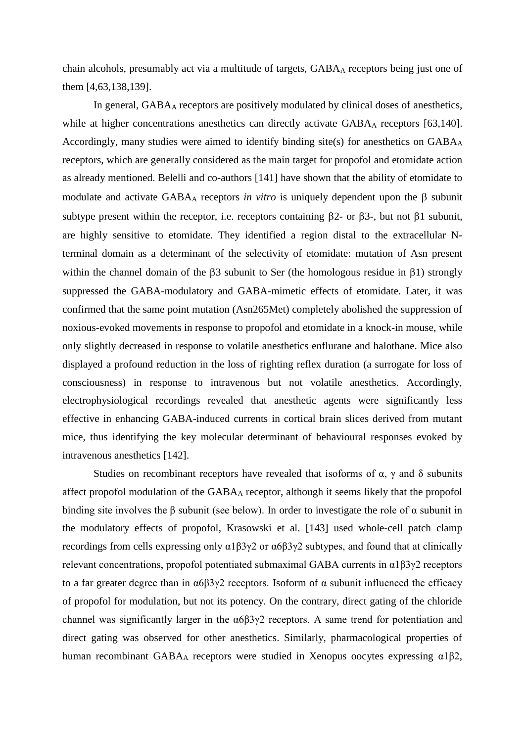chain alcohols, presumably act via a multitude of targets, GABA<sub>A</sub> receptors being just one of them [4,63,138,139].

In general, GABA<sup>A</sup> receptors are positively modulated by clinical doses of anesthetics, while at higher concentrations anesthetics can directly activate GABA<sub>A</sub> receptors [63,140]. Accordingly, many studies were aimed to identify binding site(s) for anesthetics on GABA<sup>A</sup> receptors, which are generally considered as the main target for propofol and etomidate action as already mentioned. Belelli and co-authors [141] have shown that the ability of etomidate to modulate and activate  $GABA_A$  receptors *in vitro* is uniquely dependent upon the  $\beta$  subunit subtype present within the receptor, i.e. receptors containing  $\beta$ 2- or  $\beta$ 3-, but not  $\beta$ 1 subunit, are highly sensitive to etomidate. They identified a region distal to the extracellular Nterminal domain as a determinant of the selectivity of etomidate: mutation of Asn present within the channel domain of the  $\beta$ 3 subunit to Ser (the homologous residue in  $\beta$ 1) strongly suppressed the GABA-modulatory and GABA-mimetic effects of etomidate. Later, it was confirmed that the same point mutation (Asn265Met) completely abolished the suppression of noxious-evoked movements in response to propofol and etomidate in a knock-in mouse, while only slightly decreased in response to volatile anesthetics enflurane and halothane. Mice also displayed a profound reduction in the loss of righting reflex duration (a surrogate for loss of consciousness) in response to intravenous but not volatile anesthetics. Accordingly, electrophysiological recordings revealed that anesthetic agents were significantly less effective in enhancing GABA-induced currents in cortical brain slices derived from mutant mice, thus identifying the key molecular determinant of behavioural responses evoked by intravenous anesthetics [142].

Studies on recombinant receptors have revealed that isoforms of  $\alpha$ ,  $\gamma$  and  $\delta$  subunits affect propofol modulation of the  $GABA_A$  receptor, although it seems likely that the propofol binding site involves the  $\beta$  subunit (see below). In order to investigate the role of  $\alpha$  subunit in the modulatory effects of propofol, Krasowski et al. [143] used whole-cell patch clamp recordings from cells expressing only α1β3γ2 or α6β3γ2 subtypes, and found that at clinically relevant concentrations, propofol potentiated submaximal GABA currents in α1β3γ2 receptors to a far greater degree than in α6β3γ2 receptors. Isoform of α subunit influenced the efficacy of propofol for modulation, but not its potency. On the contrary, direct gating of the chloride channel was significantly larger in the  $\alpha 6\beta 3\gamma 2$  receptors. A same trend for potentiation and direct gating was observed for other anesthetics. Similarly, pharmacological properties of human recombinant GABA<sup>A</sup> receptors were studied in Xenopus oocytes expressing α1β2,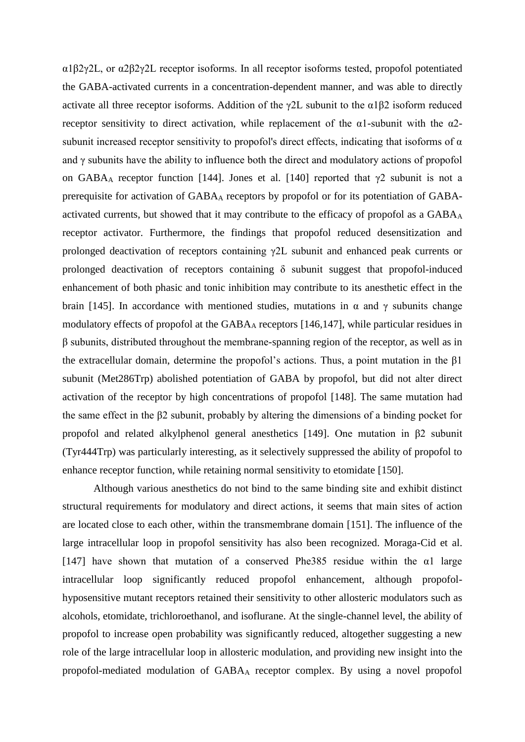α1β2γ2L, or α2β2γ2L receptor isoforms. In all receptor isoforms tested, propofol potentiated the GABA-activated currents in a concentration-dependent manner, and was able to directly activate all three receptor isoforms. Addition of the  $\gamma$ 2L subunit to the  $\alpha$ 1 $\beta$ 2 isoform reduced receptor sensitivity to direct activation, while replacement of the  $\alpha$ 1-subunit with the  $\alpha$ 2subunit increased receptor sensitivity to propofol's direct effects, indicating that isoforms of  $\alpha$ and  $\gamma$  subunits have the ability to influence both the direct and modulatory actions of propofol on GABA<sub>A</sub> receptor function [144]. Jones et al. [140] reported that  $\gamma$ 2 subunit is not a prerequisite for activation of GABA<sup>A</sup> receptors by propofol or for its potentiation of GABAactivated currents, but showed that it may contribute to the efficacy of propofol as a GABA<sup>A</sup> receptor activator. Furthermore, the findings that propofol reduced desensitization and prolonged deactivation of receptors containing γ2L subunit and enhanced peak currents or prolonged deactivation of receptors containing  $\delta$  subunit suggest that propofol-induced enhancement of both phasic and tonic inhibition may contribute to its anesthetic effect in the brain [145]. In accordance with mentioned studies, mutations in α and γ subunits change modulatory effects of propofol at the  $GABA_A$  receptors [146,147], while particular residues in β subunits, distributed throughout the membrane-spanning region of the receptor, as well as in the extracellular domain, determine the propofol's actions. Thus, a point mutation in the  $\beta$ 1 subunit (Met286Trp) abolished potentiation of GABA by propofol, but did not alter direct activation of the receptor by high concentrations of propofol [148]. The same mutation had the same effect in the β2 subunit, probably by altering the dimensions of a binding pocket for propofol and related alkylphenol general anesthetics [149]. One mutation in β2 subunit (Tyr444Trp) was particularly interesting, as it selectively suppressed the ability of propofol to enhance receptor function, while retaining normal sensitivity to etomidate [150].

Although various anesthetics do not bind to the same binding site and exhibit distinct structural requirements for modulatory and direct actions, it seems that main sites of action are located close to each other, within the transmembrane domain [151]. The influence of the large intracellular loop in propofol sensitivity has also been recognized. Moraga-Cid et al. [147] have shown that mutation of a conserved Phe385 residue within the  $\alpha$ 1 large intracellular loop significantly reduced propofol enhancement, although propofolhyposensitive mutant receptors retained their sensitivity to other allosteric modulators such as alcohols, etomidate, trichloroethanol, and isoflurane. At the single-channel level, the ability of propofol to increase open probability was significantly reduced, altogether suggesting a new role of the large intracellular loop in allosteric modulation, and providing new insight into the propofol-mediated modulation of GABA<sup>A</sup> receptor complex. By using a novel propofol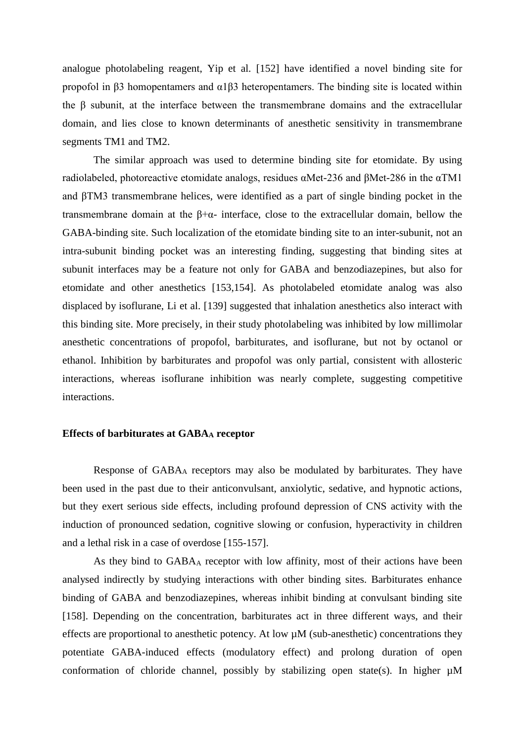analogue photolabeling reagent, Yip et al. [152] have identified a novel binding site for propofol in β3 homopentamers and α1β3 heteropentamers. The binding site is located within the β subunit, at the interface between the transmembrane domains and the extracellular domain, and lies close to known determinants of anesthetic sensitivity in transmembrane segments TM1 and TM2.

The similar approach was used to determine binding site for etomidate. By using radiolabeled, photoreactive etomidate analogs, residues αMet-236 and βMet-286 in the αTM1 and βTM3 transmembrane helices, were identified as a part of single binding pocket in the transmembrane domain at the β+α- interface, close to the extracellular domain, bellow the GABA-binding site. Such localization of the etomidate binding site to an inter-subunit, not an intra-subunit binding pocket was an interesting finding, suggesting that binding sites at subunit interfaces may be a feature not only for GABA and benzodiazepines, but also for etomidate and other anesthetics [153,154]. As photolabeled etomidate analog was also displaced by isoflurane, Li et al. [139] suggested that inhalation anesthetics also interact with this binding site. More precisely, in their study photolabeling was inhibited by low millimolar anesthetic concentrations of propofol, barbiturates, and isoflurane, but not by octanol or ethanol. Inhibition by barbiturates and propofol was only partial, consistent with allosteric interactions, whereas isoflurane inhibition was nearly complete, suggesting competitive interactions.

### **Effects of barbiturates at GABA<sup>A</sup> receptor**

Response of GABA<sup>A</sup> receptors may also be modulated by barbiturates. They have been used in the past due to their anticonvulsant, anxiolytic, sedative, and hypnotic actions, but they exert serious side effects, including profound depression of CNS activity with the induction of pronounced sedation, cognitive slowing or confusion, hyperactivity in children and a lethal risk in a case of overdose [155-157].

As they bind to GABA<sup>A</sup> receptor with low affinity, most of their actions have been analysed indirectly by studying interactions with other binding sites. Barbiturates enhance binding of GABA and benzodiazepines, whereas inhibit binding at convulsant binding site [158]. Depending on the concentration, barbiturates act in three different ways, and their effects are proportional to anesthetic potency. At low  $\mu$ M (sub-anesthetic) concentrations they potentiate GABA-induced effects (modulatory effect) and prolong duration of open conformation of chloride channel, possibly by stabilizing open state(s). In higher  $\mu$ M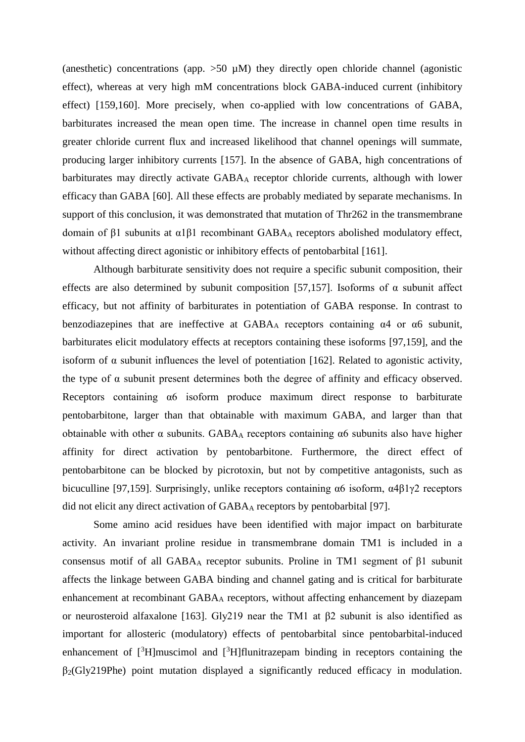(anesthetic) concentrations (app.  $>50 \mu M$ ) they directly open chloride channel (agonistic effect), whereas at very high mM concentrations block GABA-induced current (inhibitory effect) [159,160]. More precisely, when co-applied with low concentrations of GABA, barbiturates increased the mean open time. The increase in channel open time results in greater chloride current flux and increased likelihood that channel openings will summate, producing larger inhibitory currents [157]. In the absence of GABA, high concentrations of barbiturates may directly activate GABA<sup>A</sup> receptor chloride currents, although with lower efficacy than GABA [60]. All these effects are probably mediated by separate mechanisms. In support of this conclusion, it was demonstrated that mutation of Thr262 in the transmembrane domain of β1 subunits at α1β1 recombinant GABA<sup>A</sup> receptors abolished modulatory effect, without affecting direct agonistic or inhibitory effects of pentobarbital [161].

Although barbiturate sensitivity does not require a specific subunit composition, their effects are also determined by subunit composition [57,157]. Isoforms of  $\alpha$  subunit affect efficacy, but not affinity of barbiturates in potentiation of GABA response. In contrast to benzodiazepines that are ineffective at  $GABA_A$  receptors containing  $\alpha$ 4 or  $\alpha$ 6 subunit, barbiturates elicit modulatory effects at receptors containing these isoforms [97,159], and the isoform of  $\alpha$  subunit influences the level of potentiation [162]. Related to agonistic activity, the type of  $\alpha$  subunit present determines both the degree of affinity and efficacy observed. Receptors containing α6 isoform produce maximum direct response to barbiturate pentobarbitone, larger than that obtainable with maximum GABA, and larger than that obtainable with other  $\alpha$  subunits. GABAA receptors containing  $\alpha$ 6 subunits also have higher affinity for direct activation by pentobarbitone. Furthermore, the direct effect of pentobarbitone can be blocked by picrotoxin, but not by competitive antagonists, such as bicuculline [97,159]. Surprisingly, unlike receptors containing α6 isoform, α4β1γ2 receptors did not elicit any direct activation of GABA<sup>A</sup> receptors by pentobarbital [97].

Some amino acid residues have been identified with major impact on barbiturate activity. An invariant proline residue in transmembrane domain TM1 is included in a consensus motif of all GABA<sub>A</sub> receptor subunits. Proline in TM1 segment of β1 subunit affects the linkage between GABA binding and channel gating and is critical for barbiturate enhancement at recombinant GABA<sup>A</sup> receptors, without affecting enhancement by diazepam or neurosteroid alfaxalone [163]. Gly219 near the TM1 at β2 subunit is also identified as important for allosteric (modulatory) effects of pentobarbital since pentobarbital-induced enhancement of  $\int^3 H$ ]muscimol and  $\int^3 H$ ]flunitrazepam binding in receptors containing the  $\beta_2$ (Gly219Phe) point mutation displayed a significantly reduced efficacy in modulation.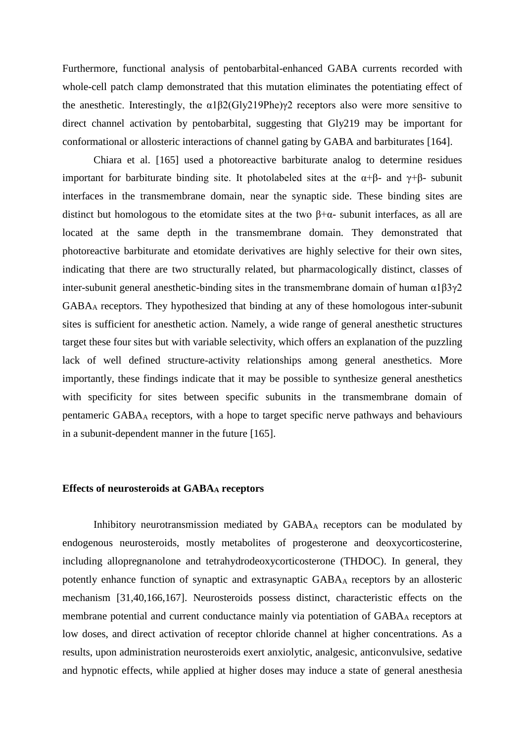Furthermore, functional analysis of pentobarbital-enhanced GABA currents recorded with whole-cell patch clamp demonstrated that this mutation eliminates the potentiating effect of the anesthetic. Interestingly, the  $\alpha$ 1 $\beta$ 2(Gly219Phe) $\gamma$ 2 receptors also were more sensitive to direct channel activation by pentobarbital, suggesting that Gly219 may be important for conformational or allosteric interactions of channel gating by GABA and barbiturates [164].

Chiara et al. [165] used a photoreactive barbiturate analog to determine residues important for barbiturate binding site. It photolabeled sites at the  $\alpha+\beta$ - and  $\gamma+\beta$ - subunit interfaces in the transmembrane domain, near the synaptic side. These binding sites are distinct but homologous to the etomidate sites at the two  $\beta + \alpha$ - subunit interfaces, as all are located at the same depth in the transmembrane domain. They demonstrated that photoreactive barbiturate and etomidate derivatives are highly selective for their own sites, indicating that there are two structurally related, but pharmacologically distinct, classes of inter-subunit general anesthetic-binding sites in the transmembrane domain of human  $\alpha$ 1 $\beta$ 3 $\gamma$ 2 GABA<sup>A</sup> receptors. They hypothesized that binding at any of these homologous inter-subunit sites is sufficient for anesthetic action. Namely, a wide range of general anesthetic structures target these four sites but with variable selectivity, which offers an explanation of the puzzling lack of well defined structure-activity relationships among general anesthetics. More importantly, these findings indicate that it may be possible to synthesize general anesthetics with specificity for sites between specific subunits in the transmembrane domain of pentameric GABA<sup>A</sup> receptors, with a hope to target specific nerve pathways and behaviours in a subunit-dependent manner in the future [165].

### **Effects of neurosteroids at GABA<sup>A</sup> receptors**

Inhibitory neurotransmission mediated by GABA<sup>A</sup> receptors can be modulated by endogenous neurosteroids, mostly metabolites of progesterone and deoxycorticosterine, including allopregnanolone and tetrahydrodeoxycorticosterone (THDOC). In general, they potently enhance function of synaptic and extrasynaptic GABA<sup>A</sup> receptors by an allosteric mechanism [31,40,166,167]. Neurosteroids possess distinct, characteristic effects on the membrane potential and current conductance mainly via potentiation of GABA<sub>A</sub> receptors at low doses, and direct activation of receptor chloride channel at higher concentrations. As a results, upon administration neurosteroids exert anxiolytic, analgesic, anticonvulsive, sedative and hypnotic effects, while applied at higher doses may induce a state of general anesthesia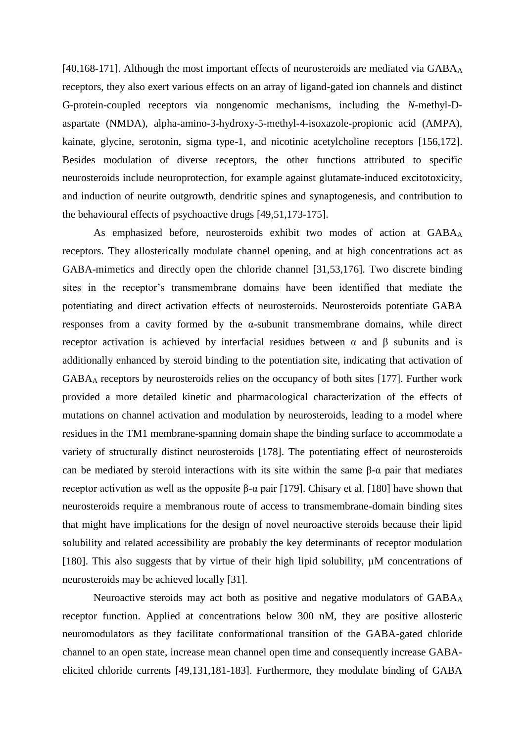[40,168-171]. Although the most important effects of neurosteroids are mediated via  $GABA_A$ receptors, they also exert various effects on an array of ligand-gated ion channels and distinct G-protein-coupled receptors via nongenomic mechanisms, including the *N*-methyl-Daspartate (NMDA), alpha-amino-3-hydroxy-5-methyl-4-isoxazole-propionic acid (AMPA), kainate, glycine, serotonin, sigma type-1, and nicotinic acetylcholine receptors [156,172]. Besides modulation of diverse receptors, the other functions attributed to specific neurosteroids include neuroprotection, for example against glutamate-induced excitotoxicity, and induction of neurite outgrowth, dendritic spines and synaptogenesis, and contribution to the behavioural effects of psychoactive drugs [49,51,173-175].

As emphasized before, neurosteroids exhibit two modes of action at GABA<sup>A</sup> receptors. They allosterically modulate channel opening, and at high concentrations act as GABA-mimetics and directly open the chloride channel [31,53,176]. Two discrete binding sites in the receptor's transmembrane domains have been identified that mediate the potentiating and direct activation effects of neurosteroids. Neurosteroids potentiate GABA responses from a cavity formed by the  $\alpha$ -subunit transmembrane domains, while direct receptor activation is achieved by interfacial residues between α and β subunits and is additionally enhanced by steroid binding to the potentiation site, indicating that activation of GABA<sup>A</sup> receptors by neurosteroids relies on the occupancy of both sites [177]. Further work provided a more detailed kinetic and pharmacological characterization of the effects of mutations on channel activation and modulation by neurosteroids, leading to a model where residues in the TM1 membrane-spanning domain shape the binding surface to accommodate a variety of structurally distinct neurosteroids [178]. The potentiating effect of neurosteroids can be mediated by steroid interactions with its site within the same β-α pair that mediates receptor activation as well as the opposite β-α pair [179]. Chisary et al. [180] have shown that neurosteroids require a membranous route of access to transmembrane-domain binding sites that might have implications for the design of novel neuroactive steroids because their lipid solubility and related accessibility are probably the key determinants of receptor modulation [180]. This also suggests that by virtue of their high lipid solubility, µM concentrations of neurosteroids may be achieved locally [31].

Neuroactive steroids may act both as positive and negative modulators of GABA<sup>A</sup> receptor function. Applied at concentrations below 300 nM, they are positive allosteric neuromodulators as they facilitate conformational transition of the GABA-gated chloride channel to an open state, increase mean channel open time and consequently increase GABAelicited chloride currents [49,131,181-183]. Furthermore, they modulate binding of GABA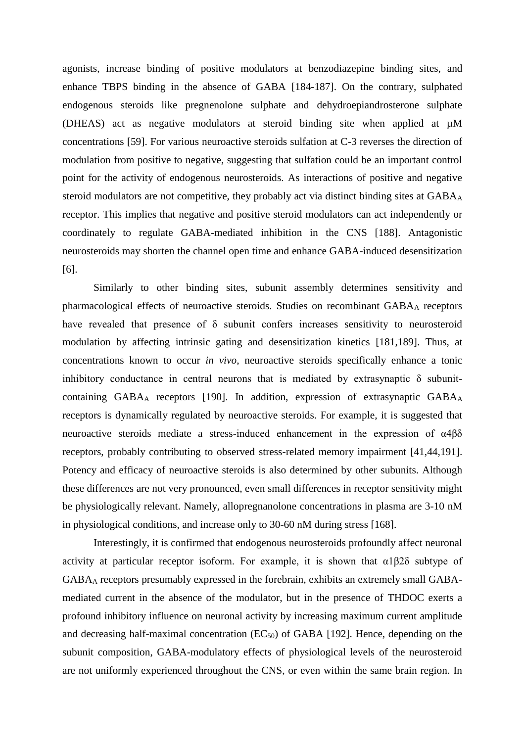agonists, increase binding of positive modulators at benzodiazepine binding sites, and enhance TBPS binding in the absence of GABA [184-187]. On the contrary, sulphated endogenous steroids like pregnenolone sulphate and dehydroepiandrosterone sulphate (DHEAS) act as negative modulators at steroid binding site when applied at µM concentrations [59]. For various neuroactive steroids sulfation at C-3 reverses the direction of modulation from positive to negative, suggesting that sulfation could be an important control point for the activity of endogenous neurosteroids. As interactions of positive and negative steroid modulators are not competitive, they probably act via distinct binding sites at GABA<sup>A</sup> receptor. This implies that negative and positive steroid modulators can act independently or coordinately to regulate GABA-mediated inhibition in the CNS [188]. Antagonistic neurosteroids may shorten the channel open time and enhance GABA-induced desensitization [6].

Similarly to other binding sites, subunit assembly determines sensitivity and pharmacological effects of neuroactive steroids. Studies on recombinant GABA<sub>A</sub> receptors have revealed that presence of δ subunit confers increases sensitivity to neurosteroid modulation by affecting intrinsic gating and desensitization kinetics [181,189]. Thus, at concentrations known to occur *in vivo*, neuroactive steroids specifically enhance a tonic inhibitory conductance in central neurons that is mediated by extrasynaptic  $\delta$  subunitcontaining  $GABA_A$  receptors [190]. In addition, expression of extrasynaptic  $GABA_A$ receptors is dynamically regulated by neuroactive steroids. For example, it is suggested that neuroactive steroids mediate a stress-induced enhancement in the expression of α4βδ receptors, probably contributing to observed stress-related memory impairment [41,44,191]. Potency and efficacy of neuroactive steroids is also determined by other subunits. Although these differences are not very pronounced, even small differences in receptor sensitivity might be physiologically relevant. Namely, allopregnanolone concentrations in plasma are 3-10 nM in physiological conditions, and increase only to 30-60 nM during stress [168].

Interestingly, it is confirmed that endogenous neurosteroids profoundly affect neuronal activity at particular receptor isoform. For example, it is shown that α1β2δ subtype of GABA<sup>A</sup> receptors presumably expressed in the forebrain, exhibits an extremely small GABAmediated current in the absence of the modulator, but in the presence of THDOC exerts a profound inhibitory influence on neuronal activity by increasing maximum current amplitude and decreasing half-maximal concentration  $(EC_{50})$  of GABA [192]. Hence, depending on the subunit composition, GABA-modulatory effects of physiological levels of the neurosteroid are not uniformly experienced throughout the CNS, or even within the same brain region. In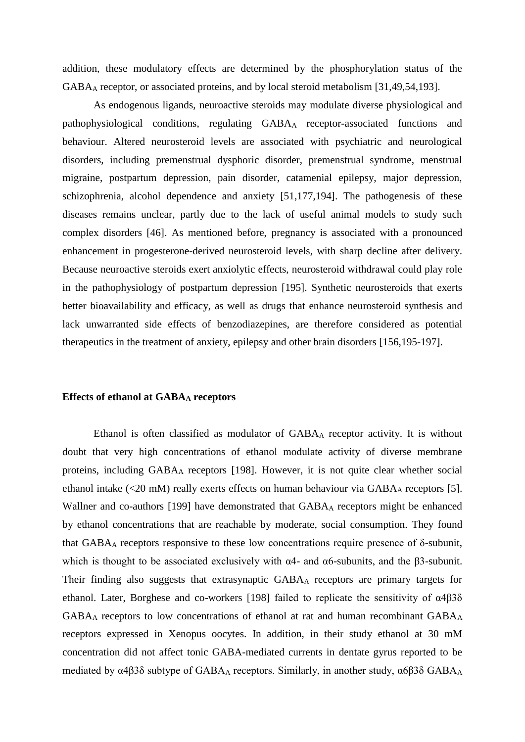addition, these modulatory effects are determined by the phosphorylation status of the GABA<sup>A</sup> receptor, or associated proteins, and by local steroid metabolism [31,49,54,193].

As endogenous ligands, neuroactive steroids may modulate diverse physiological and pathophysiological conditions, regulating GABA<sup>A</sup> receptor-associated functions and behaviour. Altered neurosteroid levels are associated with psychiatric and neurological disorders, including premenstrual dysphoric disorder, premenstrual syndrome, menstrual migraine, postpartum depression, pain disorder, catamenial epilepsy, major depression, schizophrenia, alcohol dependence and anxiety [51,177,194]. The pathogenesis of these diseases remains unclear, partly due to the lack of useful animal models to study such complex disorders [46]. As mentioned before, pregnancy is associated with a pronounced enhancement in progesterone-derived neurosteroid levels, with sharp decline after delivery. Because neuroactive steroids exert anxiolytic effects, neurosteroid withdrawal could play role in the pathophysiology of postpartum depression [195]. Synthetic neurosteroids that exerts better bioavailability and efficacy, as well as drugs that enhance neurosteroid synthesis and lack unwarranted side effects of benzodiazepines, are therefore considered as potential therapeutics in the treatment of anxiety, epilepsy and other brain disorders [156,195-197].

### **Effects of ethanol at GABA<sup>A</sup> receptors**

Ethanol is often classified as modulator of GABA<sup>A</sup> receptor activity. It is without doubt that very high concentrations of ethanol modulate activity of diverse membrane proteins, including GABA<sup>A</sup> receptors [198]. However, it is not quite clear whether social ethanol intake  $\langle$ <20 mM) really exerts effects on human behaviour via GABA<sub>A</sub> receptors [5]. Wallner and co-authors [199] have demonstrated that GABA<sub>A</sub> receptors might be enhanced by ethanol concentrations that are reachable by moderate, social consumption. They found that  $GABA_A$  receptors responsive to these low concentrations require presence of  $\delta$ -subunit, which is thought to be associated exclusively with  $\alpha$ 4- and  $\alpha$ 6-subunits, and the  $\beta$ 3-subunit. Their finding also suggests that extrasynaptic GABA<sup>A</sup> receptors are primary targets for ethanol. Later, Borghese and co-workers [198] failed to replicate the sensitivity of α4β3δ GABA<sup>A</sup> receptors to low concentrations of ethanol at rat and human recombinant GABA<sup>A</sup> receptors expressed in Xenopus oocytes. In addition, in their study ethanol at 30 mM concentration did not affect tonic GABA-mediated currents in dentate gyrus reported to be mediated by  $\alpha$ 4β3δ subtype of GABA<sub>A</sub> receptors. Similarly, in another study,  $\alpha$ 6β3δ GABA<sub>A</sub>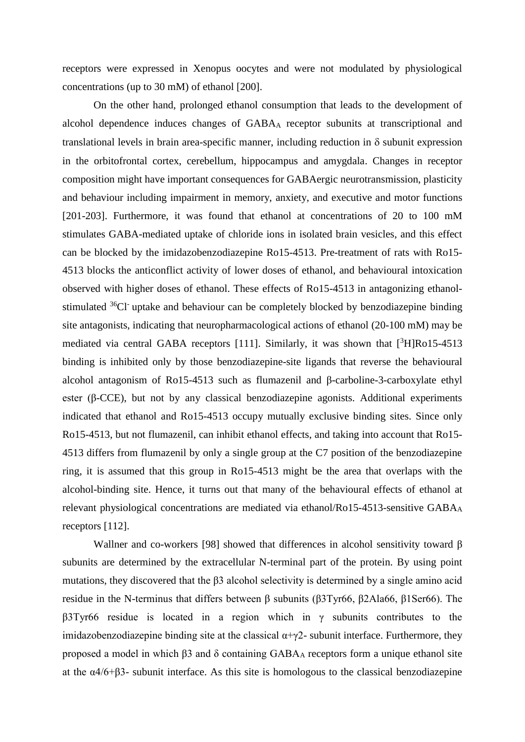receptors were expressed in Xenopus oocytes and were not modulated by physiological concentrations (up to 30 mM) of ethanol [200].

On the other hand, prolonged ethanol consumption that leads to the development of alcohol dependence induces changes of GABA<sup>A</sup> receptor subunits at transcriptional and translational levels in brain area-specific manner, including reduction in  $\delta$  subunit expression in the orbitofrontal cortex, cerebellum, hippocampus and amygdala. Changes in receptor composition might have important consequences for GABAergic neurotransmission, plasticity and behaviour including impairment in memory, anxiety, and executive and motor functions [201-203]. Furthermore, it was found that ethanol at concentrations of 20 to 100 mM stimulates GABA-mediated uptake of chloride ions in isolated brain vesicles, and this effect can be blocked by the imidazobenzodiazepine Ro15-4513. Pre-treatment of rats with Ro15- 4513 blocks the anticonflict activity of lower doses of ethanol, and behavioural intoxication observed with higher doses of ethanol. These effects of Ro15-4513 in antagonizing ethanolstimulated  $36$ Cl<sup>-</sup> uptake and behaviour can be completely blocked by benzodiazepine binding site antagonists, indicating that neuropharmacological actions of ethanol (20-100 mM) may be mediated via central GABA receptors [111]. Similarly, it was shown that  $\binom{3}{1}R_015-4513$ binding is inhibited only by those benzodiazepine-site ligands that reverse the behavioural alcohol antagonism of Ro15-4513 such as flumazenil and β-carboline-3-carboxylate ethyl ester (β-CCE), but not by any classical benzodiazepine agonists. Additional experiments indicated that ethanol and Ro15-4513 occupy mutually exclusive binding sites. Since only Ro15-4513, but not flumazenil, can inhibit ethanol effects, and taking into account that Ro15- 4513 differs from flumazenil by only a single group at the C7 position of the benzodiazepine ring, it is assumed that this group in Ro15-4513 might be the area that overlaps with the alcohol-binding site. Hence, it turns out that many of the behavioural effects of ethanol at relevant physiological concentrations are mediated via ethanol/Ro15-4513-sensitive GABA<sup>A</sup> receptors [112].

Wallner and co-workers [98] showed that differences in alcohol sensitivity toward β subunits are determined by the extracellular N-terminal part of the protein. By using point mutations, they discovered that the β3 alcohol selectivity is determined by a single amino acid residue in the N-terminus that differs between β subunits (β3Tyr66, β2Ala66, β1Ser66). The β3Tyr66 residue is located in a region which in γ subunits contributes to the imidazobenzodiazepine binding site at the classical  $\alpha + \gamma$ 2- subunit interface. Furthermore, they proposed a model in which β3 and δ containing GABA<sup>A</sup> receptors form a unique ethanol site at the α4/6+β3- subunit interface. As this site is homologous to the classical benzodiazepine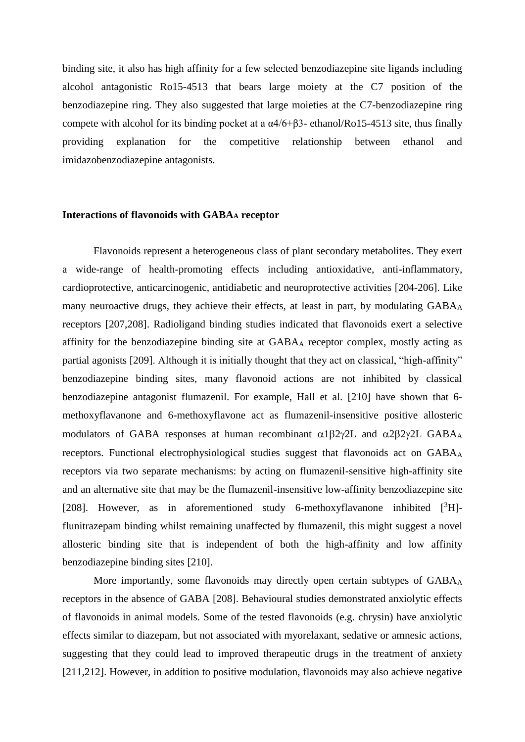binding site, it also has high affinity for a few selected benzodiazepine site ligands including alcohol antagonistic Ro15-4513 that bears large moiety at the C7 position of the benzodiazepine ring. They also suggested that large moieties at the C7-benzodiazepine ring compete with alcohol for its binding pocket at a  $\alpha$ 4/6+β3- ethanol/Ro15-4513 site, thus finally providing explanation for the competitive relationship between ethanol and imidazobenzodiazepine antagonists.

### **Interactions of flavonoids with GABA<sup>A</sup> receptor**

Flavonoids represent a heterogeneous class of [plant](http://en.wikipedia.org/wiki/Plant) [secondary metabolites.](http://en.wikipedia.org/wiki/Secondary_metabolite) They exert a wide-range of health-promoting effects including antioxidative, anti-inflammatory, cardioprotective, anticarcinogenic, antidiabetic and neuroprotective activities [204-206]. Like many neuroactive drugs, they achieve their effects, at least in part, by modulating GABA<sub>A</sub> receptors [207,208]. Radioligand binding studies indicated that flavonoids exert a selective affinity for the benzodiazepine binding site at GABA<sup>A</sup> receptor complex, mostly acting as partial agonists [209]. Although it is initially thought that they act on classical, "high-affinity" benzodiazepine binding sites, many flavonoid actions are not inhibited by classical benzodiazepine antagonist flumazenil. For example, Hall et al. [210] have shown that 6 methoxyflavanone and 6-methoxyflavone act as flumazenil-insensitive positive allosteric modulators of GABA responses at human recombinant  $\alpha$ 1 $\beta$ 2 $\gamma$ 2L and  $\alpha$ 2 $\beta$ 2 $\gamma$ 2L GABAA receptors. Functional electrophysiological studies suggest that flavonoids act on GABA<sup>A</sup> receptors via two separate mechanisms: by acting on flumazenil-sensitive high-affinity site and an alternative site that may be the flumazenil-insensitive low-affinity benzodiazepine site [208]. However, as in aforementioned study 6-methoxyflavanone inhibited  $[{}^{3}H]$ flunitrazepam binding whilst remaining unaffected by flumazenil, this might suggest a novel allosteric binding site that is independent of both the high-affinity and low affinity benzodiazepine binding sites [210].

More importantly, some flavonoids may directly open certain subtypes of GABA<sub>A</sub> receptors in the absence of GABA [208]. Behavioural studies demonstrated anxiolytic effects of flavonoids in animal models. Some of the tested flavonoids (e.g. chrysin) have anxiolytic effects similar to diazepam, but not associated with myorelaxant, sedative or amnesic actions, suggesting that they could lead to improved therapeutic drugs in the treatment of anxiety [211,212]. However, in addition to positive modulation, flavonoids may also achieve negative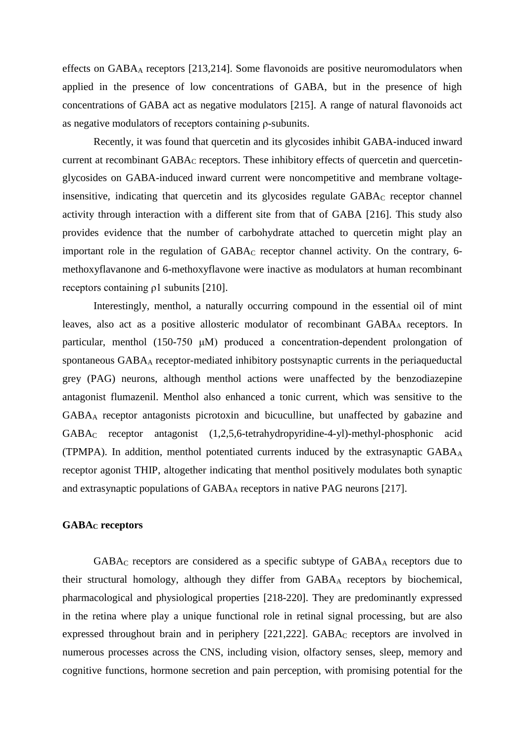effects on  $GABA_A$  receptors [213,214]. Some flavonoids are positive neuromodulators when applied in the presence of low concentrations of GABA, but in the presence of high concentrations of GABA act as negative modulators [215]. A range of natural flavonoids act as negative modulators of receptors containing ρ-subunits.

Recently, it was found that quercetin and its glycosides inhibit GABA-induced inward current at recombinant GABA<sub>C</sub> receptors. These inhibitory effects of quercetin and quercetinglycosides on GABA-induced inward current were noncompetitive and membrane voltageinsensitive, indicating that quercetin and its glycosides regulate GABA<sub>C</sub> receptor channel activity through interaction with a different site from that of GABA [216]. This study also provides evidence that the number of carbohydrate attached to quercetin might play an important role in the regulation of  $GABA_C$  receptor channel activity. On the contrary, 6methoxyflavanone and 6-methoxyflavone were inactive as modulators at human recombinant receptors containing ρ1 subunits [210].

Interestingly, menthol, a naturally occurring compound in the essential oil of mint leaves, also act as a positive allosteric modulator of recombinant GABA<sup>A</sup> receptors. In particular, menthol (150-750 μM) produced a concentration-dependent prolongation of spontaneous GABA<sup>A</sup> receptor-mediated inhibitory postsynaptic currents in the periaqueductal grey (PAG) neurons, although menthol actions were unaffected by the benzodiazepine antagonist flumazenil. Menthol also enhanced a tonic current, which was sensitive to the GABA<sup>A</sup> receptor antagonists picrotoxin and bicuculline, but unaffected by gabazine and GABA<sup>C</sup> receptor antagonist (1,2,5,6-tetrahydropyridine-4-yl)-methyl-phosphonic acid (TPMPA). In addition, menthol potentiated currents induced by the extrasynaptic GABA<sup>A</sup> receptor agonist THIP, altogether indicating that menthol positively modulates both synaptic and extrasynaptic populations of GABA<sup>A</sup> receptors in native PAG neurons [217].

# **GABA<sup>C</sup> receptors**

GABA<sup>C</sup> receptors are considered as a specific subtype of GABA<sup>A</sup> receptors due to their structural homology, although they differ from GABA<sup>A</sup> receptors by biochemical, pharmacological and physiological properties [218-220]. They are predominantly expressed in the retina where play a unique functional role in retinal signal processing, but are also expressed throughout brain and in periphery [221,222]. GABA<sub>C</sub> receptors are involved in numerous processes across the CNS, including vision, olfactory senses, sleep, memory and cognitive functions, hormone secretion and pain perception, with promising potential for the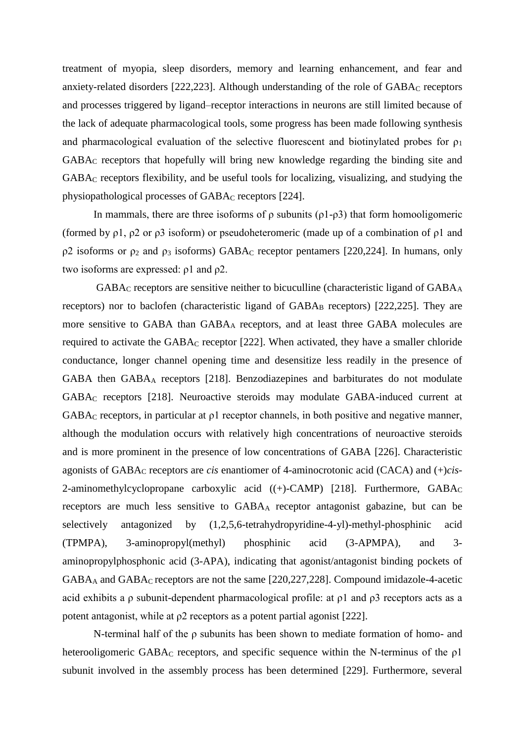treatment of myopia, sleep disorders, memory and learning enhancement, and fear and anxiety-related disorders  $[222,223]$ . Although understanding of the role of  $GABA_C$  receptors and processes triggered by ligand–receptor interactions in neurons are still limited because of the lack of adequate pharmacological tools, some progress has been made following synthesis and pharmacological evaluation of the selective fluorescent and biotinylated probes for  $\rho_1$ GABA<sup>C</sup> receptors that hopefully will bring new knowledge regarding the binding site and GABA<sup>C</sup> receptors flexibility, and be useful tools for localizing, visualizing, and studying the physiopathological processes of GABA<sup>C</sup> receptors [224].

In mammals, there are three isoforms of  $\rho$  subunits ( $\rho$ 1- $\rho$ 3) that form homooligomeric (formed by ρ1, ρ2 or ρ3 isoform) or pseudoheteromeric (made up of a combination of ρ1 and  $ρ2$  isoforms or  $ρ<sub>2</sub>$  and  $ρ<sub>3</sub>$  isoforms) GABA<sub>C</sub> receptor pentamers [220,224]. In humans, only two isoforms are expressed: ρ1 and ρ2.

GABA<sup>C</sup> receptors are sensitive neither to bicuculline (characteristic ligand of GABA<sup>A</sup> receptors) nor to baclofen (characteristic ligand of  $GABA_B$  receptors) [222,225]. They are more sensitive to GABA than GABA<sup>A</sup> receptors, and at least three GABA molecules are required to activate the GABA<sup>C</sup> receptor [222]. When activated, they have a smaller chloride conductance, longer channel opening time and desensitize less readily in the presence of GABA then GABA<sup>A</sup> receptors [218]. Benzodiazepines and barbiturates do not modulate GABA<sup>C</sup> receptors [218]. Neuroactive steroids may modulate GABA-induced current at GABA<sup>C</sup> receptors, in particular at ρ1 receptor channels, in both positive and negative manner, although the modulation occurs with relatively high concentrations of neuroactive steroids and is more prominent in the presence of low concentrations of GABA [226]. Characteristic agonists of GABA<sub>C</sub> receptors are *cis* enantiomer of 4-aminocrotonic acid (CACA) and (+)*cis*-2-aminomethylcyclopropane carboxylic acid  $((+)$ -CAMP) [218]. Furthermore, GABA<sub>C</sub> receptors are much less sensitive to GABA<sup>A</sup> receptor antagonist gabazine, but can be selectively antagonized by (1,2,5,6-tetrahydropyridine-4-yl)-methyl-phosphinic acid (TPMPA), 3-aminopropyl(methyl) phosphinic acid (3-APMPA), and 3 aminopropylphosphonic acid (3-APA), indicating that agonist/antagonist binding pockets of GABA<sup>A</sup> and GABA<sup>C</sup> receptors are not the same [220,227,228]. Compound imidazole-4-acetic acid exhibits a ρ subunit-dependent pharmacological profile: at ρ1 and ρ3 receptors acts as a potent antagonist, while at ρ2 receptors as a potent partial agonist [222].

N-terminal half of the ρ subunits has been shown to mediate formation of homo- and heterooligomeric GABA<sub>C</sub> receptors, and specific sequence within the N-terminus of the  $\rho$ 1 subunit involved in the assembly process has been determined [229]. Furthermore, several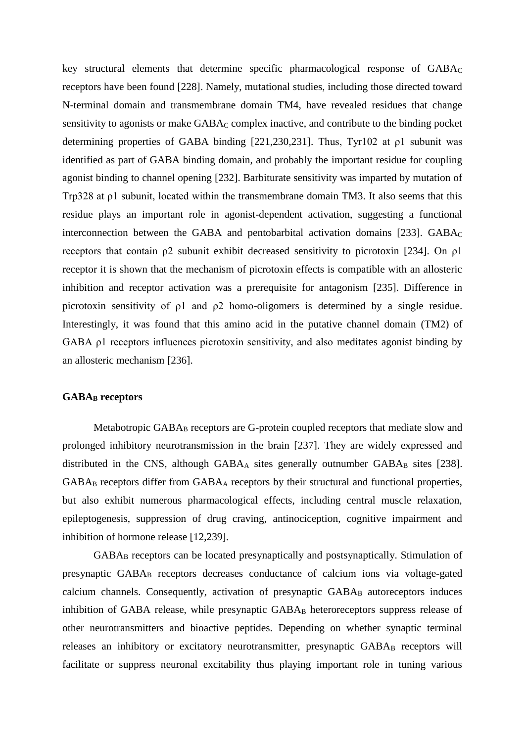key structural elements that determine specific pharmacological response of GABA<sub>C</sub> receptors have been found [228]. Namely, mutational studies, including those directed toward N-terminal domain and transmembrane domain TM4, have revealed residues that change sensitivity to agonists or make GABA<sub>C</sub> complex inactive, and contribute to the binding pocket determining properties of GABA binding [221,230,231]. Thus, Tyr102 at ρ1 subunit was identified as part of GABA binding domain, and probably the important residue for coupling agonist binding to channel opening [232]. Barbiturate sensitivity was imparted by mutation of Trp328 at ρ1 subunit, located within the transmembrane domain TM3. It also seems that this residue plays an important role in agonist-dependent activation, suggesting a functional interconnection between the GABA and pentobarbital activation domains  $[233]$ . GABA<sub>C</sub> receptors that contain ρ2 subunit exhibit decreased sensitivity to picrotoxin [234]. On ρ1 receptor it is shown that the mechanism of picrotoxin effects is compatible with an allosteric inhibition and receptor activation was a prerequisite for antagonism [235]. Difference in picrotoxin sensitivity of ρ1 and ρ2 homo-oligomers is determined by a single residue. Interestingly, it was found that this amino acid in the putative channel domain (TM2) of GABA ρ1 receptors influences picrotoxin sensitivity, and also meditates agonist binding by an allosteric mechanism [236].

# **GABA<sup>B</sup> receptors**

Metabotropic GABA<sub>B</sub> receptors are G-protein coupled receptors that mediate slow and prolonged inhibitory neurotransmission in the brain [237]. They are widely expressed and distributed in the CNS, although  $GABA_A$  sites generally outnumber  $GABA_B$  sites [238]. GABA<sup>B</sup> receptors differ from GABA<sup>A</sup> receptors by their structural and functional properties, but also exhibit numerous pharmacological effects, including central muscle relaxation, epileptogenesis, suppression of drug craving, antinociception, cognitive impairment and inhibition of hormone release [12,239].

GABA<sup>B</sup> receptors can be located presynaptically and postsynaptically. Stimulation of presynaptic GABA<sub>B</sub> receptors decreases conductance of calcium ions via voltage-gated calcium channels. Consequently, activation of presynaptic  $GABA_B$  autoreceptors induces inhibition of GABA release, while presynaptic GABA<sub>B</sub> heteroreceptors suppress release of other neurotransmitters and bioactive peptides. Depending on whether synaptic terminal releases an inhibitory or excitatory neurotransmitter, presynaptic GABAB receptors will facilitate or suppress neuronal excitability thus playing important role in tuning various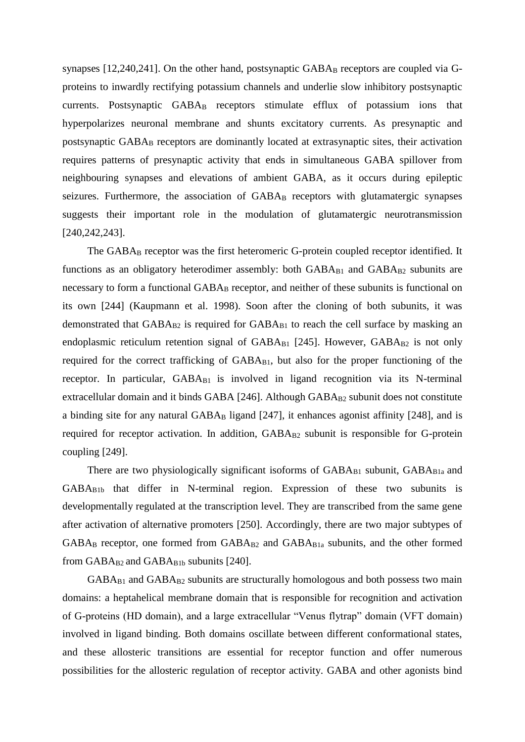synapses [12,240,241]. On the other hand, postsynaptic  $GABA_B$  receptors are coupled via  $G$ proteins to inwardly rectifying potassium channels and underlie slow inhibitory postsynaptic currents. Postsynaptic GABA<sub>B</sub> receptors stimulate efflux of potassium ions that hyperpolarizes neuronal membrane and shunts excitatory currents. As presynaptic and postsynaptic GABA<sub>B</sub> receptors are dominantly located at extrasynaptic sites, their activation requires patterns of presynaptic activity that ends in simultaneous GABA spillover from neighbouring synapses and elevations of ambient GABA, as it occurs during epileptic seizures. Furthermore, the association of GABA<sub>B</sub> receptors with glutamatergic synapses suggests their important role in the modulation of glutamatergic neurotransmission [240,242,243].

The GABA<sub>B</sub> receptor was the first heteromeric G-protein coupled receptor identified. It functions as an obligatory heterodimer assembly: both  $GABA_{B1}$  and  $GABA_{B2}$  subunits are necessary to form a functional GABA<sub>B</sub> receptor, and neither of these subunits is functional on its own [244] (Kaupmann et al. 1998). Soon after the cloning of both subunits, it was demonstrated that  $GABA_{B2}$  is required for  $GABA_{B1}$  to reach the cell surface by masking an endoplasmic reticulum retention signal of  $GABA_{B1}$  [245]. However,  $GABA_{B2}$  is not only required for the correct trafficking of GABA<sub>B1</sub>, but also for the proper functioning of the receptor. In particular,  $GABA_{B1}$  is involved in ligand recognition via its N-terminal extracellular domain and it binds GABA [246]. Although  $GABA_{B2}$  subunit does not constitute a binding site for any natural  $GABA_B$  ligand  $[247]$ , it enhances agonist affinity  $[248]$ , and is required for receptor activation. In addition, GABA<sub>B2</sub> subunit is responsible for G-protein coupling [249].

There are two physiologically significant isoforms of  $GABA_{B1}$  subunit,  $GABA_{B1a}$  and GABAB1b that differ in N-terminal region. Expression of these two subunits is developmentally regulated at the transcription level. They are transcribed from the same gene after activation of alternative promoters [250]. Accordingly, there are two major subtypes of  $GABA_B$  receptor, one formed from  $GABA_{B2}$  and  $GABA_{B1a}$  subunits, and the other formed from  $GABA_{B2}$  and  $GABA_{B1b}$  subunits [240].

 $GABA_{B1}$  and  $GABA_{B2}$  subunits are structurally homologous and both possess two main domains: a heptahelical membrane domain that is responsible for recognition and activation of G-proteins (HD domain), and a large extracellular "Venus flytrap" domain (VFT domain) involved in ligand binding. Both domains oscillate between different conformational states, and these allosteric transitions are essential for receptor function and offer numerous possibilities for the allosteric regulation of receptor activity. GABA and other agonists bind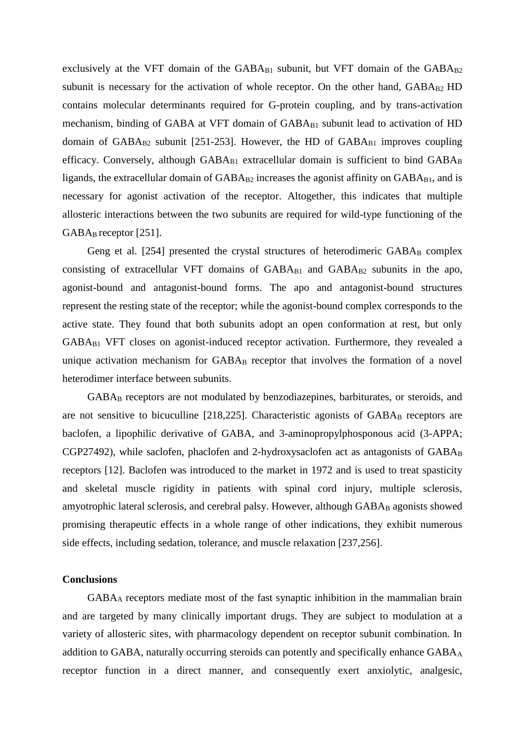exclusively at the VFT domain of the  $GABA_{B1}$  subunit, but VFT domain of the  $GABA_{B2}$ subunit is necessary for the activation of whole receptor. On the other hand,  $GABA_{B2}$  HD contains molecular determinants required for G-protein coupling, and by trans-activation mechanism, binding of GABA at VFT domain of GABA<sub>B1</sub> subunit lead to activation of HD domain of  $GABA_{B2}$  subunit [251-253]. However, the HD of  $GABA_{B1}$  improves coupling efficacy. Conversely, although  $GABA_{B1}$  extracellular domain is sufficient to bind  $GABA_B$ ligands, the extracellular domain of  $GABA_{B2}$  increases the agonist affinity on  $GABA_{B1}$ , and is necessary for agonist activation of the receptor. Altogether, this indicates that multiple allosteric interactions between the two subunits are required for wild-type functioning of the  $GABA_B$  receptor [251].

Geng et al.  $[254]$  presented the crystal structures of heterodimeric  $GABA_B$  complex consisting of extracellular VFT domains of  $GABA_{B1}$  and  $GABA_{B2}$  subunits in the apo, agonist-bound and antagonist-bound forms. The apo and antagonist-bound structures represent the resting state of the receptor; while the agonist-bound complex corresponds to the active state. They found that both subunits adopt an open conformation at rest, but only GABAB1 VFT closes on agonist-induced receptor activation. Furthermore, they revealed a unique activation mechanism for GABA<sub>B</sub> receptor that involves the formation of a novel heterodimer interface between subunits.

GABA<sup>B</sup> receptors are not modulated by benzodiazepines, barbiturates, or steroids, and are not sensitive to bicuculline  $[218,225]$ . Characteristic agonists of GABA $_B$  receptors are baclofen, a lipophilic derivative of GABA, and 3-aminopropylphosponous acid (3-APPA;  $CGP27492)$ , while saclofen, phaclofen and 2-hydroxysaclofen act as antagonists of  $GABA_B$ receptors [12]. Baclofen was introduced to the market in 1972 and is used to treat spasticity and skeletal muscle rigidity in patients with spinal cord injury, multiple sclerosis, amyotrophic lateral sclerosis, and cerebral palsy. However, although  $GABA_B$  agonists showed promising therapeutic effects in a whole range of other indications, they exhibit numerous side effects, including sedation, tolerance, and muscle relaxation [237,256].

# **Conclusions**

GABA<sup>A</sup> receptors mediate most of the fast synaptic inhibition in the mammalian brain and are targeted by many clinically important drugs. They are subject to modulation at a variety of allosteric sites, with pharmacology dependent on receptor subunit combination. In addition to GABA, naturally occurring steroids can potently and specifically enhance  $GABA_A$ receptor function in a direct manner, and consequently exert anxiolytic, analgesic,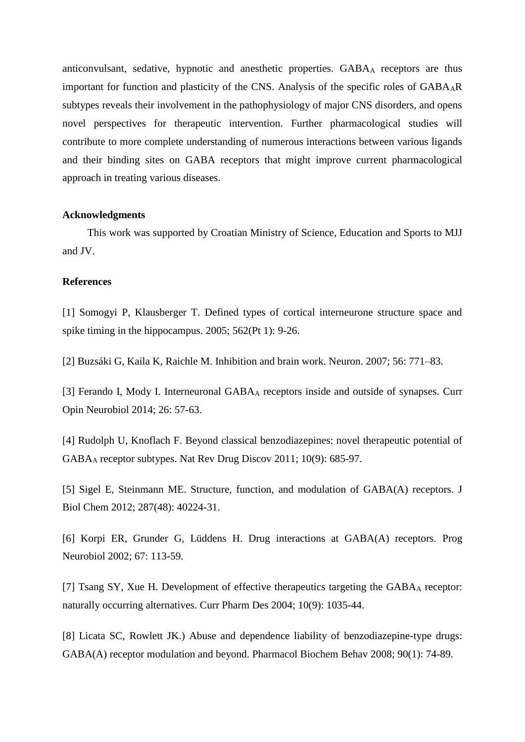anticonvulsant, sedative, hypnotic and anesthetic properties. GABA<sub>A</sub> receptors are thus important for function and plasticity of the CNS. Analysis of the specific roles of  $GABA_AR$ subtypes reveals their involvement in the pathophysiology of major CNS disorders, and opens novel perspectives for therapeutic intervention. Further pharmacological studies will contribute to more complete understanding of numerous interactions between various ligands and their binding sites on GABA receptors that might improve current pharmacological approach in treating various diseases.

#### **Acknowledgments**

This work was supported by Croatian Ministry of Science, Education and Sports to MJJ and JV.

#### **References**

[1] [Somogyi P,](http://www.ncbi.nlm.nih.gov/pubmed/?term=Somogyi%20P%5BAuthor%5D&cauthor=true&cauthor_uid=15539390) [Klausberger T.](http://www.ncbi.nlm.nih.gov/pubmed/?term=Klausberger%20T%5BAuthor%5D&cauthor=true&cauthor_uid=15539390) Defined types of cortical interneurone structure space and spike timing in the hippocampus. 2005; 562(Pt 1): 9-26.

[2] Buzsáki G, Kaila K, Raichle M. Inhibition and brain work. Neuron. 2007; 56: 771–83.

[3] [Ferando I,](http://www.ncbi.nlm.nih.gov/pubmed/?term=Ferando%20I%5BAuthor%5D&cauthor=true&cauthor_uid=24650505) [Mody I.](http://www.ncbi.nlm.nih.gov/pubmed/?term=Mody%20I%5BAuthor%5D&cauthor=true&cauthor_uid=24650505) Interneuronal GABA<sub>A</sub> receptors inside and outside of synapses. Curr [Opin Neurobiol](http://www.ncbi.nlm.nih.gov/pubmed/24650505) 2014; 26: 57-63.

[4] [Rudolph U,](http://www.ncbi.nlm.nih.gov/pubmed/?term=Rudolph%20U%5BAuthor%5D&cauthor=true&cauthor_uid=21799515) [Knoflach F.](http://www.ncbi.nlm.nih.gov/pubmed/?term=Knoflach%20F%5BAuthor%5D&cauthor=true&cauthor_uid=21799515) Beyond classical benzodiazepines: novel therapeutic potential of GABA<sup>A</sup> receptor subtypes. [Nat Rev Drug Discov](http://www.ncbi.nlm.nih.gov/pubmed/21799515) 2011; 10(9): 685-97.

[5] Sigel E, Steinmann ME. Structure, function, and modulation of GABA(A) receptors. J Biol Chem 2012; 287(48): 40224-31.

[6] Korpi ER, Grunder G, Lüddens H. Drug interactions at GABA(A) receptors. Prog Neurobiol 2002; 67: 113-59.

[7] [Tsang SY,](http://www.ncbi.nlm.nih.gov/pubmed/?term=Tsang%20SY%5BAuthor%5D&cauthor=true&cauthor_uid=15078131) [Xue H.](http://www.ncbi.nlm.nih.gov/pubmed/?term=Xue%20H%5BAuthor%5D&cauthor=true&cauthor_uid=15078131) Development of effective therapeutics targeting the GABA<sub>A</sub> receptor: naturally occurring alternatives. [Curr Pharm Des](http://www.ncbi.nlm.nih.gov/pubmed/15078131) 2004; 10(9): 1035-44.

[8] [Licata SC,](http://www.ncbi.nlm.nih.gov/pubmed/?term=Licata%20SC%5BAuthor%5D&cauthor=true&cauthor_uid=18295321) [Rowlett JK.](http://www.ncbi.nlm.nih.gov/pubmed/?term=Rowlett%20JK%5BAuthor%5D&cauthor=true&cauthor_uid=18295321)) Abuse and dependence liability of benzodiazepine-type drugs: GABA(A) receptor modulation and beyond. [Pharmacol Biochem Behav](http://www.ncbi.nlm.nih.gov/pubmed/18295321) 2008; 90(1): 74-89.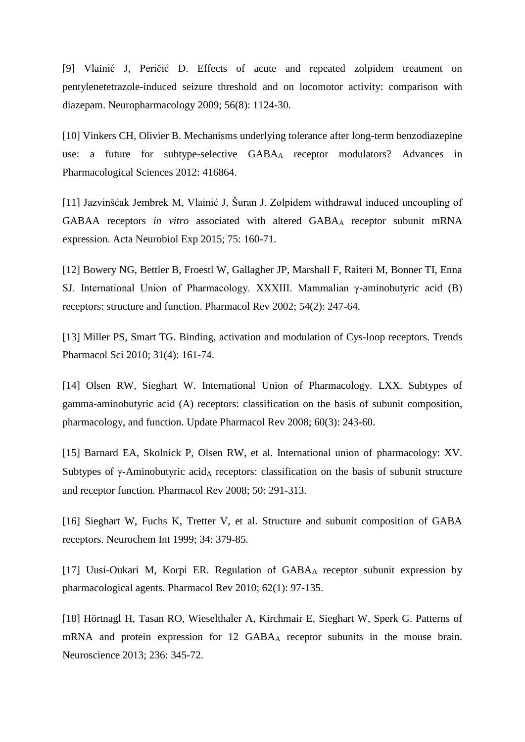[9] [Vlainić J,](http://www.ncbi.nlm.nih.gov/pubmed/?term=Vlaini%C4%87%20J%5BAuthor%5D&cauthor=true&cauthor_uid=19345234) [Peričić D.](http://www.ncbi.nlm.nih.gov/pubmed/?term=Perici%C4%87%20D%5BAuthor%5D&cauthor=true&cauthor_uid=19345234) Effects of acute and repeated zolpidem treatment on pentylenetetrazole-induced seizure threshold and on locomotor activity: comparison with diazepam. [Neuropharmacology](http://www.ncbi.nlm.nih.gov/pubmed/19345234) 2009; 56(8): 1124-30.

[10] Vinkers CH, Olivier B. Mechanisms underlying tolerance after long-term benzodiazepine use: a future for subtype-selective GABA<sub>A</sub> receptor modulators? Advances in Pharmacological Sciences 2012: 416864.

[11] Jazvinšćak Jembrek M, Vlainić J, Šuran J. Zolpidem withdrawal induced uncoupling of GABAA receptors *in vitro* associated with altered GABA<sup>A</sup> receptor subunit mRNA expression. Acta Neurobiol Exp 2015; 75: 160-71.

[12] Bowery NG, Bettler B, Froestl W, Gallagher JP, Marshall F, Raiteri M, Bonner TI, Enna SJ. International Union of Pharmacology. XXXIII. Mammalian γ-aminobutyric acid (B) receptors: structure and function. Pharmacol Rev 2002; 54(2): 247-64.

[13] [Miller PS,](http://www.ncbi.nlm.nih.gov/pubmed/?term=Miller%20PS%5BAuthor%5D&cauthor=true&cauthor_uid=20096941) [Smart TG.](http://www.ncbi.nlm.nih.gov/pubmed/?term=Smart%20TG%5BAuthor%5D&cauthor=true&cauthor_uid=20096941) Binding, activation and modulation of Cys-loop receptors. Trends [Pharmacol Sci](http://www.ncbi.nlm.nih.gov/pubmed/20096941) 2010; 31(4): 161-74.

[14] [Olsen RW,](http://www.ncbi.nlm.nih.gov/pubmed/?term=Olsen%20RW%5BAuthor%5D&cauthor=true&cauthor_uid=18790874) [Sieghart W.](http://www.ncbi.nlm.nih.gov/pubmed/?term=Sieghart%20W%5BAuthor%5D&cauthor=true&cauthor_uid=18790874) International Union of Pharmacology. LXX. Subtypes of gamma-aminobutyric acid (A) receptors: classification on the basis of subunit composition, pharmacology, and function. Update [Pharmacol Rev](http://www.ncbi.nlm.nih.gov/pubmed/18790874) 2008; 60(3): 243-60.

[15] Barnard EA, Skolnick P, Olsen RW, et al. International union of pharmacology: XV. Subtypes of  $\gamma$ -Aminobutyric acid<sub>A</sub> receptors: classification on the basis of subunit structure and receptor function*.* Pharmacol Rev 2008; 50: 291-313.

[16] Sieghart W, Fuchs K, Tretter V, et al. Structure and subunit composition of GABA receptors. Neurochem Int 1999; 34: 379-85.

[17] Uusi-Oukari M, Korpi ER. Regulation of GABA<sup>A</sup> receptor subunit expression by pharmacological agents. Pharmacol Rev 2010; 62(1): 97-135.

[18] [Hörtnagl H,](http://www.ncbi.nlm.nih.gov/pubmed/?term=H%C3%B6rtnagl%20H%5BAuthor%5D&cauthor=true&cauthor_uid=23337532) [Tasan RO,](http://www.ncbi.nlm.nih.gov/pubmed/?term=Tasan%20RO%5BAuthor%5D&cauthor=true&cauthor_uid=23337532) [Wieselthaler A,](http://www.ncbi.nlm.nih.gov/pubmed/?term=Wieselthaler%20A%5BAuthor%5D&cauthor=true&cauthor_uid=23337532) [Kirchmair E,](http://www.ncbi.nlm.nih.gov/pubmed/?term=Kirchmair%20E%5BAuthor%5D&cauthor=true&cauthor_uid=23337532) [Sieghart W,](http://www.ncbi.nlm.nih.gov/pubmed/?term=Sieghart%20W%5BAuthor%5D&cauthor=true&cauthor_uid=23337532) [Sperk G.](http://www.ncbi.nlm.nih.gov/pubmed/?term=Sperk%20G%5BAuthor%5D&cauthor=true&cauthor_uid=23337532) Patterns of mRNA and protein expression for 12 GABA<sup>A</sup> receptor subunits in the mouse brain. [Neuroscience](http://www.ncbi.nlm.nih.gov/pubmed/23337532) 2013; 236: 345-72.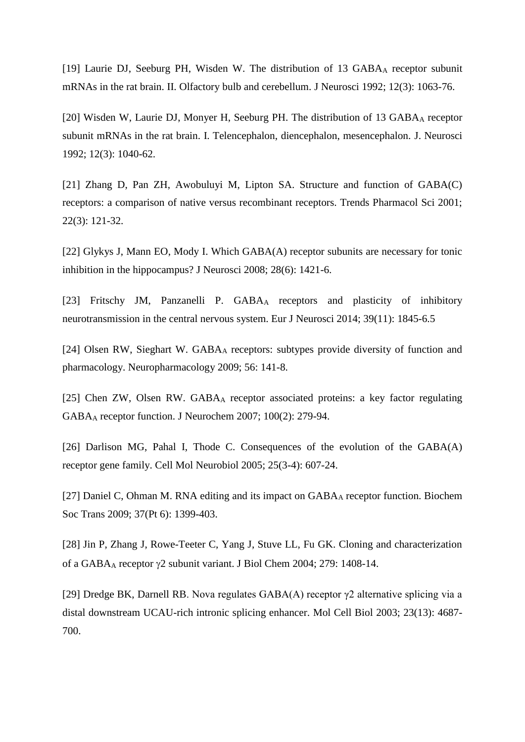[19] [Laurie DJ,](http://www.ncbi.nlm.nih.gov/pubmed/?term=Laurie%20DJ%5BAuthor%5D&cauthor=true&cauthor_uid=1312132) [Seeburg PH,](http://www.ncbi.nlm.nih.gov/pubmed/?term=Seeburg%20PH%5BAuthor%5D&cauthor=true&cauthor_uid=1312132) [Wisden W.](http://www.ncbi.nlm.nih.gov/pubmed/?term=Wisden%20W%5BAuthor%5D&cauthor=true&cauthor_uid=1312132) The distribution of 13 GABA<sup>A</sup> receptor subunit mRNAs in the rat brain. II. Olfactory bulb and cerebellum. [J Neurosci](http://www.ncbi.nlm.nih.gov/pubmed/1312132) 1992; 12(3): 1063-76.

[20] [Wisden W,](http://www.ncbi.nlm.nih.gov/pubmed/?term=Wisden%20W%5BAuthor%5D&cauthor=true&cauthor_uid=1312131) [Laurie DJ,](http://www.ncbi.nlm.nih.gov/pubmed/?term=Laurie%20DJ%5BAuthor%5D&cauthor=true&cauthor_uid=1312131) [Monyer H,](http://www.ncbi.nlm.nih.gov/pubmed/?term=Monyer%20H%5BAuthor%5D&cauthor=true&cauthor_uid=1312131) [Seeburg PH.](http://www.ncbi.nlm.nih.gov/pubmed/?term=Seeburg%20PH%5BAuthor%5D&cauthor=true&cauthor_uid=1312131) The distribution of 13 GABA<sub>A</sub> receptor subunit mRNAs in the rat brain. I. Telencephalon, diencephalon, mesencephalon. [J. Neurosci](http://www.ncbi.nlm.nih.gov/pubmed/1312131) 1992; 12(3): 1040-62.

[21] Zhang D, Pan ZH, Awobuluyi M, Lipton SA. Structure and function of GABA(C) receptors: a comparison of native versus recombinant receptors. Trends Pharmacol Sci 2001; 22(3): 121-32.

[22] Glykys J, [Mann EO,](http://www.ncbi.nlm.nih.gov/pubmed/?term=Mann%20EO%5BAuthor%5D&cauthor=true&cauthor_uid=18256262) [Mody I.](http://www.ncbi.nlm.nih.gov/pubmed/?term=Mody%20I%5BAuthor%5D&cauthor=true&cauthor_uid=18256262) Which GABA(A) receptor subunits are necessary for tonic inhibition in the hippocampus? J Neurosci 2008; 28(6): 1421-6.

[23] Fritschy JM, Panzanelli P. GABA<sub>A</sub> receptors and plasticity of inhibitory neurotransmission in the central nervous system. Eur J Neurosci 2014; 39(11): 1845-6.5

[24] Olsen RW, Sieghart W. GABA<sup>A</sup> [receptors: subtypes provide diversity of function and](http://www.ncbi.nlm.nih.gov/pubmed/18760291)  [pharmacology.](http://www.ncbi.nlm.nih.gov/pubmed/18760291) Neuropharmacology 2009; 56: 141-8.

[25] [Chen ZW,](http://www.ncbi.nlm.nih.gov/pubmed/?term=Chen%20ZW%5BAuthor%5D&cauthor=true&cauthor_uid=17083446) [Olsen RW.](http://www.ncbi.nlm.nih.gov/pubmed/?term=Olsen%20RW%5BAuthor%5D&cauthor=true&cauthor_uid=17083446) GABA<sup>A</sup> receptor associated proteins: a key factor regulating GABA<sup>A</sup> receptor function. J Neurochem 2007; 100(2): 279-94.

[26] [Darlison MG,](http://www.ncbi.nlm.nih.gov/pubmed/?term=Darlison%20MG%5BAuthor%5D&cauthor=true&cauthor_uid=16075381) [Pahal I,](http://www.ncbi.nlm.nih.gov/pubmed/?term=Pahal%20I%5BAuthor%5D&cauthor=true&cauthor_uid=16075381) [Thode C.](http://www.ncbi.nlm.nih.gov/pubmed/?term=Thode%20C%5BAuthor%5D&cauthor=true&cauthor_uid=16075381) Consequences of the evolution of the GABA(A) receptor gene family. Cell Mol Neurobiol 2005; 25(3-4): 607-24.

[27] [Daniel C,](http://www.ncbi.nlm.nih.gov/pubmed/?term=Daniel%20C%5BAuthor%5D&cauthor=true&cauthor_uid=19909284) Ohman M. RNA editing and its impact on GABA<sub>A</sub> receptor function. Biochem Soc Trans 2009; 37(Pt 6): 1399-403.

[28] Jin P, Zhang J, Rowe-Teeter C, Yang J, Stuve LL, Fu GK. Cloning and characterization of a GABA<sub>A</sub> receptor  $\gamma$ 2 subunit variant. J Biol Chem 2004; 279: 1408-14.

[29] [Dredge BK,](http://www.ncbi.nlm.nih.gov/pubmed/?term=Dredge%20BK%5BAuthor%5D&cauthor=true&cauthor_uid=12808107) [Darnell RB.](http://www.ncbi.nlm.nih.gov/pubmed/?term=Darnell%20RB%5BAuthor%5D&cauthor=true&cauthor_uid=12808107) Nova regulates GABA(A) receptor γ2 alternative splicing via a distal downstream UCAU-rich intronic splicing enhancer. [Mol Cell Biol](http://www.ncbi.nlm.nih.gov/pubmed/12808107) 2003; 23(13): 4687- 700.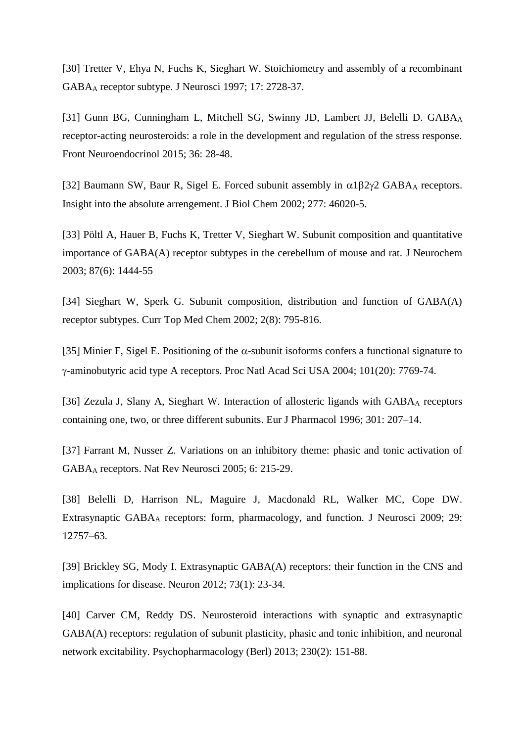[30] Tretter V, Ehya N, Fuchs K, Sieghart W. Stoichiometry and assembly of a recombinant GABA<sup>A</sup> receptor subtype. J Neurosci 1997; 17: 2728-37.

[31] [Gunn BG,](http://www.ncbi.nlm.nih.gov/pubmed/?term=Gunn%20BG%5BAuthor%5D&cauthor=true&cauthor_uid=24929099) [Cunningham L,](http://www.ncbi.nlm.nih.gov/pubmed/?term=Cunningham%20L%5BAuthor%5D&cauthor=true&cauthor_uid=24929099) [Mitchell SG,](http://www.ncbi.nlm.nih.gov/pubmed/?term=Mitchell%20SG%5BAuthor%5D&cauthor=true&cauthor_uid=24929099) [Swinny JD,](http://www.ncbi.nlm.nih.gov/pubmed/?term=Swinny%20JD%5BAuthor%5D&cauthor=true&cauthor_uid=24929099) [Lambert JJ,](http://www.ncbi.nlm.nih.gov/pubmed/?term=Lambert%20JJ%5BAuthor%5D&cauthor=true&cauthor_uid=24929099) [Belelli D.](http://www.ncbi.nlm.nih.gov/pubmed/?term=Belelli%20D%5BAuthor%5D&cauthor=true&cauthor_uid=24929099) GABAA receptor-acting neurosteroids: a role in the development and regulation of the stress response. [Front Neuroendocrinol](http://www.ncbi.nlm.nih.gov/pubmed/24929099) 2015; 36: 28-48.

[32] Baumann SW, Baur R, Sigel E. Forced subunit assembly in  $\alpha$ 1 $\beta$ 2 $\gamma$ 2 GABA<sub>A</sub> receptors. Insight into the absolute arrengement. J Biol Chem 2002; 277: 46020-5.

[33] [Pöltl A,](http://www.ncbi.nlm.nih.gov/pubmed/?term=P%C3%B6ltl%20A%5BAuthor%5D&cauthor=true&cauthor_uid=14713300) [Hauer B,](http://www.ncbi.nlm.nih.gov/pubmed/?term=Hauer%20B%5BAuthor%5D&cauthor=true&cauthor_uid=14713300) [Fuchs K,](http://www.ncbi.nlm.nih.gov/pubmed/?term=Fuchs%20K%5BAuthor%5D&cauthor=true&cauthor_uid=14713300) [Tretter](http://www.ncbi.nlm.nih.gov/pubmed/?term=Tretter%20V%5BAuthor%5D&cauthor=true&cauthor_uid=14713300) V, [Sieghart W.](http://www.ncbi.nlm.nih.gov/pubmed/?term=Sieghart%20W%5BAuthor%5D&cauthor=true&cauthor_uid=14713300) Subunit composition and quantitative importance of GABA(A) receptor subtypes in the cerebellum of mouse and rat. [J Neurochem](http://www.ncbi.nlm.nih.gov/pubmed/14713300) 2003; 87(6): 1444-55

[34] [Sieghart W,](http://www.ncbi.nlm.nih.gov/pubmed/?term=Sieghart%20W%5BAuthor%5D&cauthor=true&cauthor_uid=12171572) [Sperk G.](http://www.ncbi.nlm.nih.gov/pubmed/?term=Sperk%20G%5BAuthor%5D&cauthor=true&cauthor_uid=12171572) Subunit composition, distribution and function of GABA(A) receptor subtypes. [Curr Top Med Chem](http://www.ncbi.nlm.nih.gov/pubmed/12171572) 2002; 2(8): 795-816.

[35] [Minier F,](http://www.ncbi.nlm.nih.gov/pubmed/?term=Minier%20F%5BAuthor%5D&cauthor=true&cauthor_uid=15136735) [Sigel E.](http://www.ncbi.nlm.nih.gov/pubmed/?term=Sigel%20E%5BAuthor%5D&cauthor=true&cauthor_uid=15136735) Positioning of the  $\alpha$ -subunit isoforms confers a functional signature to -aminobutyric acid type A receptors. Proc Natl Acad Sci USA 2004; 101(20): 7769-74.

[36] Zezula J, Slany A, Sieghart W. Interaction of allosteric ligands with GABA<sub>A</sub> receptors containing one, two, or three different subunits. Eur J Pharmacol 1996; 301: 207–14.

[37] Farrant M, Nusser Z. Variations on an inhibitory theme: phasic and tonic activation of GABA<sup>A</sup> receptors. Nat Rev Neurosci 2005; 6: 215-29.

[38] Belelli D, Harrison NL, Maguire J, Macdonald RL, Walker MC, Cope DW. Extrasynaptic GABA<sup>A</sup> receptors: form, pharmacology, and function. J Neurosci 2009; 29: 12757–63.

[39] [Brickley SG,](http://www.ncbi.nlm.nih.gov/pubmed/?term=Brickley%20SG%5BAuthor%5D&cauthor=true&cauthor_uid=22243744) [Mody I.](http://www.ncbi.nlm.nih.gov/pubmed/?term=Mody%20I%5BAuthor%5D&cauthor=true&cauthor_uid=22243744) Extrasynaptic GABA(A) receptors: their function in the CNS and implications for disease. [Neuron](http://www.ncbi.nlm.nih.gov/pubmed/22243744) 2012; 73(1): 23-34.

[40] [Carver CM,](http://www.ncbi.nlm.nih.gov/pubmed/?term=Carver%20CM%5BAuthor%5D&cauthor=true&cauthor_uid=24071826) [Reddy DS.](http://www.ncbi.nlm.nih.gov/pubmed/?term=Reddy%20DS%5BAuthor%5D&cauthor=true&cauthor_uid=24071826) Neurosteroid interactions with synaptic and extrasynaptic GABA(A) receptors: regulation of subunit plasticity, phasic and tonic inhibition, and neuronal network excitability. [Psychopharmacology \(Berl\)](http://www.ncbi.nlm.nih.gov/pubmed/24071826) 2013; 230(2): 151-88.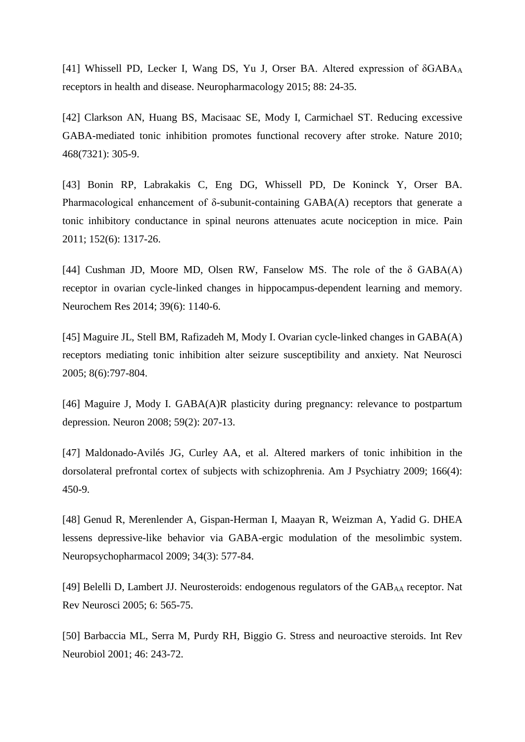[41] [Whissell PD,](http://www.ncbi.nlm.nih.gov/pubmed/?term=Whissell%20PD%5BAuthor%5D&cauthor=true&cauthor_uid=25128850) [Lecker I,](http://www.ncbi.nlm.nih.gov/pubmed/?term=Lecker%20I%5BAuthor%5D&cauthor=true&cauthor_uid=25128850) [Wang DS,](http://www.ncbi.nlm.nih.gov/pubmed/?term=Wang%20DS%5BAuthor%5D&cauthor=true&cauthor_uid=25128850) [Yu J,](http://www.ncbi.nlm.nih.gov/pubmed/?term=Yu%20J%5BAuthor%5D&cauthor=true&cauthor_uid=25128850) [Orser BA.](http://www.ncbi.nlm.nih.gov/pubmed/?term=Orser%20BA%5BAuthor%5D&cauthor=true&cauthor_uid=25128850) Altered expression of δGABA<sub>A</sub> receptors in health and disease. [Neuropharmacology](http://www.ncbi.nlm.nih.gov/pubmed/25128850) 2015; 88: 24-35.

[42] [Clarkson AN,](http://www.ncbi.nlm.nih.gov/pubmed/?term=Clarkson%20AN%5BAuthor%5D&cauthor=true&cauthor_uid=21048709) [Huang BS,](http://www.ncbi.nlm.nih.gov/pubmed/?term=Huang%20BS%5BAuthor%5D&cauthor=true&cauthor_uid=21048709) [Macisaac SE,](http://www.ncbi.nlm.nih.gov/pubmed/?term=Macisaac%20SE%5BAuthor%5D&cauthor=true&cauthor_uid=21048709) [Mody I,](http://www.ncbi.nlm.nih.gov/pubmed/?term=Mody%20I%5BAuthor%5D&cauthor=true&cauthor_uid=21048709) [Carmichael ST.](http://www.ncbi.nlm.nih.gov/pubmed/?term=Carmichael%20ST%5BAuthor%5D&cauthor=true&cauthor_uid=21048709) Reducing excessive GABA-mediated tonic inhibition promotes functional recovery after stroke. [Nature](http://www.ncbi.nlm.nih.gov/pubmed/21048709) 2010; 468(7321): 305-9.

[43] [Bonin RP,](http://www.ncbi.nlm.nih.gov/pubmed/?term=Bonin%20RP%5BAuthor%5D&cauthor=true&cauthor_uid=21396779) [Labrakakis C,](http://www.ncbi.nlm.nih.gov/pubmed/?term=Labrakakis%20C%5BAuthor%5D&cauthor=true&cauthor_uid=21396779) [Eng DG,](http://www.ncbi.nlm.nih.gov/pubmed/?term=Eng%20DG%5BAuthor%5D&cauthor=true&cauthor_uid=21396779) [Whissell PD,](http://www.ncbi.nlm.nih.gov/pubmed/?term=Whissell%20PD%5BAuthor%5D&cauthor=true&cauthor_uid=21396779) [De Koninck Y,](http://www.ncbi.nlm.nih.gov/pubmed/?term=De%20Koninck%20Y%5BAuthor%5D&cauthor=true&cauthor_uid=21396779) [Orser BA.](http://www.ncbi.nlm.nih.gov/pubmed/?term=Orser%20BA%5BAuthor%5D&cauthor=true&cauthor_uid=21396779) Pharmacological enhancement of δ-subunit-containing  $GABA(A)$  receptors that generate a tonic inhibitory conductance in spinal neurons attenuates acute nociception in mice. [Pain](http://www.ncbi.nlm.nih.gov/pubmed/21396779) 2011; 152(6): 1317-26.

[44] [Cushman JD,](http://www.ncbi.nlm.nih.gov/pubmed/?term=Cushman%20JD%5BAuthor%5D&cauthor=true&cauthor_uid=24667980) [Moore MD,](http://www.ncbi.nlm.nih.gov/pubmed/?term=Moore%20MD%5BAuthor%5D&cauthor=true&cauthor_uid=24667980) [Olsen RW,](http://www.ncbi.nlm.nih.gov/pubmed/?term=Olsen%20RW%5BAuthor%5D&cauthor=true&cauthor_uid=24667980) [Fanselow MS.](http://www.ncbi.nlm.nih.gov/pubmed/?term=Fanselow%20MS%5BAuthor%5D&cauthor=true&cauthor_uid=24667980) The role of the  $\delta$  GABA(A) receptor in ovarian cycle-linked changes in hippocampus-dependent learning and memory. [Neurochem Res](http://www.ncbi.nlm.nih.gov/pubmed/24667980) 2014; 39(6): 1140-6.

[45] [Maguire JL,](http://www.ncbi.nlm.nih.gov/pubmed/?term=Maguire%20JL%5BAuthor%5D&cauthor=true&cauthor_uid=15895085) [Stell BM,](http://www.ncbi.nlm.nih.gov/pubmed/?term=Stell%20BM%5BAuthor%5D&cauthor=true&cauthor_uid=15895085) [Rafizadeh M,](http://www.ncbi.nlm.nih.gov/pubmed/?term=Rafizadeh%20M%5BAuthor%5D&cauthor=true&cauthor_uid=15895085) [Mody I.](http://www.ncbi.nlm.nih.gov/pubmed/?term=Mody%20I%5BAuthor%5D&cauthor=true&cauthor_uid=15895085) Ovarian cycle-linked changes in GABA(A) receptors mediating tonic inhibition alter seizure susceptibility and anxiety. Nat Neurosci 2005; 8(6):797-804.

[46] [Maguire J,](http://www.ncbi.nlm.nih.gov/pubmed/?term=Maguire%20J%5BAuthor%5D&cauthor=true&cauthor_uid=18667149) [Mody I.](http://www.ncbi.nlm.nih.gov/pubmed/?term=Mody%20I%5BAuthor%5D&cauthor=true&cauthor_uid=18667149) GABA(A)R plasticity during pregnancy: relevance to postpartum depression. [Neuron](http://www.ncbi.nlm.nih.gov/pubmed/18667149) 2008; 59(2): 207-13.

[47] [Maldonado-Avilés JG,](http://www.ncbi.nlm.nih.gov/pubmed/?term=Maldonado-Avil%C3%A9s%20JG%5BAuthor%5D&cauthor=true&cauthor_uid=19289452) [Curley AA,](http://www.ncbi.nlm.nih.gov/pubmed/?term=Curley%20AA%5BAuthor%5D&cauthor=true&cauthor_uid=19289452) et al. Altered markers of tonic inhibition in the dorsolateral prefrontal cortex of subjects with schizophrenia. [Am J Psychiatry](http://www.ncbi.nlm.nih.gov/pubmed/19289452) 2009; 166(4): 450-9.

[48] Genud R, [Merenlender A,](http://www.ncbi.nlm.nih.gov/pubmed/?term=Merenlender%20A%5BAuthor%5D&cauthor=true&cauthor_uid=18496525) [Gispan-Herman I,](http://www.ncbi.nlm.nih.gov/pubmed/?term=Gispan-Herman%20I%5BAuthor%5D&cauthor=true&cauthor_uid=18496525) [Maayan R,](http://www.ncbi.nlm.nih.gov/pubmed/?term=Maayan%20R%5BAuthor%5D&cauthor=true&cauthor_uid=18496525) [Weizman A,](http://www.ncbi.nlm.nih.gov/pubmed/?term=Weizman%20A%5BAuthor%5D&cauthor=true&cauthor_uid=18496525) [Yadid G.](http://www.ncbi.nlm.nih.gov/pubmed/?term=Yadid%20G%5BAuthor%5D&cauthor=true&cauthor_uid=18496525) DHEA lessens depressive-like behavior via GABA-ergic modulation of the mesolimbic system. Neuropsychopharmacol 2009; 34(3): 577-84.

[49] Belelli D, Lambert JJ. Neurosteroids: endogenous regulators of the GAB<sub>AA</sub> receptor. Nat Rev Neurosci 2005; 6: 565-75.

[50] [Barbaccia ML,](http://www.ncbi.nlm.nih.gov/pubmed/?term=Barbaccia%20ML%5BAuthor%5D&cauthor=true&cauthor_uid=11599302) [Serra M,](http://www.ncbi.nlm.nih.gov/pubmed/?term=Serra%20M%5BAuthor%5D&cauthor=true&cauthor_uid=11599302) [Purdy RH,](http://www.ncbi.nlm.nih.gov/pubmed/?term=Purdy%20RH%5BAuthor%5D&cauthor=true&cauthor_uid=11599302) [Biggio G.](http://www.ncbi.nlm.nih.gov/pubmed/?term=Biggio%20G%5BAuthor%5D&cauthor=true&cauthor_uid=11599302) Stress and neuroactive steroids. [Int Rev](http://www.ncbi.nlm.nih.gov/pubmed/11599302)  [Neurobiol](http://www.ncbi.nlm.nih.gov/pubmed/11599302) 2001; 46: 243-72.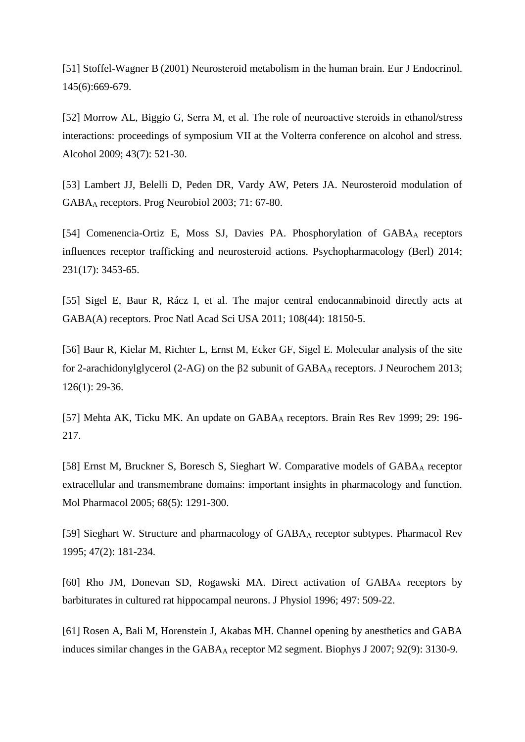[51] [Stoffel-Wagner B](http://www.ncbi.nlm.nih.gov/pubmed/?term=Stoffel-Wagner%20B%5BAuthor%5D&cauthor=true&cauthor_uid=11720889) (2001) Neurosteroid metabolism in the human brain. Eur J Endocrinol. 145(6):669-679.

[52] [Morrow AL,](http://www.ncbi.nlm.nih.gov/pubmed/?term=Morrow%20AL%5BAuthor%5D&cauthor=true&cauthor_uid=19913195) [Biggio G,](http://www.ncbi.nlm.nih.gov/pubmed/?term=Biggio%20G%5BAuthor%5D&cauthor=true&cauthor_uid=19913195) [Serra M,](http://www.ncbi.nlm.nih.gov/pubmed/?term=Serra%20M%5BAuthor%5D&cauthor=true&cauthor_uid=19913195) et al. The role of neuroactive steroids in ethanol/stress interactions: proceedings of symposium VII at the Volterra conference on alcohol and stress. [Alcohol](http://www.ncbi.nlm.nih.gov/pubmed/19913195) 2009; 43(7): 521-30.

[53] Lambert JJ, Belelli D, Peden DR, Vardy AW, Peters JA. Neurosteroid modulation of GABA<sup>A</sup> receptors. Prog Neurobiol 2003; 71: 67-80.

[54] [Comenencia-Ortiz E,](http://www.ncbi.nlm.nih.gov/pubmed/?term=Comenencia-Ortiz%20E%5BAuthor%5D&cauthor=true&cauthor_uid=24847959) [Moss SJ,](http://www.ncbi.nlm.nih.gov/pubmed/?term=Moss%20SJ%5BAuthor%5D&cauthor=true&cauthor_uid=24847959) [Davies PA.](http://www.ncbi.nlm.nih.gov/pubmed/?term=Davies%20PA%5BAuthor%5D&cauthor=true&cauthor_uid=24847959) Phosphorylation of GABAA receptors influences receptor trafficking and neurosteroid actions. [Psychopharmacology \(Berl\)](http://www.ncbi.nlm.nih.gov/pubmed/24847959) 2014; 231(17): 3453-65.

[55] [Sigel E,](http://www.ncbi.nlm.nih.gov/pubmed/?term=Sigel%20E%5BAuthor%5D&cauthor=true&cauthor_uid=22025726) [Baur R,](http://www.ncbi.nlm.nih.gov/pubmed/?term=Baur%20R%5BAuthor%5D&cauthor=true&cauthor_uid=22025726) [Rácz I,](http://www.ncbi.nlm.nih.gov/pubmed/?term=R%C3%A1cz%20I%5BAuthor%5D&cauthor=true&cauthor_uid=22025726) et al. The major central endocannabinoid directly acts at GABA(A) receptors. [Proc Natl Acad Sci USA](http://www.ncbi.nlm.nih.gov/pubmed/22025726) 2011; 108(44): 18150-5.

[56] [Baur R,](http://www.ncbi.nlm.nih.gov/pubmed/?term=Baur%20R%5BAuthor%5D&cauthor=true&cauthor_uid=23600744) [Kielar M,](http://www.ncbi.nlm.nih.gov/pubmed/?term=Kielar%20M%5BAuthor%5D&cauthor=true&cauthor_uid=23600744) [Richter L,](http://www.ncbi.nlm.nih.gov/pubmed/?term=Richter%20L%5BAuthor%5D&cauthor=true&cauthor_uid=23600744) [Ernst M,](http://www.ncbi.nlm.nih.gov/pubmed/?term=Ernst%20M%5BAuthor%5D&cauthor=true&cauthor_uid=23600744) [Ecker GF,](http://www.ncbi.nlm.nih.gov/pubmed/?term=Ecker%20GF%5BAuthor%5D&cauthor=true&cauthor_uid=23600744) [Sigel E.](http://www.ncbi.nlm.nih.gov/pubmed/?term=Sigel%20E%5BAuthor%5D&cauthor=true&cauthor_uid=23600744) Molecular analysis of the site for 2-arachidonylglycerol (2-AG) on the  $\beta$ 2 subunit of GABA<sub>A</sub> receptors. J Neurochem 2013; 126(1): 29-36.

[57] Mehta AK, Ticku MK. An update on GABA<sub>A</sub> receptors. Brain Res Rev 1999; 29: 196-217.

[58] [Ernst M,](http://www.ncbi.nlm.nih.gov/pubmed/?term=Ernst%20M%5BAuthor%5D&cauthor=true&cauthor_uid=16103045) [Bruckner S,](http://www.ncbi.nlm.nih.gov/pubmed/?term=Bruckner%20S%5BAuthor%5D&cauthor=true&cauthor_uid=16103045) [Boresch S,](http://www.ncbi.nlm.nih.gov/pubmed/?term=Boresch%20S%5BAuthor%5D&cauthor=true&cauthor_uid=16103045) [Sieghart W.](http://www.ncbi.nlm.nih.gov/pubmed/?term=Sieghart%20W%5BAuthor%5D&cauthor=true&cauthor_uid=16103045) Comparative models of GABA<sup>A</sup> receptor extracellular and transmembrane domains: important insights in pharmacology and function. [Mol Pharmacol](http://www.ncbi.nlm.nih.gov/pubmed/16103045) 2005; 68(5): 1291-300.

[59] [Sieghart W.](http://www.ncbi.nlm.nih.gov/pubmed/?term=Sieghart%20W%5BAuthor%5D&cauthor=true&cauthor_uid=7568326) Structure and pharmacology of GABA<sup>A</sup> receptor subtypes. [Pharmacol Rev](http://www.ncbi.nlm.nih.gov/pubmed/7568326) 1995; 47(2): 181-234.

[60] [Rho JM,](http://www.ncbi.nlm.nih.gov/pubmed/?term=Rho%20JM%5BAuthor%5D&cauthor=true&cauthor_uid=8961191) [Donevan SD,](http://www.ncbi.nlm.nih.gov/pubmed/?term=Donevan%20SD%5BAuthor%5D&cauthor=true&cauthor_uid=8961191) [Rogawski MA.](http://www.ncbi.nlm.nih.gov/pubmed/?term=Rogawski%20MA%5BAuthor%5D&cauthor=true&cauthor_uid=8961191) Direct activation of GABA<sup>A</sup> receptors by barbiturates in cultured rat hippocampal neurons. [J Physiol](http://www.ncbi.nlm.nih.gov/pubmed/8961191) 1996; 497: 509-22.

[61] [Rosen A,](http://www.ncbi.nlm.nih.gov/pubmed/?term=Rosen%20A%5BAuthor%5D&cauthor=true&cauthor_uid=17293408) [Bali M,](http://www.ncbi.nlm.nih.gov/pubmed/?term=Bali%20M%5BAuthor%5D&cauthor=true&cauthor_uid=17293408) [Horenstein J,](http://www.ncbi.nlm.nih.gov/pubmed/?term=Horenstein%20J%5BAuthor%5D&cauthor=true&cauthor_uid=17293408) [Akabas MH.](http://www.ncbi.nlm.nih.gov/pubmed/?term=Akabas%20MH%5BAuthor%5D&cauthor=true&cauthor_uid=17293408) Channel opening by anesthetics and GABA induces similar changes in the GABA<sup>A</sup> receptor M2 segment. [Biophys J](http://www.ncbi.nlm.nih.gov/pubmed/17293408) 2007; 92(9): 3130-9.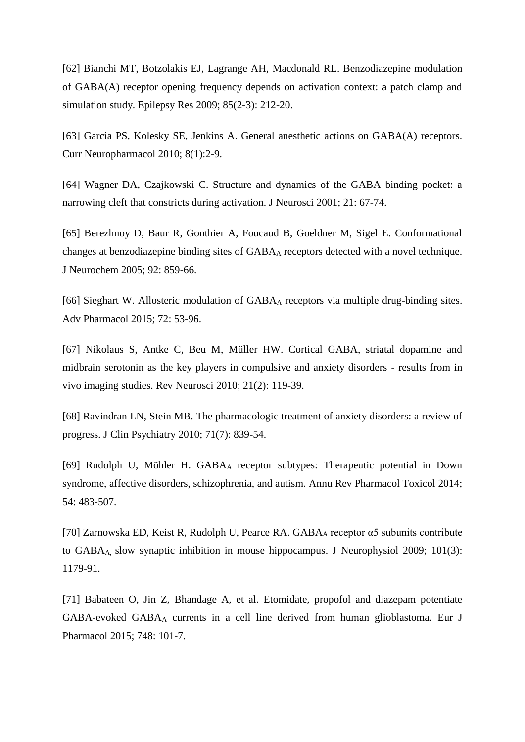[62] [Bianchi MT,](http://www.ncbi.nlm.nih.gov/pubmed/?term=Bianchi%20MT%5BAuthor%5D&cauthor=true&cauthor_uid=19447010) [Botzolakis EJ,](http://www.ncbi.nlm.nih.gov/pubmed/?term=Botzolakis%20EJ%5BAuthor%5D&cauthor=true&cauthor_uid=19447010) [Lagrange AH,](http://www.ncbi.nlm.nih.gov/pubmed/?term=Lagrange%20AH%5BAuthor%5D&cauthor=true&cauthor_uid=19447010) [Macdonald RL.](http://www.ncbi.nlm.nih.gov/pubmed/?term=Macdonald%20RL%5BAuthor%5D&cauthor=true&cauthor_uid=19447010) Benzodiazepine modulation of GABA(A) receptor opening frequency depends on activation context: a patch clamp and simulation study. [Epilepsy Res](http://www.ncbi.nlm.nih.gov/pubmed/19447010) 2009; 85(2-3): 212-20.

[63] [Garcia PS,](http://www.ncbi.nlm.nih.gov/pubmed/?term=Garcia%20PS%5BAuthor%5D&cauthor=true&cauthor_uid=20808541) [Kolesky SE,](http://www.ncbi.nlm.nih.gov/pubmed/?term=Kolesky%20SE%5BAuthor%5D&cauthor=true&cauthor_uid=20808541) [Jenkins A.](http://www.ncbi.nlm.nih.gov/pubmed/?term=Jenkins%20A%5BAuthor%5D&cauthor=true&cauthor_uid=20808541) General anesthetic actions on GABA(A) receptors. [Curr Neuropharmacol](http://www.ncbi.nlm.nih.gov/pubmed/20808541) 2010; 8(1):2-9.

[64] Wagner DA, Czajkowski C. Structure and dynamics of the GABA binding pocket: a narrowing cleft that constricts during activation. J Neurosci 2001; 21: 67-74.

[65] Berezhnoy D, Baur R, Gonthier A, Foucaud B, Goeldner M, Sigel E. Conformational changes at benzodiazepine binding sites of GABA<sup>A</sup> receptors detected with a novel technique. J Neurochem 2005; 92: 859-66.

[66] [Sieghart W.](http://www.ncbi.nlm.nih.gov/pubmed/?term=Sieghart%20W%5BAuthor%5D&cauthor=true&cauthor_uid=25600367) Allosteric modulation of GABA<sup>A</sup> receptors via multiple drug-binding sites. [Adv Pharmacol](http://www.ncbi.nlm.nih.gov/pubmed/25600367) 2015; 72: 53-96.

[67] [Nikolaus S,](http://www.ncbi.nlm.nih.gov/pubmed/?term=Nikolaus%20S%5BAuthor%5D&cauthor=true&cauthor_uid=20614802) [Antke C,](http://www.ncbi.nlm.nih.gov/pubmed/?term=Antke%20C%5BAuthor%5D&cauthor=true&cauthor_uid=20614802) [Beu M,](http://www.ncbi.nlm.nih.gov/pubmed/?term=Beu%20M%5BAuthor%5D&cauthor=true&cauthor_uid=20614802) [Müller HW.](http://www.ncbi.nlm.nih.gov/pubmed/?term=M%C3%BCller%20HW%5BAuthor%5D&cauthor=true&cauthor_uid=20614802) Cortical GABA, striatal dopamine and midbrain serotonin as the key players in compulsive and anxiety disorders - results from in vivo imaging studies. [Rev Neurosci](http://www.ncbi.nlm.nih.gov/pubmed/20614802) 2010; 21(2): 119-39.

[68] [Ravindran LN,](http://www.ncbi.nlm.nih.gov/pubmed/?term=Ravindran%20LN%5BAuthor%5D&cauthor=true&cauthor_uid=20667290) [Stein MB.](http://www.ncbi.nlm.nih.gov/pubmed/?term=Stein%20MB%5BAuthor%5D&cauthor=true&cauthor_uid=20667290) The pharmacologic treatment of anxiety disorders: a review of progress. [J Clin Psychiatry](http://www.ncbi.nlm.nih.gov/pubmed/20667290) 2010; 71(7): 839-54.

[69] [Rudolph U,](http://www.ncbi.nlm.nih.gov/pubmed/?term=Rudolph%20U%5BAuthor%5D&cauthor=true&cauthor_uid=24160694) [Möhler H.](http://www.ncbi.nlm.nih.gov/pubmed/?term=M%C3%B6hler%20H%5BAuthor%5D&cauthor=true&cauthor_uid=24160694) GABA<sup>A</sup> receptor subtypes: Therapeutic potential in Down syndrome, affective disorders, schizophrenia, and autism. [Annu Rev Pharmacol Toxicol](http://www.ncbi.nlm.nih.gov/pubmed/24160694) 2014; 54: 483-507.

[70] Zarnowska ED, Keist R, Rudolph U, Pearce RA. GABA<sup>A</sup> [receptor α5 subunits contribute](https://scholar.google.com/citations?view_op=view_citation&hl=en&user=tinU690AAAAJ&citation_for_view=tinU690AAAAJ:d1gkVwhDpl0C)  to GABAA, [slow synaptic inhibition in mouse hippocampus.](https://scholar.google.com/citations?view_op=view_citation&hl=en&user=tinU690AAAAJ&citation_for_view=tinU690AAAAJ:d1gkVwhDpl0C) J Neurophysiol 2009; 101(3): 1179-91.

[71] [Babateen O,](http://www.ncbi.nlm.nih.gov/pubmed/?term=Babateen%20O%5BAuthor%5D&cauthor=true&cauthor_uid=25510230) [Jin Z,](http://www.ncbi.nlm.nih.gov/pubmed/?term=Jin%20Z%5BAuthor%5D&cauthor=true&cauthor_uid=25510230) [Bhandage A,](http://www.ncbi.nlm.nih.gov/pubmed/?term=Bhandage%20A%5BAuthor%5D&cauthor=true&cauthor_uid=25510230) et al. Etomidate, propofol and diazepam potentiate GABA-evoked GABA<sup>A</sup> currents in a cell line derived from human glioblastoma. [Eur J](http://www.ncbi.nlm.nih.gov/pubmed/25510230)  [Pharmacol](http://www.ncbi.nlm.nih.gov/pubmed/25510230) 2015; 748: 101-7.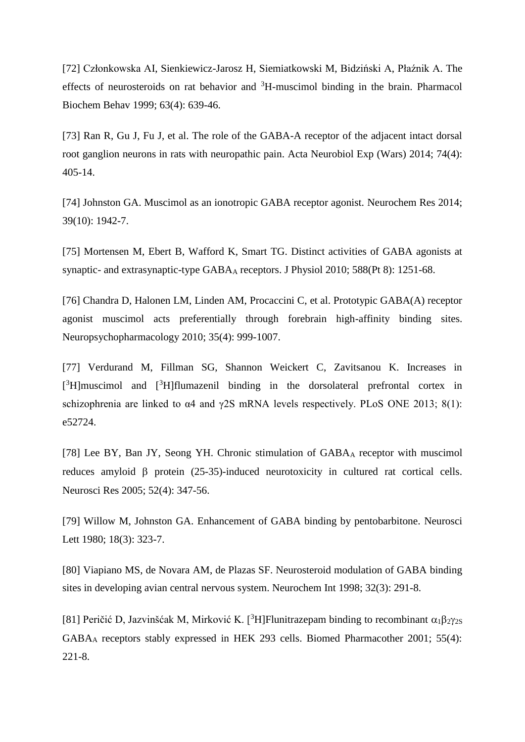[72] [Członkowska AI,](http://www.ncbi.nlm.nih.gov/pubmed/?term=Cz%C5%82onkowska%20AI%5BAuthor%5D&cauthor=true&cauthor_uid=10462193) [Sienkiewicz-Jarosz H,](http://www.ncbi.nlm.nih.gov/pubmed/?term=Sienkiewicz-Jarosz%20H%5BAuthor%5D&cauthor=true&cauthor_uid=10462193) [Siemiatkowski M,](http://www.ncbi.nlm.nih.gov/pubmed/?term=Siemiatkowski%20M%5BAuthor%5D&cauthor=true&cauthor_uid=10462193) [Bidziński A,](http://www.ncbi.nlm.nih.gov/pubmed/?term=Bidzi%C5%84ski%20A%5BAuthor%5D&cauthor=true&cauthor_uid=10462193) [Płaźnik A.](http://www.ncbi.nlm.nih.gov/pubmed/?term=P%C5%82a%C5%BAnik%20A%5BAuthor%5D&cauthor=true&cauthor_uid=10462193) The effects of neurosteroids on rat behavior and <sup>3</sup>H-muscimol binding in the brain. [Pharmacol](http://www.ncbi.nlm.nih.gov/pubmed/10462193)  [Biochem Behav](http://www.ncbi.nlm.nih.gov/pubmed/10462193) 1999; 63(4): 639-46.

[73] [Ran R,](http://www.ncbi.nlm.nih.gov/pubmed/?term=Ran%20R%5BAuthor%5D&cauthor=true&cauthor_uid=25576971) [Gu J,](http://www.ncbi.nlm.nih.gov/pubmed/?term=Gu%20J%5BAuthor%5D&cauthor=true&cauthor_uid=25576971) [Fu J,](http://www.ncbi.nlm.nih.gov/pubmed/?term=Fu%20J%5BAuthor%5D&cauthor=true&cauthor_uid=25576971) et al. The role of the GABA-A receptor of the adjacent intact dorsal root ganglion neurons in rats with neuropathic pain. [Acta Neurobiol Exp \(Wars\)](http://www.ncbi.nlm.nih.gov/pubmed/25576971) 2014; 74(4): 405-14.

[74] [Johnston GA.](http://www.ncbi.nlm.nih.gov/pubmed/?term=Johnston%20GA%5BAuthor%5D&cauthor=true&cauthor_uid=24473816) Muscimol as an ionotropic GABA receptor agonist. [Neurochem Res](http://www.ncbi.nlm.nih.gov/pubmed/24473816) 2014; 39(10): 1942-7.

[75] [Mortensen M,](http://www.ncbi.nlm.nih.gov/pubmed/?term=Mortensen%20M%5BAuthor%5D&cauthor=true&cauthor_uid=20176630) [Ebert B,](http://www.ncbi.nlm.nih.gov/pubmed/?term=Ebert%20B%5BAuthor%5D&cauthor=true&cauthor_uid=20176630) [Wafford K,](http://www.ncbi.nlm.nih.gov/pubmed/?term=Wafford%20K%5BAuthor%5D&cauthor=true&cauthor_uid=20176630) [Smart TG.](http://www.ncbi.nlm.nih.gov/pubmed/?term=Smart%20TG%5BAuthor%5D&cauthor=true&cauthor_uid=20176630) Distinct activities of GABA agonists at synaptic- and extrasynaptic-type GABA<sub>A</sub> receptors. [J Physiol](http://www.ncbi.nlm.nih.gov/pubmed/20176630) 2010; 588(Pt 8): 1251-68.

[76] [Chandra D,](http://www.ncbi.nlm.nih.gov/pubmed/?term=Chandra%20D%5BAuthor%5D&cauthor=true&cauthor_uid=20032968) [Halonen LM,](http://www.ncbi.nlm.nih.gov/pubmed/?term=Halonen%20LM%5BAuthor%5D&cauthor=true&cauthor_uid=20032968) [Linden AM,](http://www.ncbi.nlm.nih.gov/pubmed/?term=Linden%20AM%5BAuthor%5D&cauthor=true&cauthor_uid=20032968) [Procaccini C,](http://www.ncbi.nlm.nih.gov/pubmed/?term=Procaccini%20C%5BAuthor%5D&cauthor=true&cauthor_uid=20032968) et al. Prototypic GABA(A) receptor agonist muscimol acts preferentially through forebrain high-affinity binding sites. [Neuropsychopharmacology](http://www.ncbi.nlm.nih.gov/pubmed/20032968) 2010; 35(4): 999-1007.

[77] Verdurand M, Fillman SG, Shannon Weickert C, Zavitsanou K. Increases in [<sup>3</sup>H]muscimol and [<sup>3</sup>H]flumazenil binding in the dorsolateral prefrontal cortex in schizophrenia are linked to α4 and γ2S mRNA levels respectively. PLoS ONE 2013; 8(1): e52724.

[78] [Lee BY,](http://www.ncbi.nlm.nih.gov/pubmed/?term=Lee%20BY%5BAuthor%5D&cauthor=true&cauthor_uid=15896866) [Ban JY,](http://www.ncbi.nlm.nih.gov/pubmed/?term=Ban%20JY%5BAuthor%5D&cauthor=true&cauthor_uid=15896866) [Seong YH.](http://www.ncbi.nlm.nih.gov/pubmed/?term=Seong%20YH%5BAuthor%5D&cauthor=true&cauthor_uid=15896866) Chronic stimulation of GABA<sup>A</sup> receptor with muscimol reduces amyloid  $\beta$  protein (25-35)-induced neurotoxicity in cultured rat cortical cells. [Neurosci Res](http://www.ncbi.nlm.nih.gov/pubmed/15896866) 2005; 52(4): 347-56.

[79] [Willow M,](http://www.ncbi.nlm.nih.gov/pubmed/?term=Willow%20M%5BAuthor%5D&cauthor=true&cauthor_uid=6302591) [Johnston GA.](http://www.ncbi.nlm.nih.gov/pubmed/?term=Johnston%20GA%5BAuthor%5D&cauthor=true&cauthor_uid=6302591) Enhancement of GABA binding by pentobarbitone. [Neurosci](http://www.ncbi.nlm.nih.gov/pubmed/6302591)  [Lett](http://www.ncbi.nlm.nih.gov/pubmed/6302591) 1980; 18(3): 323-7.

[80] [Viapiano MS,](http://www.ncbi.nlm.nih.gov/pubmed/?term=Viapiano%20MS%5BAuthor%5D&cauthor=true&cauthor_uid=9587923) [de Novara AM,](http://www.ncbi.nlm.nih.gov/pubmed/?term=de%20Novara%20AM%5BAuthor%5D&cauthor=true&cauthor_uid=9587923) [de Plazas SF.](http://www.ncbi.nlm.nih.gov/pubmed/?term=de%20Plazas%20SF%5BAuthor%5D&cauthor=true&cauthor_uid=9587923) Neurosteroid modulation of GABA binding sites in developing avian central nervous system. [Neurochem Int](http://www.ncbi.nlm.nih.gov/pubmed/9587923) 1998; 32(3): 291-8.

[81] Peričić D, Jazvinšćak M, Mirković K. [<sup>3</sup>H]Flunitrazepam binding to recombinant  $\alpha_1\beta_2\gamma_{2S}$ GABA<sup>A</sup> receptors stably expressed in HEK 293 cells. Biomed Pharmacother 2001; 55(4): 221-8.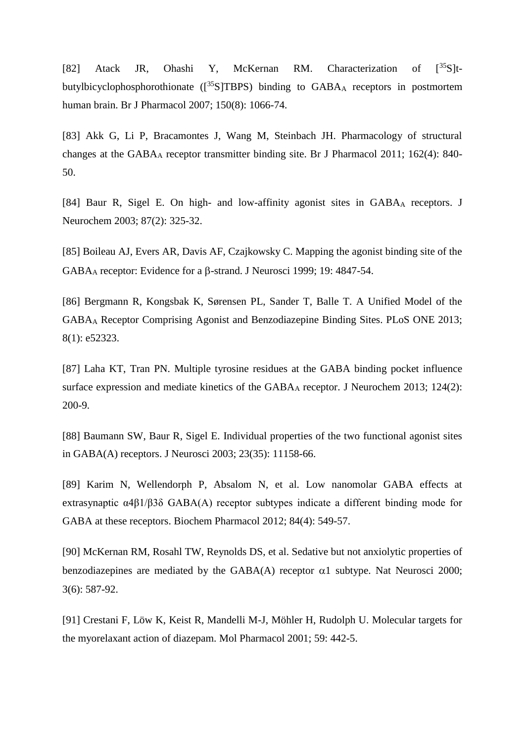[82] [Atack JR,](http://www.ncbi.nlm.nih.gov/pubmed/?term=Atack%20JR%5BAuthor%5D&cauthor=true&cauthor_uid=17339834) [Ohashi Y,](http://www.ncbi.nlm.nih.gov/pubmed/?term=Ohashi%20Y%5BAuthor%5D&cauthor=true&cauthor_uid=17339834) [McKernan RM.](http://www.ncbi.nlm.nih.gov/pubmed/?term=McKernan%20RM%5BAuthor%5D&cauthor=true&cauthor_uid=17339834) Characterization of  $[35S]$ tbutylbicyclophosphorothionate  $(\frac{35}{5}STBPS)$  binding to GABA<sub>A</sub> receptors in postmortem human brain. [Br J Pharmacol](http://www.ncbi.nlm.nih.gov/pubmed/17339834) 2007; 150(8): 1066-74.

[83] Akk G, Li P, Bracamontes J, Wang M, Steinbach JH. Pharmacology of structural changes at the GABA<sup>A</sup> receptor transmitter binding site. Br J Pharmacol 2011; 162(4): 840- 50.

[84] [Baur R,](http://www.ncbi.nlm.nih.gov/pubmed/?term=Baur%20R%5BAuthor%5D&cauthor=true&cauthor_uid=14511110) [Sigel E.](http://www.ncbi.nlm.nih.gov/pubmed/?term=Sigel%20E%5BAuthor%5D&cauthor=true&cauthor_uid=14511110) On high- and low-affinity agonist sites in GABA<sup>A</sup> receptors. [J](http://www.ncbi.nlm.nih.gov/pubmed/14511110)  [Neurochem](http://www.ncbi.nlm.nih.gov/pubmed/14511110) 2003; 87(2): 325-32.

[85] Boileau AJ, Evers AR, Davis AF, Czajkowsky C. Mapping the agonist binding site of the GABAA receptor: Evidence for a  $\beta$ -strand. J Neurosci 1999; 19: 4847-54.

[86] Bergmann R, Kongsbak K, Sørensen PL, Sander T, Balle T. A Unified Model of the GABA<sup>A</sup> Receptor Comprising Agonist and Benzodiazepine Binding Sites. PLoS ONE 2013; 8(1): e52323.

[87] [Laha KT,](http://www.ncbi.nlm.nih.gov/pubmed/?term=Laha%20KT%5BAuthor%5D&cauthor=true&cauthor_uid=23121119) [Tran PN.](http://www.ncbi.nlm.nih.gov/pubmed/?term=Tran%20PN%5BAuthor%5D&cauthor=true&cauthor_uid=23121119) Multiple tyrosine residues at the GABA binding pocket influence surface expression and mediate kinetics of the GABA<sup>A</sup> receptor. [J Neurochem](http://www.ncbi.nlm.nih.gov/pubmed/23121119) 2013; 124(2): 200-9.

[88] [Baumann SW,](http://www.ncbi.nlm.nih.gov/pubmed/?term=Baumann%20SW%5BAuthor%5D&cauthor=true&cauthor_uid=14657175) [Baur R,](http://www.ncbi.nlm.nih.gov/pubmed/?term=Baur%20R%5BAuthor%5D&cauthor=true&cauthor_uid=14657175) [Sigel E.](http://www.ncbi.nlm.nih.gov/pubmed/?term=Sigel%20E%5BAuthor%5D&cauthor=true&cauthor_uid=14657175) Individual properties of the two functional agonist sites in GABA(A) receptors. [J Neurosci](http://www.ncbi.nlm.nih.gov/pubmed/14657175) 2003; 23(35): 11158-66.

[89] [Karim N,](http://www.ncbi.nlm.nih.gov/pubmed/?term=Karim%20N%5BAuthor%5D&cauthor=true&cauthor_uid=22658986) [Wellendorph P,](http://www.ncbi.nlm.nih.gov/pubmed/?term=Wellendorph%20P%5BAuthor%5D&cauthor=true&cauthor_uid=22658986) [Absalom N,](http://www.ncbi.nlm.nih.gov/pubmed/?term=Absalom%20N%5BAuthor%5D&cauthor=true&cauthor_uid=22658986) et al. Low nanomolar GABA effects at extrasynaptic α4β1/β3δ GABA(A) receptor subtypes indicate a different binding mode for GABA at these receptors. [Biochem Pharmacol](http://www.ncbi.nlm.nih.gov/pubmed/22658986) 2012; 84(4): 549-57.

[90] [McKernan RM,](http://www.ncbi.nlm.nih.gov/pubmed/?term=McKernan%20RM%5BAuthor%5D&cauthor=true&cauthor_uid=10816315) [Rosahl TW,](http://www.ncbi.nlm.nih.gov/pubmed/?term=Rosahl%20TW%5BAuthor%5D&cauthor=true&cauthor_uid=10816315) [Reynolds DS,](http://www.ncbi.nlm.nih.gov/pubmed/?term=Reynolds%20DS%5BAuthor%5D&cauthor=true&cauthor_uid=10816315) et al. Sedative but not anxiolytic properties of benzodiazepines are mediated by the GABA(A) receptor  $\alpha$ 1 subtype. [Nat Neurosci](http://www.ncbi.nlm.nih.gov/pubmed/10816315) 2000; 3(6): 587-92.

[91] Crestani F, Löw K, Keist R, Mandelli M-J, Möhler H, Rudolph U. Molecular targets for the myorelaxant action of diazepam. Mol Pharmacol 2001; 59: 442-5.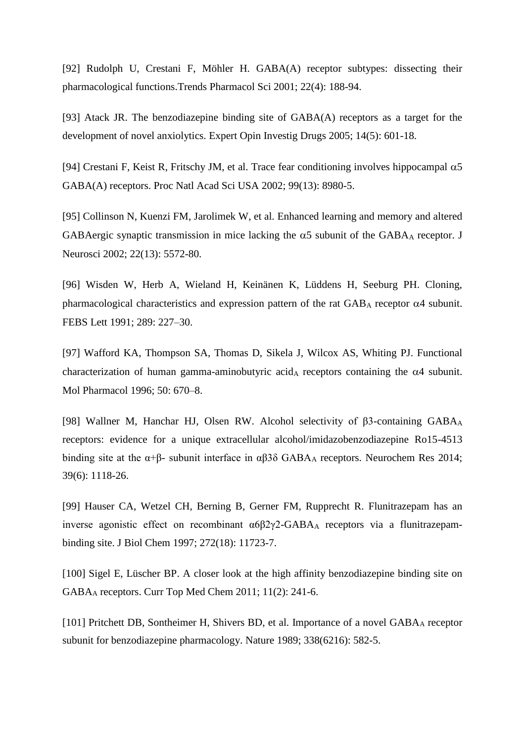[92] [Rudolph U,](http://www.ncbi.nlm.nih.gov/pubmed/?term=Rudolph%20U%5BAuthor%5D&cauthor=true&cauthor_uid=11282419) [Crestani F,](http://www.ncbi.nlm.nih.gov/pubmed/?term=Crestani%20F%5BAuthor%5D&cauthor=true&cauthor_uid=11282419) [Möhler H.](http://www.ncbi.nlm.nih.gov/pubmed/?term=M%C3%B6hler%20H%5BAuthor%5D&cauthor=true&cauthor_uid=11282419) GABA(A) receptor subtypes: dissecting their pharmacological functions[.Trends Pharmacol Sci](http://www.ncbi.nlm.nih.gov/pubmed/11282419) 2001; 22(4): 188-94.

[93] [Atack JR.](http://www.ncbi.nlm.nih.gov/pubmed/?term=Atack%20JR%5BAuthor%5D&cauthor=true&cauthor_uid=15926867) The benzodiazepine binding site of GABA(A) receptors as a target for the development of novel anxiolytics. [Expert Opin Investig Drugs](http://www.ncbi.nlm.nih.gov/pubmed/15926867) 2005; 14(5): 601-18.

[94] [Crestani F,](http://www.ncbi.nlm.nih.gov/pubmed/?term=Crestani%20F%5BAuthor%5D&cauthor=true&cauthor_uid=12084936) [Keist R,](http://www.ncbi.nlm.nih.gov/pubmed/?term=Keist%20R%5BAuthor%5D&cauthor=true&cauthor_uid=12084936) [Fritschy JM,](http://www.ncbi.nlm.nih.gov/pubmed/?term=Fritschy%20JM%5BAuthor%5D&cauthor=true&cauthor_uid=12084936) et al. Trace fear conditioning involves hippocampal  $\alpha$ 5 GABA(A) receptors. [Proc Natl Acad Sci USA](http://www.ncbi.nlm.nih.gov/pubmed/12084936) 2002; 99(13): 8980-5.

[95] [Collinson N,](http://www.ncbi.nlm.nih.gov/pubmed/?term=Collinson%20N%5BAuthor%5D&cauthor=true&cauthor_uid=12097508) [Kuenzi FM,](http://www.ncbi.nlm.nih.gov/pubmed/?term=Kuenzi%20FM%5BAuthor%5D&cauthor=true&cauthor_uid=12097508) [Jarolimek W,](http://www.ncbi.nlm.nih.gov/pubmed/?term=Jarolimek%20W%5BAuthor%5D&cauthor=true&cauthor_uid=12097508) et al. Enhanced learning and memory and altered GABAergic synaptic transmission in mice lacking the  $\alpha$ 5 subunit of the GABA<sub>A</sub> receptor. J [Neurosci](http://www.ncbi.nlm.nih.gov/pubmed/12097508) 2002; 22(13): 5572-80.

[96] Wisden W, Herb A, Wieland H, Keinänen K, Lüddens H, Seeburg PH. Cloning, pharmacological characteristics and expression pattern of the rat  $GAB<sub>A</sub>$  receptor  $\alpha$ 4 subunit. FEBS Lett 1991; 289: 227–30.

[97] Wafford KA, Thompson SA, Thomas D, Sikela J, Wilcox AS, Whiting PJ. Functional characterization of human gamma-aminobutyric acid<sub>A</sub> receptors containing the  $\alpha$ 4 subunit. Mol Pharmacol 1996; 50: 670–8.

[98] [Wallner M,](http://www.ncbi.nlm.nih.gov/pubmed/?term=Wallner%20M%5BAuthor%5D&cauthor=true&cauthor_uid=24500446) [Hanchar HJ,](http://www.ncbi.nlm.nih.gov/pubmed/?term=Hanchar%20HJ%5BAuthor%5D&cauthor=true&cauthor_uid=24500446) [Olsen RW.](http://www.ncbi.nlm.nih.gov/pubmed/?term=Olsen%20RW%5BAuthor%5D&cauthor=true&cauthor_uid=24500446) Alcohol selectivity of β3-containing GABA<sub>A</sub> receptors: evidence for a unique extracellular alcohol/imidazobenzodiazepine Ro15-4513 binding site at the  $\alpha+\beta$ - subunit interface in  $\alpha\beta\beta\delta$  GABA<sub>A</sub> receptors. [Neurochem Res](http://www.ncbi.nlm.nih.gov/pubmed/24500446) 2014; 39(6): 1118-26.

[99] [Hauser CA,](http://www.ncbi.nlm.nih.gov/pubmed/?term=Hauser%20CA%5BAuthor%5D&cauthor=true&cauthor_uid=9115225) [Wetzel CH,](http://www.ncbi.nlm.nih.gov/pubmed/?term=Wetzel%20CH%5BAuthor%5D&cauthor=true&cauthor_uid=9115225) [Berning B,](http://www.ncbi.nlm.nih.gov/pubmed/?term=Berning%20B%5BAuthor%5D&cauthor=true&cauthor_uid=9115225) [Gerner FM,](http://www.ncbi.nlm.nih.gov/pubmed/?term=Gerner%20FM%5BAuthor%5D&cauthor=true&cauthor_uid=9115225) [Rupprecht R.](http://www.ncbi.nlm.nih.gov/pubmed/?term=Rupprecht%20R%5BAuthor%5D&cauthor=true&cauthor_uid=9115225) Flunitrazepam has an inverse agonistic effect on recombinant α6β2γ2-GABA<sup>A</sup> receptors via a flunitrazepambinding site. [J Biol Chem](http://www.ncbi.nlm.nih.gov/pubmed/9115225) 1997; 272(18): 11723-7.

[100] [Sigel E,](http://www.ncbi.nlm.nih.gov/pubmed/?term=Sigel%20E%5BAuthor%5D&cauthor=true&cauthor_uid=21189125) [Lüscher BP.](http://www.ncbi.nlm.nih.gov/pubmed/?term=L%C3%BCscher%20BP%5BAuthor%5D&cauthor=true&cauthor_uid=21189125) A closer look at the high affinity benzodiazepine binding site on GABA<sup>A</sup> receptors. [Curr Top Med Chem](http://www.ncbi.nlm.nih.gov/pubmed/21189125) 2011; 11(2): 241-6.

[101] [Pritchett DB,](http://www.ncbi.nlm.nih.gov/pubmed/?term=Pritchett%20DB%5BAuthor%5D&cauthor=true&cauthor_uid=2538761) [Sontheimer H,](http://www.ncbi.nlm.nih.gov/pubmed/?term=Sontheimer%20H%5BAuthor%5D&cauthor=true&cauthor_uid=2538761) [Shivers BD,](http://www.ncbi.nlm.nih.gov/pubmed/?term=Shivers%20BD%5BAuthor%5D&cauthor=true&cauthor_uid=2538761) et al. Importance of a novel GABAA receptor subunit for benzodiazepine pharmacology. [Nature](http://www.ncbi.nlm.nih.gov/pubmed/2538761) 1989; 338(6216): 582-5.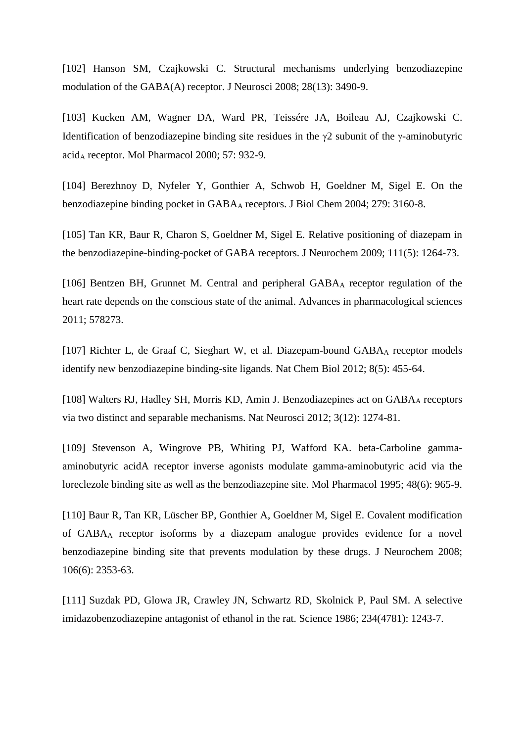[102] [Hanson SM,](http://www.ncbi.nlm.nih.gov/pubmed/?term=Hanson%20SM%5BAuthor%5D&cauthor=true&cauthor_uid=18367615) [Czajkowski C.](http://www.ncbi.nlm.nih.gov/pubmed/?term=Czajkowski%20C%5BAuthor%5D&cauthor=true&cauthor_uid=18367615) Structural mechanisms underlying benzodiazepine modulation of the GABA(A) receptor. [J Neurosci](http://www.ncbi.nlm.nih.gov/pubmed/18367615) 2008; 28(13): 3490-9.

[103] Kucken AM, Wagner DA, Ward PR, Teissére JA, Boileau AJ, Czajkowski C. Identification of benzodiazepine binding site residues in the  $\gamma$ 2 subunit of the  $\gamma$ -aminobutyric acid<sup>A</sup> receptor. Mol Pharmacol 2000; 57: 932-9.

[104] Berezhnoy D, Nyfeler Y, Gonthier A, Schwob H, Goeldner M, Sigel E. On the benzodiazepine binding pocket in GABA<sup>A</sup> receptors. J Biol Chem 2004; 279: 3160-8.

[105] [Tan KR,](http://www.ncbi.nlm.nih.gov/pubmed/?term=Tan%20KR%5BAuthor%5D&cauthor=true&cauthor_uid=19804380) [Baur R,](http://www.ncbi.nlm.nih.gov/pubmed/?term=Baur%20R%5BAuthor%5D&cauthor=true&cauthor_uid=19804380) [Charon S,](http://www.ncbi.nlm.nih.gov/pubmed/?term=Charon%20S%5BAuthor%5D&cauthor=true&cauthor_uid=19804380) [Goeldner M,](http://www.ncbi.nlm.nih.gov/pubmed/?term=Goeldner%20M%5BAuthor%5D&cauthor=true&cauthor_uid=19804380) [Sigel E.](http://www.ncbi.nlm.nih.gov/pubmed/?term=Sigel%20E%5BAuthor%5D&cauthor=true&cauthor_uid=19804380) Relative positioning of diazepam in the benzodiazepine-binding-pocket of GABA receptors. [J Neurochem](http://www.ncbi.nlm.nih.gov/pubmed/19804380) 2009; 111(5): 1264-73.

[106] Bentzen BH, Grunnet M. [Central and peripheral GABA](https://scholar.google.dk/citations?view_op=view_citation&hl=en&user=twHXmmoAAAAJ&citation_for_view=twHXmmoAAAAJ:WF5omc3nYNoC)A receptor regulation of the [heart rate depends on the conscious state of the animal.](https://scholar.google.dk/citations?view_op=view_citation&hl=en&user=twHXmmoAAAAJ&citation_for_view=twHXmmoAAAAJ:WF5omc3nYNoC) Advances in pharmacological sciences 2011; 578273.

[107] [Richter L,](http://www.ncbi.nlm.nih.gov/pubmed/?term=Richter%20L%5BAuthor%5D&cauthor=true&cauthor_uid=22446838) [de Graaf C,](http://www.ncbi.nlm.nih.gov/pubmed/?term=de%20Graaf%20C%5BAuthor%5D&cauthor=true&cauthor_uid=22446838) [Sieghart W,](http://www.ncbi.nlm.nih.gov/pubmed/?term=Sieghart%20W%5BAuthor%5D&cauthor=true&cauthor_uid=22446838) et al. Diazepam-bound GABA<sub>A</sub> receptor models identify new benzodiazepine binding-site ligands. [Nat Chem Biol](http://www.ncbi.nlm.nih.gov/pubmed/22446838) 2012; 8(5): 455-64.

[108] [Walters RJ,](http://www.ncbi.nlm.nih.gov/pubmed/?term=Walters%20RJ%5BAuthor%5D&cauthor=true&cauthor_uid=11100148) [Hadley SH,](http://www.ncbi.nlm.nih.gov/pubmed/?term=Hadley%20SH%5BAuthor%5D&cauthor=true&cauthor_uid=11100148) [Morris KD,](http://www.ncbi.nlm.nih.gov/pubmed/?term=Morris%20KD%5BAuthor%5D&cauthor=true&cauthor_uid=11100148) [Amin J.](http://www.ncbi.nlm.nih.gov/pubmed/?term=Amin%20J%5BAuthor%5D&cauthor=true&cauthor_uid=11100148) Benzodiazepines act on GABAA receptors via two distinct and separable mechanisms. [Nat Neurosci](http://www.ncbi.nlm.nih.gov/pubmed/11100148) 2012; 3(12): 1274-81.

[109] [Stevenson A,](http://www.ncbi.nlm.nih.gov/pubmed/?term=Stevenson%20A%5BAuthor%5D&cauthor=true&cauthor_uid=8848011) [Wingrove PB,](http://www.ncbi.nlm.nih.gov/pubmed/?term=Wingrove%20PB%5BAuthor%5D&cauthor=true&cauthor_uid=8848011) [Whiting PJ,](http://www.ncbi.nlm.nih.gov/pubmed/?term=Whiting%20PJ%5BAuthor%5D&cauthor=true&cauthor_uid=8848011) [Wafford KA.](http://www.ncbi.nlm.nih.gov/pubmed/?term=Wafford%20KA%5BAuthor%5D&cauthor=true&cauthor_uid=8848011) beta-Carboline gammaaminobutyric acidA receptor inverse agonists modulate gamma-aminobutyric acid via the loreclezole binding site as well as the benzodiazepine site. [Mol Pharmacol](http://www.ncbi.nlm.nih.gov/pubmed/8848011) 1995; 48(6): 965-9.

[110] [Baur R,](http://www.ncbi.nlm.nih.gov/pubmed/?term=Baur%20R%5BAuthor%5D&cauthor=true&cauthor_uid=18643789) [Tan KR,](http://www.ncbi.nlm.nih.gov/pubmed/?term=Tan%20KR%5BAuthor%5D&cauthor=true&cauthor_uid=18643789) [Lüscher BP,](http://www.ncbi.nlm.nih.gov/pubmed/?term=L%C3%BCscher%20BP%5BAuthor%5D&cauthor=true&cauthor_uid=18643789) [Gonthier A,](http://www.ncbi.nlm.nih.gov/pubmed/?term=Gonthier%20A%5BAuthor%5D&cauthor=true&cauthor_uid=18643789) [Goeldner M,](http://www.ncbi.nlm.nih.gov/pubmed/?term=Goeldner%20M%5BAuthor%5D&cauthor=true&cauthor_uid=18643789) [Sigel E.](http://www.ncbi.nlm.nih.gov/pubmed/?term=Sigel%20E%5BAuthor%5D&cauthor=true&cauthor_uid=18643789) Covalent modification of GABA<sup>A</sup> receptor isoforms by a diazepam analogue provides evidence for a novel benzodiazepine binding site that prevents modulation by these drugs. [J Neurochem](http://www.ncbi.nlm.nih.gov/pubmed/18643789) 2008; 106(6): 2353-63.

[111] [Suzdak PD,](http://www.ncbi.nlm.nih.gov/pubmed/?term=Suzdak%20PD%5BAuthor%5D&cauthor=true&cauthor_uid=3022383) [Glowa JR,](http://www.ncbi.nlm.nih.gov/pubmed/?term=Glowa%20JR%5BAuthor%5D&cauthor=true&cauthor_uid=3022383) [Crawley JN,](http://www.ncbi.nlm.nih.gov/pubmed/?term=Crawley%20JN%5BAuthor%5D&cauthor=true&cauthor_uid=3022383) [Schwartz RD,](http://www.ncbi.nlm.nih.gov/pubmed/?term=Schwartz%20RD%5BAuthor%5D&cauthor=true&cauthor_uid=3022383) [Skolnick P,](http://www.ncbi.nlm.nih.gov/pubmed/?term=Skolnick%20P%5BAuthor%5D&cauthor=true&cauthor_uid=3022383) [Paul SM.](http://www.ncbi.nlm.nih.gov/pubmed/?term=Paul%20SM%5BAuthor%5D&cauthor=true&cauthor_uid=3022383) A selective imidazobenzodiazepine antagonist of ethanol in the rat. [Science](http://www.ncbi.nlm.nih.gov/pubmed/3022383) 1986; 234(4781): 1243-7.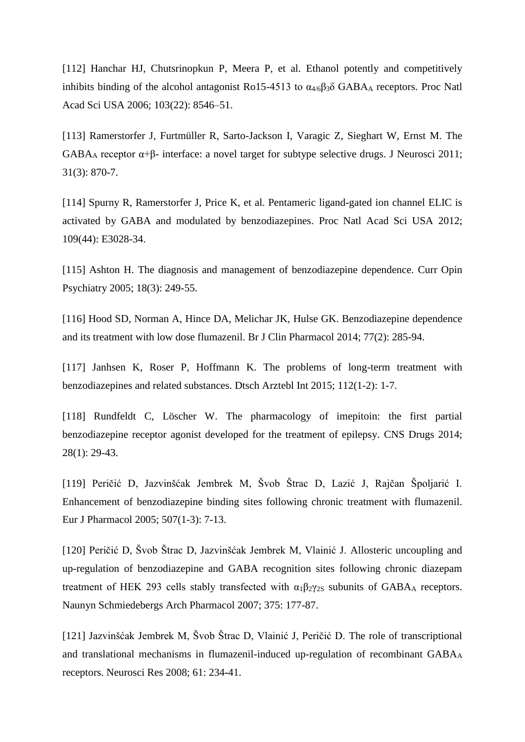[112] [Hanchar](http://www.ncbi.nlm.nih.gov/pubmed/?term=Hanchar%20HJ%5Bauth%5D) HJ, [Chutsrinopkun](http://www.ncbi.nlm.nih.gov/pubmed/?term=Chutsrinopkun%20P%5Bauth%5D) P, [Meera](http://www.ncbi.nlm.nih.gov/pubmed/?term=Meera%20P%5Bauth%5D) P, et al. Ethanol potently and competitively inhibits binding of the alcohol antagonist Ro15-4513 to  $\alpha_{4/6}\beta_3\delta$  GABA<sub>A</sub> receptors. Proc Natl Acad Sci USA 2006; 103(22): 8546–51.

[113] [Ramerstorfer J,](http://www.ncbi.nlm.nih.gov/pubmed/?term=Ramerstorfer%20J%5BAuthor%5D&cauthor=true&cauthor_uid=21248110) [Furtmüller R,](http://www.ncbi.nlm.nih.gov/pubmed/?term=Furtm%C3%BCller%20R%5BAuthor%5D&cauthor=true&cauthor_uid=21248110) [Sarto-Jackson I,](http://www.ncbi.nlm.nih.gov/pubmed/?term=Sarto-Jackson%20I%5BAuthor%5D&cauthor=true&cauthor_uid=21248110) [Varagic Z,](http://www.ncbi.nlm.nih.gov/pubmed/?term=Varagic%20Z%5BAuthor%5D&cauthor=true&cauthor_uid=21248110) [Sieghart W,](http://www.ncbi.nlm.nih.gov/pubmed/?term=Sieghart%20W%5BAuthor%5D&cauthor=true&cauthor_uid=21248110) [Ernst M.](http://www.ncbi.nlm.nih.gov/pubmed/?term=Ernst%20M%5BAuthor%5D&cauthor=true&cauthor_uid=21248110) The GABA<sub>A</sub> receptor  $\alpha+\beta$ - interface: a novel target for subtype selective drugs. [J Neurosci](http://www.ncbi.nlm.nih.gov/pubmed/21248110) 2011; 31(3): 870-7.

[114] [Spurny R,](http://www.ncbi.nlm.nih.gov/pubmed/?term=Spurny%20R%5BAuthor%5D&cauthor=true&cauthor_uid=23035248) [Ramerstorfer J,](http://www.ncbi.nlm.nih.gov/pubmed/?term=Ramerstorfer%20J%5BAuthor%5D&cauthor=true&cauthor_uid=23035248) [Price K,](http://www.ncbi.nlm.nih.gov/pubmed/?term=Price%20K%5BAuthor%5D&cauthor=true&cauthor_uid=23035248) et al. Pentameric ligand-gated ion channel ELIC is activated by GABA and modulated by benzodiazepines. [Proc Natl Acad Sci USA](http://www.ncbi.nlm.nih.gov/pubmed/23035248) 2012; 109(44): E3028-34.

[115] [Ashton H.](http://www.ncbi.nlm.nih.gov/pubmed/?term=Ashton%20H%5BAuthor%5D&cauthor=true&cauthor_uid=16639148) The diagnosis and management of benzodiazepine dependence. Curr Opin [Psychiatry](http://www.ncbi.nlm.nih.gov/pubmed/16639148) 2005; 18(3): 249-55.

[116] [Hood SD,](http://www.ncbi.nlm.nih.gov/pubmed/?term=Hood%20SD%5BAuthor%5D&cauthor=true&cauthor_uid=23126253) [Norman A,](http://www.ncbi.nlm.nih.gov/pubmed/?term=Norman%20A%5BAuthor%5D&cauthor=true&cauthor_uid=23126253) [Hince DA,](http://www.ncbi.nlm.nih.gov/pubmed/?term=Hince%20DA%5BAuthor%5D&cauthor=true&cauthor_uid=23126253) [Melichar JK,](http://www.ncbi.nlm.nih.gov/pubmed/?term=Melichar%20JK%5BAuthor%5D&cauthor=true&cauthor_uid=23126253) [Hulse GK.](http://www.ncbi.nlm.nih.gov/pubmed/?term=Hulse%20GK%5BAuthor%5D&cauthor=true&cauthor_uid=23126253) Benzodiazepine dependence and its treatment with low dose flumazenil. [Br J Clin Pharmacol](http://www.ncbi.nlm.nih.gov/pubmed/23126253) 2014; 77(2): 285-94.

[117] [Janhsen K,](http://www.ncbi.nlm.nih.gov/pubmed/?term=Janhsen%20K%5BAuthor%5D&cauthor=true&cauthor_uid=25613443) [Roser P,](http://www.ncbi.nlm.nih.gov/pubmed/?term=Roser%20P%5BAuthor%5D&cauthor=true&cauthor_uid=25613443) [Hoffmann K.](http://www.ncbi.nlm.nih.gov/pubmed/?term=Hoffmann%20K%5BAuthor%5D&cauthor=true&cauthor_uid=25613443) The problems of long-term treatment with benzodiazepines and related substances. [Dtsch Arztebl Int](http://www.ncbi.nlm.nih.gov/pubmed/25613443) 2015; 112(1-2): 1-7.

[118] [Rundfeldt C,](http://www.ncbi.nlm.nih.gov/pubmed/?term=Rundfeldt%20C%5BAuthor%5D&cauthor=true&cauthor_uid=24357084) [Löscher W.](http://www.ncbi.nlm.nih.gov/pubmed/?term=L%C3%B6scher%20W%5BAuthor%5D&cauthor=true&cauthor_uid=24357084) The pharmacology of imepitoin: the first partial benzodiazepine receptor agonist developed for the treatment of epilepsy. [CNS Drugs](http://www.ncbi.nlm.nih.gov/pubmed/24357084) 2014; 28(1): 29-43.

[119] Peričić D, Jazvinšćak Jembrek M, Švob Štrac D, Lazić J, Rajčan Špoljarić I. Enhancement of benzodiazepine binding sites following chronic treatment with flumazenil. Eur J Pharmacol 2005; 507(1-3): 7-13.

[120] Peričić D, Švob Štrac D, Jazvinšćak Jembrek M, Vlainić J. Allosteric uncoupling and up-regulation of benzodiazepine and GABA recognition sites following chronic diazepam treatment of HEK 293 cells stably transfected with  $\alpha_1\beta_2\gamma_2$  subunits of GABA<sub>A</sub> receptors. Naunyn Schmiedebergs Arch Pharmacol 2007; 375: 177-87.

[121] Jazvinšćak Jembrek M, Švob Štrac D, Vlainić J, Peričić D. [The role of transcriptional](http://bib.irb.hr/prikazi-rad?&rad=325277)  [and translational mechanisms in flumazenil-induced up-regulation of recombinant GABA](http://bib.irb.hr/prikazi-rad?&rad=325277)<sup>A</sup> [receptors.](http://bib.irb.hr/prikazi-rad?&rad=325277) Neurosci Res 2008; 61: 234**-**41.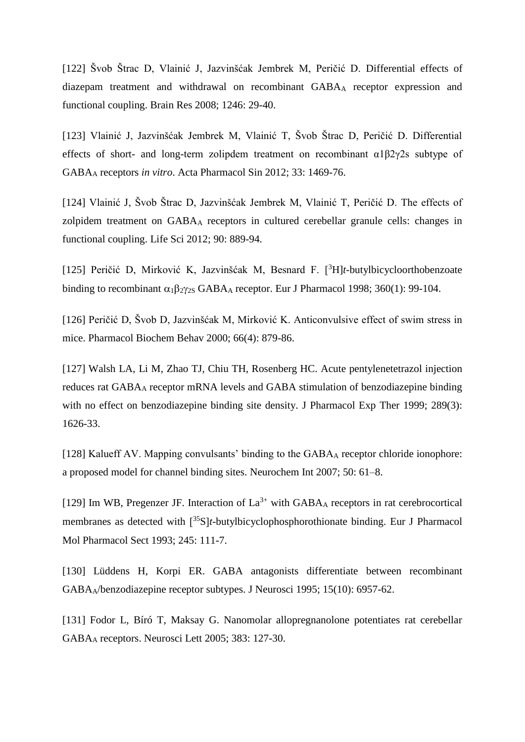[122] Švob Štrac D, Vlainić J, Jazvinšćak Jembrek M, Peričić D. [Differential effects of](http://bib.irb.hr/prikazi-rad?&rad=366586)  [diazepam treatment and withdrawal on recombinant GABA](http://bib.irb.hr/prikazi-rad?&rad=366586)<sup>A</sup> receptor expression and [functional coupling.](http://bib.irb.hr/prikazi-rad?&rad=366586) Brain Res 2008; 1246: 29-40.

[123] Vlainić J, Jazvinšćak Jembrek M, Vlainić T, Švob Štrac D, Peričić D. Differential effects of short- and long-term zolipdem treatment on recombinant α1β2γ2s subtype of GABA<sup>A</sup> receptors *in vitro*. Acta Pharmacol Sin 2012; 33: 1469-76.

[124] Vlainić J, Švob Štrac D, Jazvinšćak Jembrek M, Vlainić T, Peričić D. The effects of zolpidem treatment on GABA<sup>A</sup> receptors in cultured cerebellar granule cells: changes in functional coupling. Life Sci 2012; 90: 889-94.

[125] Peričić D, Mirković K, Jazvinšćak M, Besnard F. [<sup>3</sup>H]*t*-butylbicycloorthobenzoate binding to recombinant  $\alpha_1 \beta_2 \gamma_2$  GABA<sub>A</sub> receptor. Eur J Pharmacol 1998; 360(1): 99-104.

[126] Peričić D, Švob D, Jazvinšćak M, Mirković K. Anticonvulsive effect of swim stress in mice. Pharmacol Biochem Behav 2000; 66(4): 879-86.

[127] [Walsh LA,](http://www.ncbi.nlm.nih.gov/pubmed/?term=Walsh%20LA%5BAuthor%5D&cauthor=true&cauthor_uid=10336561) [Li M,](http://www.ncbi.nlm.nih.gov/pubmed/?term=Li%20M%5BAuthor%5D&cauthor=true&cauthor_uid=10336561) [Zhao TJ,](http://www.ncbi.nlm.nih.gov/pubmed/?term=Zhao%20TJ%5BAuthor%5D&cauthor=true&cauthor_uid=10336561) [Chiu TH,](http://www.ncbi.nlm.nih.gov/pubmed/?term=Chiu%20TH%5BAuthor%5D&cauthor=true&cauthor_uid=10336561) [Rosenberg HC.](http://www.ncbi.nlm.nih.gov/pubmed/?term=Rosenberg%20HC%5BAuthor%5D&cauthor=true&cauthor_uid=10336561) Acute pentylenetetrazol injection reduces rat GABA<sup>A</sup> receptor mRNA levels and GABA stimulation of benzodiazepine binding with no effect on benzodiazepine binding site density. [J Pharmacol Exp Ther](http://www.ncbi.nlm.nih.gov/pubmed/10336561) 1999; 289(3): 1626-33.

[128] Kalueff AV. Mapping convulsants' binding to the GABA<sub>A</sub> receptor chloride ionophore: a proposed model for channel binding sites. Neurochem Int 2007; 50: 61–8.

[129] Im WB, Pregenzer JF. Interaction of  $La^{3+}$  with GABA<sub>A</sub> receptors in rat cerebrocortical membranes as detected with <sup>35</sup>S*t*-butylbicyclophosphorothionate binding. Eur J Pharmacol Mol Pharmacol Sect 1993; 245: 111-7.

[130] [Lüddens H,](http://www.ncbi.nlm.nih.gov/pubmed/?term=L%C3%BCddens%20H%5BAuthor%5D&cauthor=true&cauthor_uid=7472452) [Korpi ER.](http://www.ncbi.nlm.nih.gov/pubmed/?term=Korpi%20ER%5BAuthor%5D&cauthor=true&cauthor_uid=7472452) GABA antagonists differentiate between recombinant GABAA/benzodiazepine receptor subtypes. [J Neurosci](http://www.ncbi.nlm.nih.gov/pubmed/7472452) 1995; 15(10): 6957-62.

[131] Fodor L, Bíró T, Maksay G. Nanomolar allopregnanolone potentiates rat cerebellar GABA<sup>A</sup> receptors. Neurosci Lett 2005; 383: 127-30.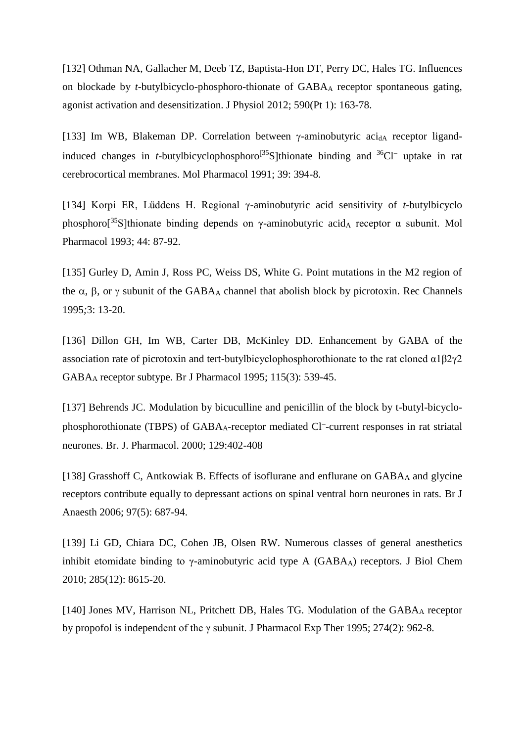[132] [Othman NA,](http://www.ncbi.nlm.nih.gov/pubmed/?term=Othman%20NA%5BAuthor%5D&cauthor=true&cauthor_uid=22083597) [Gallacher M,](http://www.ncbi.nlm.nih.gov/pubmed/?term=Gallacher%20M%5BAuthor%5D&cauthor=true&cauthor_uid=22083597) [Deeb TZ,](http://www.ncbi.nlm.nih.gov/pubmed/?term=Deeb%20TZ%5BAuthor%5D&cauthor=true&cauthor_uid=22083597) [Baptista-Hon DT,](http://www.ncbi.nlm.nih.gov/pubmed/?term=Baptista-Hon%20DT%5BAuthor%5D&cauthor=true&cauthor_uid=22083597) [Perry DC,](http://www.ncbi.nlm.nih.gov/pubmed/?term=Perry%20DC%5BAuthor%5D&cauthor=true&cauthor_uid=22083597) [Hales TG.](http://www.ncbi.nlm.nih.gov/pubmed/?term=Hales%20TG%5BAuthor%5D&cauthor=true&cauthor_uid=22083597) Influences on blockade by *t*-butylbicyclo-phosphoro-thionate of GABA<sup>A</sup> receptor spontaneous gating, agonist activation and desensitization. [J Physiol](http://www.ncbi.nlm.nih.gov/pubmed/22083597) 2012; 590(Pt 1): 163-78.

[133] Im WB, Blakeman DP. Correlation between  $\gamma$ -aminobutyric aci<sub>dA</sub> receptor ligandinduced changes in *t*-butylbicyclophosphoro $[35S]$ thionate binding and  $36Cl^-$  uptake in rat cerebrocortical membranes. Mol Pharmacol 1991; 39: 394-8.

[134] Korpi ER, Lüddens H. Regional γ-aminobutyric acid sensitivity of *t*-butylbicyclo phosphoro[<sup>35</sup>S]thionate binding depends on γ-aminobutyric acid<sub>A</sub> receptor α subunit. Mol Pharmacol 1993; 44: 87-92.

[135] Gurley D, Amin J, Ross PC, Weiss DS, White G. Point mutations in the M2 region of the  $\alpha$ ,  $\beta$ , or  $\gamma$  subunit of the GABA<sub>A</sub> channel that abolish block by picrotoxin. Rec Channels 1995*;*3: 13-20.

[136] [Dillon GH,](http://www.ncbi.nlm.nih.gov/pubmed/?term=Dillon%20GH%5BAuthor%5D&cauthor=true&cauthor_uid=7582470) [Im WB,](http://www.ncbi.nlm.nih.gov/pubmed/?term=Im%20WB%5BAuthor%5D&cauthor=true&cauthor_uid=7582470) [Carter DB,](http://www.ncbi.nlm.nih.gov/pubmed/?term=Carter%20DB%5BAuthor%5D&cauthor=true&cauthor_uid=7582470) [McKinley DD.](http://www.ncbi.nlm.nih.gov/pubmed/?term=McKinley%20DD%5BAuthor%5D&cauthor=true&cauthor_uid=7582470) Enhancement by GABA of the association rate of picrotoxin and tert-butylbicyclophosphorothionate to the rat cloned  $\alpha$ 1β2γ2 GABA<sup>A</sup> receptor subtype. [Br J Pharmacol](http://www.ncbi.nlm.nih.gov/pubmed/7582470) 1995; 115(3): 539-45.

[137] Behrends JC. Modulation by bicuculline and penicillin of the block by t-butyl-bicyclophosphorothionate (TBPS) of GABAA-receptor mediated Cl<sup>-</sup>-current responses in rat striatal neurones. Br. J. Pharmacol. 2000; 129:402-408

[138] [Grasshoff C,](http://www.ncbi.nlm.nih.gov/pubmed/?term=Grasshoff%20C%5BAuthor%5D&cauthor=true&cauthor_uid=16973644) [Antkowiak B.](http://www.ncbi.nlm.nih.gov/pubmed/?term=Antkowiak%20B%5BAuthor%5D&cauthor=true&cauthor_uid=16973644) Effects of isoflurane and enflurane on GABAA and glycine receptors contribute equally to depressant actions on spinal ventral horn neurones in rats. [Br J](http://www.ncbi.nlm.nih.gov/pubmed/16973644)  [Anaesth](http://www.ncbi.nlm.nih.gov/pubmed/16973644) 2006; 97(5): 687-94.

[139] [Li GD,](http://www.ncbi.nlm.nih.gov/pubmed/?term=Li%20GD%5BAuthor%5D&cauthor=true&cauthor_uid=20083606) [Chiara DC,](http://www.ncbi.nlm.nih.gov/pubmed/?term=Chiara%20DC%5BAuthor%5D&cauthor=true&cauthor_uid=20083606) [Cohen JB,](http://www.ncbi.nlm.nih.gov/pubmed/?term=Cohen%20JB%5BAuthor%5D&cauthor=true&cauthor_uid=20083606) [Olsen RW.](http://www.ncbi.nlm.nih.gov/pubmed/?term=Olsen%20RW%5BAuthor%5D&cauthor=true&cauthor_uid=20083606) Numerous classes of general anesthetics inhibit etomidate binding to  $\gamma$ -aminobutyric acid type A (GABA<sub>A</sub>) receptors. [J Biol Chem](http://www.ncbi.nlm.nih.gov/pubmed/20083606) 2010; 285(12): 8615-20.

[140] [Jones MV,](http://www.ncbi.nlm.nih.gov/pubmed/?term=Jones%20MV%5BAuthor%5D&cauthor=true&cauthor_uid=7636760) [Harrison NL,](http://www.ncbi.nlm.nih.gov/pubmed/?term=Harrison%20NL%5BAuthor%5D&cauthor=true&cauthor_uid=7636760) [Pritchett DB,](http://www.ncbi.nlm.nih.gov/pubmed/?term=Pritchett%20DB%5BAuthor%5D&cauthor=true&cauthor_uid=7636760) [Hales TG.](http://www.ncbi.nlm.nih.gov/pubmed/?term=Hales%20TG%5BAuthor%5D&cauthor=true&cauthor_uid=7636760) Modulation of the GABAA receptor by propofol is independent of the γ subunit. [J Pharmacol Exp Ther](http://www.ncbi.nlm.nih.gov/pubmed/7636760) 1995; 274(2): 962-8.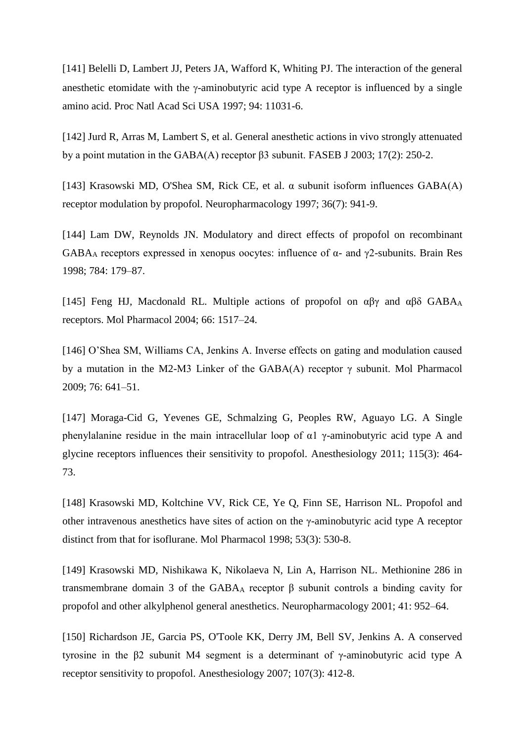[141] Belelli D, Lambert JJ, Peters JA, Wafford K, Whiting PJ. The interaction of the general anesthetic etomidate with the  $\gamma$ -aminobutyric acid type A receptor is influenced by a single amino acid. Proc Natl Acad Sci USA 1997; 94: 11031-6.

[142] [Jurd R,](http://www.ncbi.nlm.nih.gov/pubmed/?term=Jurd%20R%5BAuthor%5D&cauthor=true&cauthor_uid=12475885) [Arras M,](http://www.ncbi.nlm.nih.gov/pubmed/?term=Arras%20M%5BAuthor%5D&cauthor=true&cauthor_uid=12475885) [Lambert S,](http://www.ncbi.nlm.nih.gov/pubmed/?term=Lambert%20S%5BAuthor%5D&cauthor=true&cauthor_uid=12475885) et al. General anesthetic actions in vivo strongly attenuated by a point mutation in the GABA(A) receptor β3 subunit. [FASEB J](http://www.ncbi.nlm.nih.gov/pubmed/12475885) 2003; 17(2): 250-2.

[143] [Krasowski MD,](http://www.ncbi.nlm.nih.gov/pubmed/?term=Krasowski%20MD%5BAuthor%5D&cauthor=true&cauthor_uid=9257938) [O'Shea SM,](http://www.ncbi.nlm.nih.gov/pubmed/?term=O%27Shea%20SM%5BAuthor%5D&cauthor=true&cauthor_uid=9257938) [Rick CE,](http://www.ncbi.nlm.nih.gov/pubmed/?term=Rick%20CE%5BAuthor%5D&cauthor=true&cauthor_uid=9257938) et al. α subunit isoform influences GABA(A) receptor modulation by propofol. [Neuropharmacology](http://www.ncbi.nlm.nih.gov/pubmed/9257938) 1997; 36(7): 941-9.

[144] Lam DW, Reynolds JN. Modulatory and direct effects of propofol on recombinant GABA<sup>A</sup> receptors expressed in xenopus oocytes: influence of α- and γ2-subunits. Brain Res 1998; 784: 179–87.

[145] Feng HJ, Macdonald RL. Multiple actions of propofol on  $\alpha\beta\gamma$  and  $\alpha\beta\delta$  GABAA receptors. Mol Pharmacol 2004; 66: 1517–24.

[146] O'Shea SM, Williams CA, Jenkins A. Inverse effects on gating and modulation caused by a mutation in the M2-M3 Linker of the GABA(A) receptor  $\gamma$  subunit. Mol Pharmacol 2009; 76: 641–51.

[147] [Moraga-Cid G,](http://www.ncbi.nlm.nih.gov/pubmed/?term=Moraga-Cid%20G%5BAuthor%5D&cauthor=true&cauthor_uid=21673564) [Yevenes GE,](http://www.ncbi.nlm.nih.gov/pubmed/?term=Yevenes%20GE%5BAuthor%5D&cauthor=true&cauthor_uid=21673564) [Schmalzing G,](http://www.ncbi.nlm.nih.gov/pubmed/?term=Schmalzing%20G%5BAuthor%5D&cauthor=true&cauthor_uid=21673564) [Peoples RW,](http://www.ncbi.nlm.nih.gov/pubmed/?term=Peoples%20RW%5BAuthor%5D&cauthor=true&cauthor_uid=21673564) [Aguayo LG.](http://www.ncbi.nlm.nih.gov/pubmed/?term=Aguayo%20LG%5BAuthor%5D&cauthor=true&cauthor_uid=21673564) A Single phenylalanine residue in the main intracellular loop of  $\alpha$ 1 γ-aminobutyric acid type A and glycine receptors influences their sensitivity to propofol. [Anesthesiology](http://www.ncbi.nlm.nih.gov/pubmed/21673564) 2011; 115(3): 464- 73.

[148] [Krasowski MD,](http://www.ncbi.nlm.nih.gov/pubmed/?term=Krasowski%20MD%5BAuthor%5D&cauthor=true&cauthor_uid=9495821) [Koltchine VV,](http://www.ncbi.nlm.nih.gov/pubmed/?term=Koltchine%20VV%5BAuthor%5D&cauthor=true&cauthor_uid=9495821) [Rick CE,](http://www.ncbi.nlm.nih.gov/pubmed/?term=Rick%20CE%5BAuthor%5D&cauthor=true&cauthor_uid=9495821) [Ye Q,](http://www.ncbi.nlm.nih.gov/pubmed/?term=Ye%20Q%5BAuthor%5D&cauthor=true&cauthor_uid=9495821) [Finn SE,](http://www.ncbi.nlm.nih.gov/pubmed/?term=Finn%20SE%5BAuthor%5D&cauthor=true&cauthor_uid=9495821) [Harrison NL.](http://www.ncbi.nlm.nih.gov/pubmed/?term=Harrison%20NL%5BAuthor%5D&cauthor=true&cauthor_uid=9495821) Propofol and other intravenous anesthetics have sites of action on the γ-aminobutyric acid type A receptor distinct from that for isoflurane. [Mol Pharmacol](http://www.ncbi.nlm.nih.gov/pubmed/9495821) 1998; 53(3): 530-8.

[149] Krasowski MD, Nishikawa K, Nikolaeva N, Lin A, Harrison NL. Methionine 286 in transmembrane domain 3 of the GABA<sup>A</sup> receptor β subunit controls a binding cavity for propofol and other alkylphenol general anesthetics. Neuropharmacology 2001; 41: 952–64.

[150] [Richardson JE,](http://www.ncbi.nlm.nih.gov/pubmed/?term=Richardson%20JE%5BAuthor%5D&cauthor=true&cauthor_uid=17721243) [Garcia PS,](http://www.ncbi.nlm.nih.gov/pubmed/?term=Garcia%20PS%5BAuthor%5D&cauthor=true&cauthor_uid=17721243) [O'Toole KK,](http://www.ncbi.nlm.nih.gov/pubmed/?term=O%27Toole%20KK%5BAuthor%5D&cauthor=true&cauthor_uid=17721243) [Derry JM,](http://www.ncbi.nlm.nih.gov/pubmed/?term=Derry%20JM%5BAuthor%5D&cauthor=true&cauthor_uid=17721243) [Bell SV,](http://www.ncbi.nlm.nih.gov/pubmed/?term=Bell%20SV%5BAuthor%5D&cauthor=true&cauthor_uid=17721243) [Jenkins A.](http://www.ncbi.nlm.nih.gov/pubmed/?term=Jenkins%20A%5BAuthor%5D&cauthor=true&cauthor_uid=17721243) A conserved tyrosine in the β2 subunit M4 segment is a determinant of γ-aminobutyric acid type A receptor sensitivity to propofol. [Anesthesiology](http://www.ncbi.nlm.nih.gov/pubmed/17721243) 2007; 107(3): 412-8.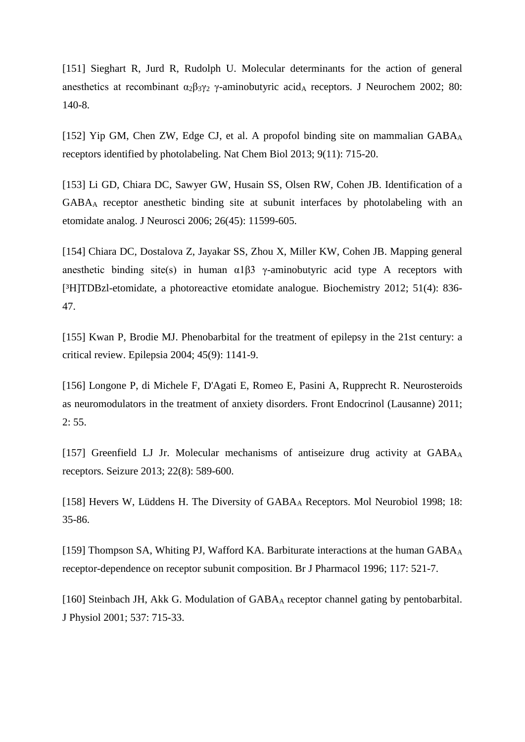[151] Sieghart R, Jurd R, Rudolph U. Molecular determinants for the action of general anesthetics at recombinant  $\alpha_2\beta_3\gamma_2$  γ-aminobutyric acid<sub>A</sub> receptors. J Neurochem 2002; 80: 140-8.

[152] [Yip GM,](http://www.ncbi.nlm.nih.gov/pubmed/?term=Yip%20GM%5BAuthor%5D&cauthor=true&cauthor_uid=24056400) [Chen ZW,](http://www.ncbi.nlm.nih.gov/pubmed/?term=Chen%20ZW%5BAuthor%5D&cauthor=true&cauthor_uid=24056400) [Edge CJ,](http://www.ncbi.nlm.nih.gov/pubmed/?term=Edge%20CJ%5BAuthor%5D&cauthor=true&cauthor_uid=24056400) et al. A propofol binding site on mammalian  $GABA_A$ receptors identified by photolabeling. [Nat Chem Biol](http://www.ncbi.nlm.nih.gov/pubmed/24056400) 2013; 9(11): 715-20.

[153] [Li GD,](http://www.ncbi.nlm.nih.gov/pubmed/?term=Li%20GD%5BAuthor%5D&cauthor=true&cauthor_uid=17093081) [Chiara DC,](http://www.ncbi.nlm.nih.gov/pubmed/?term=Chiara%20DC%5BAuthor%5D&cauthor=true&cauthor_uid=17093081) [Sawyer GW,](http://www.ncbi.nlm.nih.gov/pubmed/?term=Sawyer%20GW%5BAuthor%5D&cauthor=true&cauthor_uid=17093081) [Husain SS,](http://www.ncbi.nlm.nih.gov/pubmed/?term=Husain%20SS%5BAuthor%5D&cauthor=true&cauthor_uid=17093081) [Olsen RW,](http://www.ncbi.nlm.nih.gov/pubmed/?term=Olsen%20RW%5BAuthor%5D&cauthor=true&cauthor_uid=17093081) [Cohen JB.](http://www.ncbi.nlm.nih.gov/pubmed/?term=Cohen%20JB%5BAuthor%5D&cauthor=true&cauthor_uid=17093081) Identification of a GABA<sup>A</sup> receptor anesthetic binding site at subunit interfaces by photolabeling with an etomidate analog. [J Neurosci](http://www.ncbi.nlm.nih.gov/pubmed/17093081) 2006; 26(45): 11599-605.

[154] [Chiara DC,](http://www.ncbi.nlm.nih.gov/pubmed/?term=Chiara%20DC%5BAuthor%5D&cauthor=true&cauthor_uid=22243422) [Dostalova Z,](http://www.ncbi.nlm.nih.gov/pubmed/?term=Dostalova%20Z%5BAuthor%5D&cauthor=true&cauthor_uid=22243422) [Jayakar SS,](http://www.ncbi.nlm.nih.gov/pubmed/?term=Jayakar%20SS%5BAuthor%5D&cauthor=true&cauthor_uid=22243422) [Zhou X,](http://www.ncbi.nlm.nih.gov/pubmed/?term=Zhou%20X%5BAuthor%5D&cauthor=true&cauthor_uid=22243422) [Miller KW,](http://www.ncbi.nlm.nih.gov/pubmed/?term=Miller%20KW%5BAuthor%5D&cauthor=true&cauthor_uid=22243422) [Cohen JB.](http://www.ncbi.nlm.nih.gov/pubmed/?term=Cohen%20JB%5BAuthor%5D&cauthor=true&cauthor_uid=22243422) Mapping general anesthetic binding site(s) in human  $\alpha$ 1 $\beta$ 3 γ-aminobutyric acid type A receptors with [³H]TDBzl-etomidate, a photoreactive etomidate analogue. [Biochemistry](http://www.ncbi.nlm.nih.gov/pubmed/22243422) 2012; 51(4): 836- 47.

[155] [Kwan P,](http://www.ncbi.nlm.nih.gov/pubmed/?term=Kwan%20P%5BAuthor%5D&cauthor=true&cauthor_uid=15329080) [Brodie MJ.](http://www.ncbi.nlm.nih.gov/pubmed/?term=Brodie%20MJ%5BAuthor%5D&cauthor=true&cauthor_uid=15329080) Phenobarbital for the treatment of epilepsy in the 21st century: a critical review. [Epilepsia](http://www.ncbi.nlm.nih.gov/pubmed/15329080) 2004; 45(9): 1141-9.

[156] [Longone P,](http://www.ncbi.nlm.nih.gov/pubmed/?term=Longone%20P%5BAuthor%5D&cauthor=true&cauthor_uid=22654814) [di Michele F,](http://www.ncbi.nlm.nih.gov/pubmed/?term=di%20Michele%20F%5BAuthor%5D&cauthor=true&cauthor_uid=22654814) [D'Agati E,](http://www.ncbi.nlm.nih.gov/pubmed/?term=D%27Agati%20E%5BAuthor%5D&cauthor=true&cauthor_uid=22654814) [Romeo E,](http://www.ncbi.nlm.nih.gov/pubmed/?term=Romeo%20E%5BAuthor%5D&cauthor=true&cauthor_uid=22654814) [Pasini A,](http://www.ncbi.nlm.nih.gov/pubmed/?term=Pasini%20A%5BAuthor%5D&cauthor=true&cauthor_uid=22654814) [Rupprecht R.](http://www.ncbi.nlm.nih.gov/pubmed/?term=Rupprecht%20R%5BAuthor%5D&cauthor=true&cauthor_uid=22654814) Neurosteroids as neuromodulators in the treatment of anxiety disorders. [Front Endocrinol \(Lausanne\)](http://www.ncbi.nlm.nih.gov/pubmed/22654814) 2011; 2: 55.

[157] [Greenfield LJ Jr.](http://www.ncbi.nlm.nih.gov/pubmed/?term=Greenfield%20LJ%20Jr%5BAuthor%5D&cauthor=true&cauthor_uid=23683707) Molecular mechanisms of antiseizure drug activity at GABAA receptors. [Seizure](http://www.ncbi.nlm.nih.gov/pubmed/23683707) 2013; 22(8): 589-600.

[158] Hevers W, Lüddens H. The Diversity of GABAA Receptors. Mol Neurobiol 1998; 18: 35-86.

[159] Thompson SA, Whiting PJ, Wafford KA. Barbiturate interactions at the human GABA<sub>A</sub> receptor-dependence on receptor subunit composition. Br J Pharmacol 1996; 117: 521-7.

[160] Steinbach JH, Akk G. Modulation of GABAA receptor channel gating by pentobarbital. J Physiol 2001; 537: 715-33.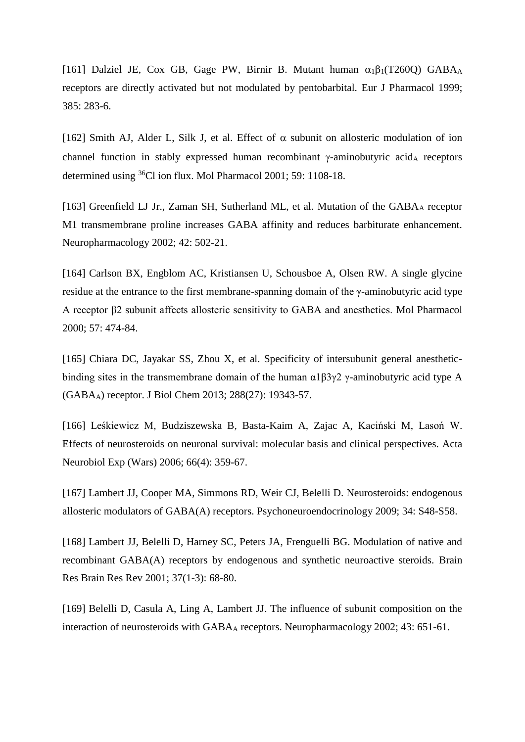[161] Dalziel JE, Cox GB, Gage PW, Birnir B. Mutant human  $\alpha_1\beta_1(T260Q)$  GABA<sub>A</sub> receptors are directly activated but not modulated by pentobarbital. Eur J Pharmacol 1999; 385: 283-6.

[162] Smith AJ, Alder L, Silk J, et al. Effect of  $\alpha$  subunit on allosteric modulation of ion channel function in stably expressed human recombinant  $\gamma$ -aminobutyric acid<sub>A</sub> receptors determined using <sup>36</sup>Cl ion flux. Mol Pharmacol 2001; 59: 1108-18.

[163] Greenfield LJ Jr., Zaman SH, Sutherland ML, et al. Mutation of the GABAA receptor M1 transmembrane proline increases GABA affinity and reduces barbiturate enhancement. Neuropharmacology 2002; 42: 502-21.

[164] Carlson BX, Engblom AC, Kristiansen U, Schousboe A, Olsen RW. A single glycine residue at the entrance to the first membrane-spanning domain of the γ-aminobutyric acid type A receptor β2 subunit affects allosteric sensitivity to GABA and anesthetics. Mol Pharmacol 2000; 57: 474-84.

[165] [Chiara DC,](http://www.ncbi.nlm.nih.gov/pubmed/?term=Chiara%20DC%5BAuthor%5D&cauthor=true&cauthor_uid=23677991) [Jayakar SS,](http://www.ncbi.nlm.nih.gov/pubmed/?term=Jayakar%20SS%5BAuthor%5D&cauthor=true&cauthor_uid=23677991) [Zhou X,](http://www.ncbi.nlm.nih.gov/pubmed/?term=Zhou%20X%5BAuthor%5D&cauthor=true&cauthor_uid=23677991) et al. Specificity of intersubunit general anestheticbinding sites in the transmembrane domain of the human  $\alpha$ 1β3γ2 γ-aminobutyric acid type A (GABAA) receptor. [J Biol Chem](http://www.ncbi.nlm.nih.gov/pubmed/23677991) 2013; 288(27): 19343-57.

[166] [Leśkiewicz M,](http://www.ncbi.nlm.nih.gov/pubmed/?term=Le%C5%9Bkiewicz%20M%5BAuthor%5D&cauthor=true&cauthor_uid=17265696) [Budziszewska B,](http://www.ncbi.nlm.nih.gov/pubmed/?term=Budziszewska%20B%5BAuthor%5D&cauthor=true&cauthor_uid=17265696) [Basta-Kaim A,](http://www.ncbi.nlm.nih.gov/pubmed/?term=Basta-Kaim%20A%5BAuthor%5D&cauthor=true&cauthor_uid=17265696) [Zajac A,](http://www.ncbi.nlm.nih.gov/pubmed/?term=Zajac%20A%5BAuthor%5D&cauthor=true&cauthor_uid=17265696) [Kaciński M,](http://www.ncbi.nlm.nih.gov/pubmed/?term=Kaci%C5%84ski%20M%5BAuthor%5D&cauthor=true&cauthor_uid=17265696) [Lasoń W.](http://www.ncbi.nlm.nih.gov/pubmed/?term=Laso%C5%84%20W%5BAuthor%5D&cauthor=true&cauthor_uid=17265696) Effects of neurosteroids on neuronal survival: molecular basis and clinical perspectives. [Acta](http://www.ncbi.nlm.nih.gov/pubmed/17265696)  [Neurobiol Exp \(Wars\)](http://www.ncbi.nlm.nih.gov/pubmed/17265696) 2006; 66(4): 359-67.

[167] [Lambert JJ,](http://www.ncbi.nlm.nih.gov/pubmed/?term=Lambert%20JJ%5BAuthor%5D&cauthor=true&cauthor_uid=19758761) [Cooper MA,](http://www.ncbi.nlm.nih.gov/pubmed/?term=Cooper%20MA%5BAuthor%5D&cauthor=true&cauthor_uid=19758761) [Simmons RD,](http://www.ncbi.nlm.nih.gov/pubmed/?term=Simmons%20RD%5BAuthor%5D&cauthor=true&cauthor_uid=19758761) [Weir CJ,](http://www.ncbi.nlm.nih.gov/pubmed/?term=Weir%20CJ%5BAuthor%5D&cauthor=true&cauthor_uid=19758761) [Belelli D.](http://www.ncbi.nlm.nih.gov/pubmed/?term=Belelli%20D%5BAuthor%5D&cauthor=true&cauthor_uid=19758761) Neurosteroids: endogenous allosteric modulators of GABA(A) receptors. [Psychoneuroendocrinology](http://www.ncbi.nlm.nih.gov/pubmed/19758761) 2009; 34: S48-S58.

[168] [Lambert JJ,](http://www.ncbi.nlm.nih.gov/pubmed/?term=Lambert%20JJ%5BAuthor%5D&cauthor=true&cauthor_uid=11744075) [Belelli D,](http://www.ncbi.nlm.nih.gov/pubmed/?term=Belelli%20D%5BAuthor%5D&cauthor=true&cauthor_uid=11744075) [Harney SC,](http://www.ncbi.nlm.nih.gov/pubmed/?term=Harney%20SC%5BAuthor%5D&cauthor=true&cauthor_uid=11744075) [Peters JA,](http://www.ncbi.nlm.nih.gov/pubmed/?term=Peters%20JA%5BAuthor%5D&cauthor=true&cauthor_uid=11744075) [Frenguelli BG.](http://www.ncbi.nlm.nih.gov/pubmed/?term=Frenguelli%20BG%5BAuthor%5D&cauthor=true&cauthor_uid=11744075) Modulation of native and recombinant GABA(A) receptors by endogenous and synthetic neuroactive steroids. [Brain](http://www.ncbi.nlm.nih.gov/pubmed/11744075)  [Res Brain Res Rev](http://www.ncbi.nlm.nih.gov/pubmed/11744075) 2001; 37(1-3): 68-80.

[169] Belelli D, Casula A, Ling A, Lambert JJ. The influence of subunit composition on the interaction of neurosteroids with GABA<sup>A</sup> receptors. Neuropharmacology 2002; 43: 651-61.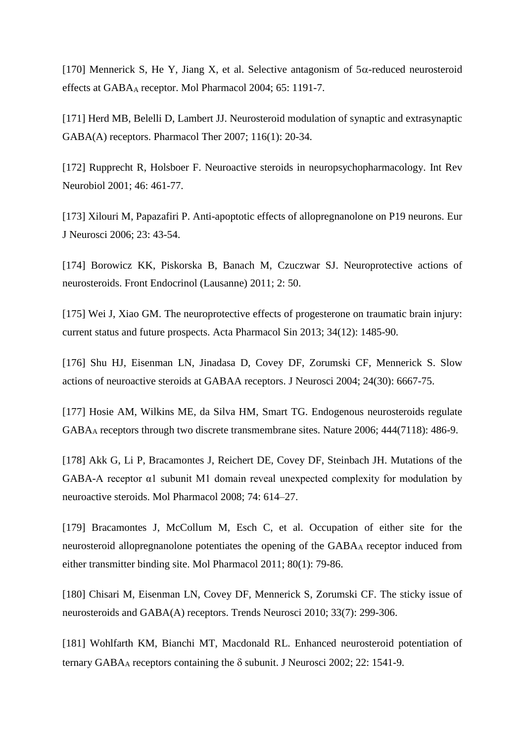[170] Mennerick S, He Y, Jiang X, et al. Selective antagonism of  $5\alpha$ -reduced neurosteroid effects at GABA<sub>A</sub> receptor. Mol Pharmacol 2004; 65: 1191-7.

[171] Herd MB, Belelli D, Lambert JJ. Neurosteroid modulation of synaptic and extrasynaptic GABA(A) receptors. Pharmacol Ther 2007; 116(1): 20-34.

[172] [Rupprecht R,](http://www.ncbi.nlm.nih.gov/pubmed/?term=Rupprecht%20R%5BAuthor%5D&cauthor=true&cauthor_uid=11599310) [Holsboer F.](http://www.ncbi.nlm.nih.gov/pubmed/?term=Holsboer%20F%5BAuthor%5D&cauthor=true&cauthor_uid=11599310) Neuroactive steroids in neuropsychopharmacology. [Int Rev](http://www.ncbi.nlm.nih.gov/pubmed/11599310)  [Neurobiol](http://www.ncbi.nlm.nih.gov/pubmed/11599310) 2001; 46: 461-77.

[173] [Xilouri M,](http://www.ncbi.nlm.nih.gov/pubmed?term=Xilouri%20M%5BAuthor%5D&cauthor=true&cauthor_uid=16420414) [Papazafiri P.](http://www.ncbi.nlm.nih.gov/pubmed?term=Papazafiri%20P%5BAuthor%5D&cauthor=true&cauthor_uid=16420414) Anti-apoptotic effects of allopregnanolone on P19 neurons. [Eur](http://www.ncbi.nlm.nih.gov/pubmed/16420414)  [J Neurosci](http://www.ncbi.nlm.nih.gov/pubmed/16420414) 2006; 23: 43-54.

[174] [Borowicz KK,](http://www.ncbi.nlm.nih.gov/pubmed/?term=Borowicz%20KK%5BAuthor%5D&cauthor=true&cauthor_uid=22649375) [Piskorska B,](http://www.ncbi.nlm.nih.gov/pubmed/?term=Piskorska%20B%5BAuthor%5D&cauthor=true&cauthor_uid=22649375) [Banach M,](http://www.ncbi.nlm.nih.gov/pubmed/?term=Banach%20M%5BAuthor%5D&cauthor=true&cauthor_uid=22649375) [Czuczwar SJ.](http://www.ncbi.nlm.nih.gov/pubmed/?term=Czuczwar%20SJ%5BAuthor%5D&cauthor=true&cauthor_uid=22649375) Neuroprotective actions of neurosteroids. [Front Endocrinol \(Lausanne\)](http://www.ncbi.nlm.nih.gov/pubmed/22649375) 2011; 2: 50.

[175] [Wei J,](http://www.ncbi.nlm.nih.gov/pubmed/?term=Wei%20J%5BAuthor%5D&cauthor=true&cauthor_uid=24241345) [Xiao GM.](http://www.ncbi.nlm.nih.gov/pubmed/?term=Xiao%20GM%5BAuthor%5D&cauthor=true&cauthor_uid=24241345) The neuroprotective effects of progesterone on traumatic brain injury: current status and future prospects. [Acta Pharmacol Sin](http://www.ncbi.nlm.nih.gov/pubmed/24241345) 2013; 34(12): 1485-90.

[176] [Shu HJ,](http://www.ncbi.nlm.nih.gov/pubmed/?term=Shu%20HJ%5BAuthor%5D&cauthor=true&cauthor_uid=15282269) [Eisenman LN,](http://www.ncbi.nlm.nih.gov/pubmed/?term=Eisenman%20LN%5BAuthor%5D&cauthor=true&cauthor_uid=15282269) [Jinadasa D,](http://www.ncbi.nlm.nih.gov/pubmed/?term=Jinadasa%20D%5BAuthor%5D&cauthor=true&cauthor_uid=15282269) [Covey DF,](http://www.ncbi.nlm.nih.gov/pubmed/?term=Covey%20DF%5BAuthor%5D&cauthor=true&cauthor_uid=15282269) [Zorumski CF,](http://www.ncbi.nlm.nih.gov/pubmed/?term=Zorumski%20CF%5BAuthor%5D&cauthor=true&cauthor_uid=15282269) [Mennerick S.](http://www.ncbi.nlm.nih.gov/pubmed/?term=Mennerick%20S%5BAuthor%5D&cauthor=true&cauthor_uid=15282269) Slow actions of neuroactive steroids at GABAA receptors. [J Neurosci](http://www.ncbi.nlm.nih.gov/pubmed/15282269) 2004; 24(30): 6667-75.

[177] [Hosie AM,](http://www.ncbi.nlm.nih.gov/pubmed/?term=Hosie%20AM%5BAuthor%5D&cauthor=true&cauthor_uid=17108970) [Wilkins ME,](http://www.ncbi.nlm.nih.gov/pubmed/?term=Wilkins%20ME%5BAuthor%5D&cauthor=true&cauthor_uid=17108970) [da Silva HM,](http://www.ncbi.nlm.nih.gov/pubmed/?term=da%20Silva%20HM%5BAuthor%5D&cauthor=true&cauthor_uid=17108970) [Smart TG.](http://www.ncbi.nlm.nih.gov/pubmed/?term=Smart%20TG%5BAuthor%5D&cauthor=true&cauthor_uid=17108970) Endogenous neurosteroids regulate GABA<sup>A</sup> receptors through two discrete transmembrane sites. [Nature](http://www.ncbi.nlm.nih.gov/pubmed/17108970) 2006; 444(7118): 486-9.

[178] Akk G, Li P, Bracamontes J, Reichert DE, Covey DF, Steinbach JH. Mutations of the GABA-A receptor α1 subunit M1 domain reveal unexpected complexity for modulation by neuroactive steroids. Mol Pharmacol 2008; 74: 614–27.

[179] [Bracamontes J,](http://www.ncbi.nlm.nih.gov/pubmed/?term=Bracamontes%20J%5BAuthor%5D&cauthor=true&cauthor_uid=21498656) [McCollum M,](http://www.ncbi.nlm.nih.gov/pubmed/?term=McCollum%20M%5BAuthor%5D&cauthor=true&cauthor_uid=21498656) [Esch C,](http://www.ncbi.nlm.nih.gov/pubmed/?term=Esch%20C%5BAuthor%5D&cauthor=true&cauthor_uid=21498656) et al. Occupation of either site for the neurosteroid allopregnanolone potentiates the opening of the GABA<sup>A</sup> receptor induced from either transmitter binding site. [Mol Pharmacol](http://www.ncbi.nlm.nih.gov/pubmed/21498656) 2011; 80(1): 79-86.

[180] [Chisari M,](http://www.ncbi.nlm.nih.gov/pubmed/?term=Chisari%20M%5BAuthor%5D&cauthor=true&cauthor_uid=20409596) [Eisenman LN,](http://www.ncbi.nlm.nih.gov/pubmed/?term=Eisenman%20LN%5BAuthor%5D&cauthor=true&cauthor_uid=20409596) [Covey DF,](http://www.ncbi.nlm.nih.gov/pubmed/?term=Covey%20DF%5BAuthor%5D&cauthor=true&cauthor_uid=20409596) [Mennerick S,](http://www.ncbi.nlm.nih.gov/pubmed/?term=Mennerick%20S%5BAuthor%5D&cauthor=true&cauthor_uid=20409596) [Zorumski CF.](http://www.ncbi.nlm.nih.gov/pubmed/?term=Zorumski%20CF%5BAuthor%5D&cauthor=true&cauthor_uid=20409596) The sticky issue of neurosteroids and GABA(A) receptors. [Trends Neurosci](http://www.ncbi.nlm.nih.gov/pubmed/20409596) 2010; 33(7): 299-306.

[181] Wohlfarth KM, Bianchi MT, Macdonald RL. Enhanced neurosteroid potentiation of ternary GABA<sub>A</sub> receptors containing the  $\delta$  subunit. J Neurosci 2002; 22: 1541-9.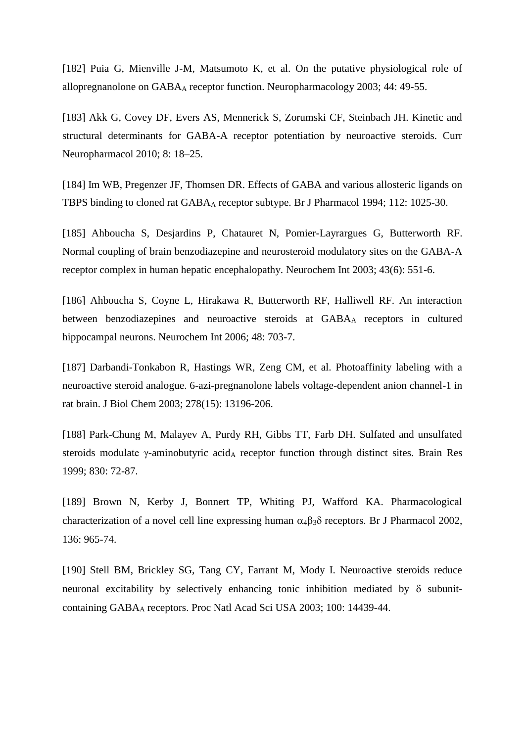[182] Puia G, Mienville J-M, Matsumoto K, et al. On the putative physiological role of allopregnanolone on GABA<sup>A</sup> receptor function. Neuropharmacology 2003; 44: 49-55.

[183] Akk G, Covey DF, Evers AS, Mennerick S, Zorumski CF, Steinbach JH. Kinetic and structural determinants for GABA-A receptor potentiation by neuroactive steroids. Curr Neuropharmacol 2010; 8: 18–25.

[184] Im WB, Pregenzer JF, Thomsen DR. Effects of GABA and various allosteric ligands on TBPS binding to cloned rat GABA<sup>A</sup> receptor subtype. Br J Pharmacol 1994; 112: 1025-30.

[185] [Ahboucha S,](http://www.ncbi.nlm.nih.gov/pubmed/?term=Ahboucha%20S%5BAuthor%5D&cauthor=true&cauthor_uid=12820983) [Desjardins P,](http://www.ncbi.nlm.nih.gov/pubmed/?term=Desjardins%20P%5BAuthor%5D&cauthor=true&cauthor_uid=12820983) [Chatauret N,](http://www.ncbi.nlm.nih.gov/pubmed/?term=Chatauret%20N%5BAuthor%5D&cauthor=true&cauthor_uid=12820983) [Pomier-Layrargues G,](http://www.ncbi.nlm.nih.gov/pubmed/?term=Pomier-Layrargues%20G%5BAuthor%5D&cauthor=true&cauthor_uid=12820983) [Butterworth RF.](http://www.ncbi.nlm.nih.gov/pubmed/?term=Butterworth%20RF%5BAuthor%5D&cauthor=true&cauthor_uid=12820983) Normal coupling of brain benzodiazepine and neurosteroid modulatory sites on the GABA-A receptor complex in human hepatic encephalopathy. [Neurochem Int](http://www.ncbi.nlm.nih.gov/pubmed/12820983) 2003; 43(6): 551-6.

[186] Ahboucha S, Coyne L, Hirakawa R, Butterworth RF, Halliwell RF. An interaction between benzodiazepines and neuroactive steroids at GABA<sup>A</sup> receptors in cultured hippocampal neurons. Neurochem Int 2006; 48: 703-7.

[187] [Darbandi-Tonkabon R,](http://www.ncbi.nlm.nih.gov/pubmed/?term=Darbandi-Tonkabon%20R%5BAuthor%5D&cauthor=true&cauthor_uid=12560326) [Hastings WR,](http://www.ncbi.nlm.nih.gov/pubmed/?term=Hastings%20WR%5BAuthor%5D&cauthor=true&cauthor_uid=12560326) [Zeng CM,](http://www.ncbi.nlm.nih.gov/pubmed/?term=Zeng%20CM%5BAuthor%5D&cauthor=true&cauthor_uid=12560326) et al. Photoaffinity labeling with a neuroactive steroid analogue. 6-azi-pregnanolone labels voltage-dependent anion channel-1 in rat brain. [J Biol Chem](http://www.ncbi.nlm.nih.gov/pubmed/12560326) 2003; 278(15): 13196-206.

[188] Park-Chung M, Malayev A, Purdy RH, Gibbs TT, Farb DH. Sulfated and unsulfated steroids modulate γ-aminobutyric acid<sub>A</sub> receptor function through distinct sites. Brain Res 1999; 830: 72-87.

[189] Brown N, Kerby J, Bonnert TP, Whiting PJ, Wafford KA. Pharmacological characterization of a novel cell line expressing human  $\alpha_4\beta_3\delta$  receptors. Br J Pharmacol 2002, 136: 965-74.

[190] Stell BM, Brickley SG, Tang CY, Farrant M, Mody I. Neuroactive steroids reduce neuronal excitability by selectively enhancing tonic inhibition mediated by  $\delta$  subunitcontaining GABA<sup>A</sup> receptors. Proc Natl Acad Sci USA 2003; 100: 14439-44.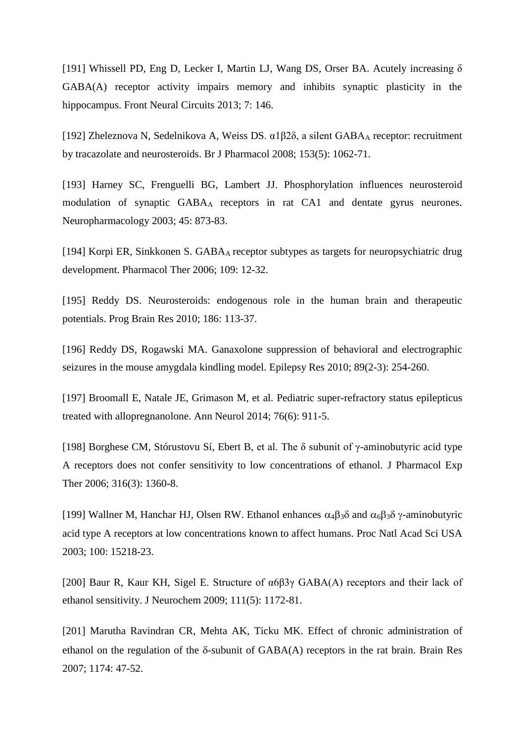[191] [Whissell PD,](http://www.ncbi.nlm.nih.gov/pubmed/?term=Whissell%20PD%5BAuthor%5D&cauthor=true&cauthor_uid=24062648) [Eng D,](http://www.ncbi.nlm.nih.gov/pubmed/?term=Eng%20D%5BAuthor%5D&cauthor=true&cauthor_uid=24062648) [Lecker I,](http://www.ncbi.nlm.nih.gov/pubmed/?term=Lecker%20I%5BAuthor%5D&cauthor=true&cauthor_uid=24062648) [Martin LJ,](http://www.ncbi.nlm.nih.gov/pubmed/?term=Martin%20LJ%5BAuthor%5D&cauthor=true&cauthor_uid=24062648) [Wang DS,](http://www.ncbi.nlm.nih.gov/pubmed/?term=Wang%20DS%5BAuthor%5D&cauthor=true&cauthor_uid=24062648) [Orser BA.](http://www.ncbi.nlm.nih.gov/pubmed/?term=Orser%20BA%5BAuthor%5D&cauthor=true&cauthor_uid=24062648) Acutely increasing  $\delta$ GABA(A) receptor activity impairs memory and inhibits synaptic plasticity in the hippocampus. [Front Neural Circuits](http://www.ncbi.nlm.nih.gov/pubmed/24062648) 2013; 7: 146.

[192] [Zheleznova N,](http://www.ncbi.nlm.nih.gov/pubmed/?term=Zheleznova%20N%5BAuthor%5D&cauthor=true&cauthor_uid=18204487) [Sedelnikova A,](http://www.ncbi.nlm.nih.gov/pubmed/?term=Sedelnikova%20A%5BAuthor%5D&cauthor=true&cauthor_uid=18204487) [Weiss DS.](http://www.ncbi.nlm.nih.gov/pubmed/?term=Weiss%20DS%5BAuthor%5D&cauthor=true&cauthor_uid=18204487) α1β2δ, a silent GABA<sup>A</sup> receptor: recruitment by tracazolate and neurosteroids. [Br J Pharmacol](http://www.ncbi.nlm.nih.gov/pubmed/18204487) 2008; 153(5): 1062-71.

[193] Harney SC, Frenguelli BG, Lambert JJ. Phosphorylation influences neurosteroid modulation of synaptic GABA<sup>A</sup> receptors in rat CA1 and dentate gyrus neurones. Neuropharmacology 2003; 45: 873-83.

[194] Korpi ER, Sinkkonen S. GABAA receptor subtypes as targets for neuropsychiatric drug development. Pharmacol Ther 2006; 109: 12-32.

[195] [Reddy DS.](http://www.ncbi.nlm.nih.gov/pubmed/?term=Reddy%20DS%5BAuthor%5D&cauthor=true&cauthor_uid=21094889) Neurosteroids: endogenous role in the human brain and therapeutic potentials. [Prog Brain Res](http://www.ncbi.nlm.nih.gov/pubmed/21094889) 2010; 186: 113-37.

[196] [Reddy DS,](http://www.ncbi.nlm.nih.gov/pubmed/?term=Reddy%20DS%5BAuthor%5D&cauthor=true&cauthor_uid=20172694) [Rogawski MA.](http://www.ncbi.nlm.nih.gov/pubmed/?term=Rogawski%20MA%5BAuthor%5D&cauthor=true&cauthor_uid=20172694) Ganaxolone suppression of behavioral and electrographic seizures in the mouse amygdala kindling model. [Epilepsy Res](http://www.ncbi.nlm.nih.gov/pubmed/20172694) 2010; 89(2-3): 254-260.

[197] [Broomall E,](http://www.ncbi.nlm.nih.gov/pubmed/?term=Broomall%20E%5BAuthor%5D&cauthor=true&cauthor_uid=25363147) [Natale JE,](http://www.ncbi.nlm.nih.gov/pubmed/?term=Natale%20JE%5BAuthor%5D&cauthor=true&cauthor_uid=25363147) [Grimason M,](http://www.ncbi.nlm.nih.gov/pubmed/?term=Grimason%20M%5BAuthor%5D&cauthor=true&cauthor_uid=25363147) et al. Pediatric super-refractory status epilepticus treated with allopregnanolone. [Ann Neurol](http://www.ncbi.nlm.nih.gov/pubmed/25363147) 2014; 76(6): 911-5.

[198] [Borghese CM,](http://www.ncbi.nlm.nih.gov/pubmed/?term=Borghese%20CM%5BAuthor%5D&cauthor=true&cauthor_uid=16272217) [Stórustovu Sí,](http://www.ncbi.nlm.nih.gov/pubmed/?term=St%C3%B3rustovu%20S%C3%AD%5BAuthor%5D&cauthor=true&cauthor_uid=16272217) [Ebert B,](http://www.ncbi.nlm.nih.gov/pubmed/?term=Ebert%20B%5BAuthor%5D&cauthor=true&cauthor_uid=16272217) et al. The δ subunit of γ-aminobutyric acid type A receptors does not confer sensitivity to low concentrations of ethanol. [J Pharmacol Exp](http://www.ncbi.nlm.nih.gov/pubmed/16272217)  [Ther](http://www.ncbi.nlm.nih.gov/pubmed/16272217) 2006; 316(3): 1360-8.

[199] Wallner M, Hanchar HJ, Olsen RW. Ethanol enhances  $\alpha_4\beta_3\delta$  and  $\alpha_6\beta_3\delta$   $\gamma$ -aminobutyric acid type A receptors at low concentrations known to affect humans. Proc Natl Acad Sci USA 2003; 100: 15218-23.

[200] [Baur R,](http://www.ncbi.nlm.nih.gov/pubmed/?term=Baur%20R%5BAuthor%5D&cauthor=true&cauthor_uid=19765192) [Kaur KH,](http://www.ncbi.nlm.nih.gov/pubmed/?term=Kaur%20KH%5BAuthor%5D&cauthor=true&cauthor_uid=19765192) [Sigel E.](http://www.ncbi.nlm.nih.gov/pubmed/?term=Sigel%20E%5BAuthor%5D&cauthor=true&cauthor_uid=19765192) Structure of α6β3γ GABA(A) receptors and their lack of ethanol sensitivity. [J Neurochem](http://www.ncbi.nlm.nih.gov/pubmed/19765192) 2009; 111(5): 1172-81.

[201] [Marutha Ravindran CR,](http://www.ncbi.nlm.nih.gov/pubmed/?term=Marutha%20Ravindran%20CR%5BAuthor%5D&cauthor=true&cauthor_uid=17854781) [Mehta AK,](http://www.ncbi.nlm.nih.gov/pubmed/?term=Mehta%20AK%5BAuthor%5D&cauthor=true&cauthor_uid=17854781) [Ticku MK.](http://www.ncbi.nlm.nih.gov/pubmed/?term=Ticku%20MK%5BAuthor%5D&cauthor=true&cauthor_uid=17854781) Effect of chronic administration of ethanol on the regulation of the  $\delta$ -subunit of GABA(A) receptors in the rat brain. [Brain Res](http://www.ncbi.nlm.nih.gov/pubmed/17854781) 2007; 1174: 47-52.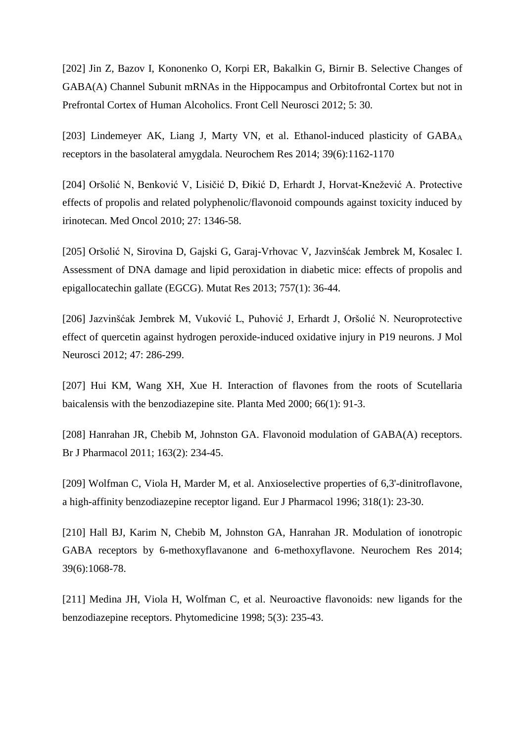[202] [Jin Z,](http://www.ncbi.nlm.nih.gov/pubmed/?term=Jin%20Z%5BAuthor%5D&cauthor=true&cauthor_uid=22319468) [Bazov I,](http://www.ncbi.nlm.nih.gov/pubmed/?term=Bazov%20I%5BAuthor%5D&cauthor=true&cauthor_uid=22319468) [Kononenko O,](http://www.ncbi.nlm.nih.gov/pubmed/?term=Kononenko%20O%5BAuthor%5D&cauthor=true&cauthor_uid=22319468) [Korpi ER,](http://www.ncbi.nlm.nih.gov/pubmed/?term=Korpi%20ER%5BAuthor%5D&cauthor=true&cauthor_uid=22319468) [Bakalkin G,](http://www.ncbi.nlm.nih.gov/pubmed/?term=Bakalkin%20G%5BAuthor%5D&cauthor=true&cauthor_uid=22319468) [Birnir B.](http://www.ncbi.nlm.nih.gov/pubmed/?term=Birnir%20B%5BAuthor%5D&cauthor=true&cauthor_uid=22319468) Selective Changes of GABA(A) Channel Subunit mRNAs in the Hippocampus and Orbitofrontal Cortex but not in Prefrontal Cortex of Human Alcoholics. [Front Cell Neurosci](http://www.ncbi.nlm.nih.gov/pubmed/22319468) 2012; 5: 30.

[203] [Lindemeyer AK,](http://www.ncbi.nlm.nih.gov/pubmed/?term=Lindemeyer%20AK%5BAuthor%5D&cauthor=true&cauthor_uid=24710789) [Liang J,](http://www.ncbi.nlm.nih.gov/pubmed/?term=Liang%20J%5BAuthor%5D&cauthor=true&cauthor_uid=24710789) [Marty VN,](http://www.ncbi.nlm.nih.gov/pubmed/?term=Marty%20VN%5BAuthor%5D&cauthor=true&cauthor_uid=24710789) et al. Ethanol-induced plasticity of GABA<sub>A</sub> receptors in the basolateral amygdala. [Neurochem Res](http://www.ncbi.nlm.nih.gov/pubmed/24710789) 2014; 39(6):1162-1170

[204] Oršolić N, Benković V, Lisičić D, Đikić D, Erhardt J, Horvat-Knežević A. Protective effects of propolis and related polyphenolic/flavonoid compounds against toxicity induced by irinotecan. Med Oncol 2010; 27: 1346-58.

[205] [Oršolić N,](http://www.ncbi.nlm.nih.gov/pubmed/?term=Or%C5%A1oli%C4%87%20N%5BAuthor%5D&cauthor=true&cauthor_uid=23859956) [Sirovina D,](http://www.ncbi.nlm.nih.gov/pubmed/?term=Sirovina%20D%5BAuthor%5D&cauthor=true&cauthor_uid=23859956) [Gajski G,](http://www.ncbi.nlm.nih.gov/pubmed/?term=Gajski%20G%5BAuthor%5D&cauthor=true&cauthor_uid=23859956) [Garaj-Vrhovac V,](http://www.ncbi.nlm.nih.gov/pubmed/?term=Garaj-Vrhovac%20V%5BAuthor%5D&cauthor=true&cauthor_uid=23859956) [Jazvinšćak Jembrek M,](http://www.ncbi.nlm.nih.gov/pubmed/?term=Jazvin%C5%A1%C4%87ak%20Jembrek%20M%5BAuthor%5D&cauthor=true&cauthor_uid=23859956) [Kosalec I.](http://www.ncbi.nlm.nih.gov/pubmed/?term=Kosalec%20I%5BAuthor%5D&cauthor=true&cauthor_uid=23859956) Assessment of DNA damage and lipid peroxidation in diabetic mice: effects of propolis and epigallocatechin gallate (EGCG). [Mutat Res](http://www.ncbi.nlm.nih.gov/pubmed/23859956) 2013; 757(1): 36-44.

[206] Jazvinšćak Jembrek M, Vuković L, Puhović J, Erhardt J, Oršolić N. Neuroprotective effect of quercetin against hydrogen peroxide-induced oxidative injury in P19 neurons. J Mol Neurosci 2012; 47: 286-299.

[207] [Hui KM,](http://www.ncbi.nlm.nih.gov/pubmed/?term=Hui%20KM%5BAuthor%5D&cauthor=true&cauthor_uid=10705749) [Wang XH,](http://www.ncbi.nlm.nih.gov/pubmed/?term=Wang%20XH%5BAuthor%5D&cauthor=true&cauthor_uid=10705749) [Xue H.](http://www.ncbi.nlm.nih.gov/pubmed/?term=Xue%20H%5BAuthor%5D&cauthor=true&cauthor_uid=10705749) Interaction of flavones from the roots of Scutellaria baicalensis with the benzodiazepine site. [Planta Med](http://www.ncbi.nlm.nih.gov/pubmed/10705749) 2000; 66(1): 91-3.

[208] [Hanrahan JR,](http://www.ncbi.nlm.nih.gov/pubmed/?term=Hanrahan%20JR%5BAuthor%5D&cauthor=true&cauthor_uid=21244373) [Chebib M,](http://www.ncbi.nlm.nih.gov/pubmed/?term=Chebib%20M%5BAuthor%5D&cauthor=true&cauthor_uid=21244373) [Johnston GA.](http://www.ncbi.nlm.nih.gov/pubmed/?term=Johnston%20GA%5BAuthor%5D&cauthor=true&cauthor_uid=21244373) Flavonoid modulation of GABA(A) receptors. [Br J Pharmacol](http://www.ncbi.nlm.nih.gov/pubmed/21244373) 2011; 163(2): 234-45.

[209] [Wolfman C,](http://www.ncbi.nlm.nih.gov/pubmed/?term=Wolfman%20C%5BAuthor%5D&cauthor=true&cauthor_uid=9007508) [Viola H,](http://www.ncbi.nlm.nih.gov/pubmed/?term=Viola%20H%5BAuthor%5D&cauthor=true&cauthor_uid=9007508) [Marder M,](http://www.ncbi.nlm.nih.gov/pubmed/?term=Marder%20M%5BAuthor%5D&cauthor=true&cauthor_uid=9007508) et al. Anxioselective properties of 6,3'-dinitroflavone, a high-affinity benzodiazepine receptor ligand. [Eur J Pharmacol](http://www.ncbi.nlm.nih.gov/pubmed/9007508) 1996; 318(1): 23-30.

[210] [Hall BJ,](http://www.ncbi.nlm.nih.gov/pubmed/?term=Hall%20BJ%5BAuthor%5D&cauthor=true&cauthor_uid=24078264) [Karim N,](http://www.ncbi.nlm.nih.gov/pubmed/?term=Karim%20N%5BAuthor%5D&cauthor=true&cauthor_uid=24078264) [Chebib M,](http://www.ncbi.nlm.nih.gov/pubmed/?term=Chebib%20M%5BAuthor%5D&cauthor=true&cauthor_uid=24078264) [Johnston GA,](http://www.ncbi.nlm.nih.gov/pubmed/?term=Johnston%20GA%5BAuthor%5D&cauthor=true&cauthor_uid=24078264) [Hanrahan JR.](http://www.ncbi.nlm.nih.gov/pubmed/?term=Hanrahan%20JR%5BAuthor%5D&cauthor=true&cauthor_uid=24078264) Modulation of ionotropic GABA receptors by 6-methoxyflavanone and 6-methoxyflavone. [Neurochem Res](http://www.ncbi.nlm.nih.gov/pubmed/24078264) 2014; 39(6):1068-78.

[211] [Medina JH,](http://www.ncbi.nlm.nih.gov/pubmed/?term=Medina%20JH%5BAuthor%5D&cauthor=true&cauthor_uid=23195847) [Viola H,](http://www.ncbi.nlm.nih.gov/pubmed/?term=Viola%20H%5BAuthor%5D&cauthor=true&cauthor_uid=23195847) [Wolfman C,](http://www.ncbi.nlm.nih.gov/pubmed/?term=Wolfman%20C%5BAuthor%5D&cauthor=true&cauthor_uid=23195847) et al. Neuroactive flavonoids: new ligands for the benzodiazepine receptors. [Phytomedicine](http://www.ncbi.nlm.nih.gov/pubmed/23195847) 1998; 5(3): 235-43.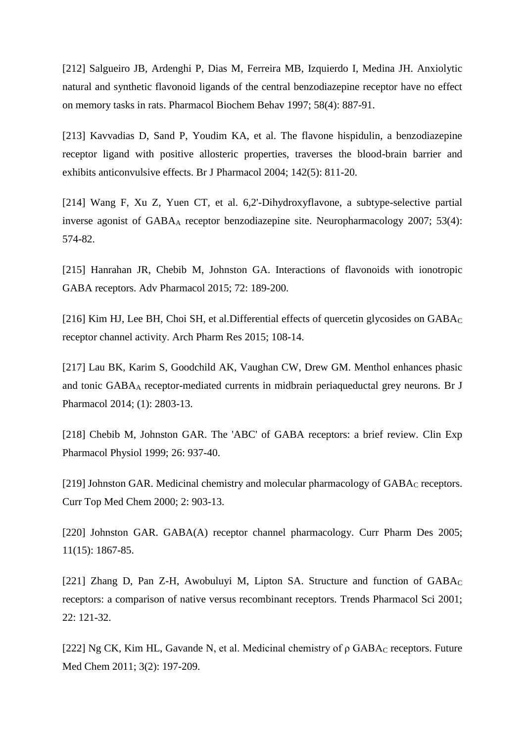[212] [Salgueiro JB,](http://www.ncbi.nlm.nih.gov/pubmed/?term=Salgueiro%20JB%5BAuthor%5D&cauthor=true&cauthor_uid=9408191) [Ardenghi P,](http://www.ncbi.nlm.nih.gov/pubmed/?term=Ardenghi%20P%5BAuthor%5D&cauthor=true&cauthor_uid=9408191) [Dias M,](http://www.ncbi.nlm.nih.gov/pubmed/?term=Dias%20M%5BAuthor%5D&cauthor=true&cauthor_uid=9408191) [Ferreira MB,](http://www.ncbi.nlm.nih.gov/pubmed/?term=Ferreira%20MB%5BAuthor%5D&cauthor=true&cauthor_uid=9408191) [Izquierdo I,](http://www.ncbi.nlm.nih.gov/pubmed/?term=Izquierdo%20I%5BAuthor%5D&cauthor=true&cauthor_uid=9408191) [Medina JH.](http://www.ncbi.nlm.nih.gov/pubmed/?term=Medina%20JH%5BAuthor%5D&cauthor=true&cauthor_uid=9408191) Anxiolytic natural and synthetic flavonoid ligands of the central benzodiazepine receptor have no effect on memory tasks in rats. [Pharmacol Biochem Behav](http://www.ncbi.nlm.nih.gov/pubmed/9408191) 1997; 58(4): 887-91.

[213] [Kavvadias D,](http://www.ncbi.nlm.nih.gov/pubmed/?term=Kavvadias%20D%5BAuthor%5D&cauthor=true&cauthor_uid=15231642) [Sand P,](http://www.ncbi.nlm.nih.gov/pubmed/?term=Sand%20P%5BAuthor%5D&cauthor=true&cauthor_uid=15231642) [Youdim KA,](http://www.ncbi.nlm.nih.gov/pubmed/?term=Youdim%20KA%5BAuthor%5D&cauthor=true&cauthor_uid=15231642) et al. The flavone hispidulin, a benzodiazepine receptor ligand with positive allosteric properties, traverses the blood-brain barrier and exhibits anticonvulsive effects. [Br J Pharmacol](http://www.ncbi.nlm.nih.gov/pubmed/15231642) 2004; 142(5): 811-20.

[214] [Wang F,](http://www.ncbi.nlm.nih.gov/pubmed/?term=Wang%20F%5BAuthor%5D&cauthor=true&cauthor_uid=17681556) [Xu Z,](http://www.ncbi.nlm.nih.gov/pubmed/?term=Xu%20Z%5BAuthor%5D&cauthor=true&cauthor_uid=17681556) [Yuen CT,](http://www.ncbi.nlm.nih.gov/pubmed/?term=Yuen%20CT%5BAuthor%5D&cauthor=true&cauthor_uid=17681556) et al. 6,2'-Dihydroxyflavone, a subtype-selective partial inverse agonist of GABA<sup>A</sup> receptor benzodiazepine site. [Neuropharmacology](http://www.ncbi.nlm.nih.gov/pubmed/17681556) 2007; 53(4): 574-82.

[215] [Hanrahan JR,](http://www.ncbi.nlm.nih.gov/pubmed/?term=Hanrahan%20JR%5BAuthor%5D&cauthor=true&cauthor_uid=25600371) [Chebib M,](http://www.ncbi.nlm.nih.gov/pubmed/?term=Chebib%20M%5BAuthor%5D&cauthor=true&cauthor_uid=25600371) [Johnston GA.](http://www.ncbi.nlm.nih.gov/pubmed/?term=Johnston%20GA%5BAuthor%5D&cauthor=true&cauthor_uid=25600371) Interactions of flavonoids with ionotropic GABA receptors. [Adv Pharmacol](http://www.ncbi.nlm.nih.gov/pubmed/25600371) 2015; 72: 189-200.

[216] [Kim HJ,](http://www.ncbi.nlm.nih.gov/pubmed/?term=Kim%20HJ%5BAuthor%5D&cauthor=true&cauthor_uid=24895146) [Lee BH,](http://www.ncbi.nlm.nih.gov/pubmed/?term=Lee%20BH%5BAuthor%5D&cauthor=true&cauthor_uid=24895146) [Choi SH,](http://www.ncbi.nlm.nih.gov/pubmed/?term=Choi%20SH%5BAuthor%5D&cauthor=true&cauthor_uid=24895146) et al. Differential effects of quercetin glycosides on  $GABA_C$ receptor channel activity. [Arch Pharm Res](http://www.ncbi.nlm.nih.gov/pubmed/24895146) 2015; 108-14.

[217] [Lau BK,](http://www.ncbi.nlm.nih.gov/pubmed/?term=Lau%20BK%5BAuthor%5D&cauthor=true&cauthor_uid=24460753) [Karim S,](http://www.ncbi.nlm.nih.gov/pubmed/?term=Karim%20S%5BAuthor%5D&cauthor=true&cauthor_uid=24460753) [Goodchild AK,](http://www.ncbi.nlm.nih.gov/pubmed/?term=Goodchild%20AK%5BAuthor%5D&cauthor=true&cauthor_uid=24460753) [Vaughan CW,](http://www.ncbi.nlm.nih.gov/pubmed/?term=Vaughan%20CW%5BAuthor%5D&cauthor=true&cauthor_uid=24460753) [Drew GM.](http://www.ncbi.nlm.nih.gov/pubmed/?term=Drew%20GM%5BAuthor%5D&cauthor=true&cauthor_uid=24460753) Menthol enhances phasic and tonic GABA<sup>A</sup> receptor-mediated currents in midbrain periaqueductal grey neurons. [Br J](http://www.ncbi.nlm.nih.gov/pubmed/24460753)  [Pharmacol](http://www.ncbi.nlm.nih.gov/pubmed/24460753) 2014; (1): 2803-13.

[218] Chebib M, Johnston GAR. The 'ABC' of GABA receptors: a brief review. Clin Exp Pharmacol Physiol 1999; 26: 937-40.

[219] Johnston GAR. Medicinal chemistry and molecular pharmacology of GABA<sub>C</sub> receptors. Curr Top Med Chem 2000; 2: 903-13.

[220] [Johnston GAR](http://www.ncbi.nlm.nih.gov/pubmed/?term=Johnston%20GA%5BAuthor%5D&cauthor=true&cauthor_uid=15974965). GABA(A) receptor channel pharmacology. [Curr Pharm Des](http://www.ncbi.nlm.nih.gov/pubmed/15974965) 2005; 11(15): 1867-85.

[221] Zhang D, Pan Z-H, Awobuluyi M, Lipton SA. Structure and function of GABA<sub>C</sub> receptors: a comparison of native versus recombinant receptors. Trends Pharmacol Sci 2001; 22: 121-32.

[222] [Ng CK,](http://www.ncbi.nlm.nih.gov/pubmed/?term=Ng%20CK%5BAuthor%5D&cauthor=true&cauthor_uid=21428815) [Kim HL,](http://www.ncbi.nlm.nih.gov/pubmed/?term=Kim%20HL%5BAuthor%5D&cauthor=true&cauthor_uid=21428815) [Gavande N,](http://www.ncbi.nlm.nih.gov/pubmed/?term=Gavande%20N%5BAuthor%5D&cauthor=true&cauthor_uid=21428815) et al. Medicinal chemistry of  $\rho$  GABA<sub>C</sub> receptors. Future [Med Chem](http://www.ncbi.nlm.nih.gov/pubmed/21428815) 2011; 3(2): 197-209.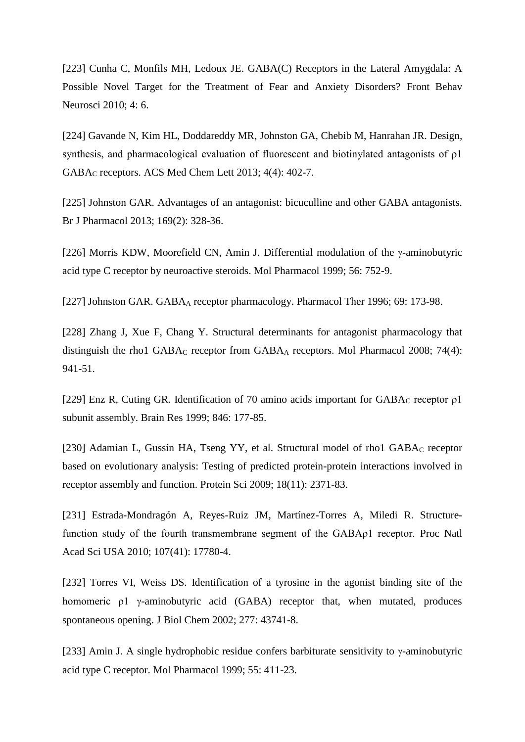[223] [Cunha C,](http://www.ncbi.nlm.nih.gov/pubmed/?term=Cunha%20C%5BAuthor%5D&cauthor=true&cauthor_uid=20300199) [Monfils MH,](http://www.ncbi.nlm.nih.gov/pubmed/?term=Monfils%20MH%5BAuthor%5D&cauthor=true&cauthor_uid=20300199) [Ledoux JE.](http://www.ncbi.nlm.nih.gov/pubmed/?term=Ledoux%20JE%5BAuthor%5D&cauthor=true&cauthor_uid=20300199) GABA(C) Receptors in the Lateral Amygdala: A Possible Novel Target for the Treatment of Fear and Anxiety Disorders? [Front Behav](http://www.ncbi.nlm.nih.gov/pubmed/20300199)  [Neurosci](http://www.ncbi.nlm.nih.gov/pubmed/20300199) 2010; 4: 6.

[224] [Gavande N,](http://www.ncbi.nlm.nih.gov/pubmed/?term=Gavande%20N%5BAuthor%5D&cauthor=true&cauthor_uid=24900684) [Kim HL,](http://www.ncbi.nlm.nih.gov/pubmed/?term=Kim%20HL%5BAuthor%5D&cauthor=true&cauthor_uid=24900684) [Doddareddy MR,](http://www.ncbi.nlm.nih.gov/pubmed/?term=Doddareddy%20MR%5BAuthor%5D&cauthor=true&cauthor_uid=24900684) [Johnston GA,](http://www.ncbi.nlm.nih.gov/pubmed/?term=Johnston%20GA%5BAuthor%5D&cauthor=true&cauthor_uid=24900684) [Chebib M,](http://www.ncbi.nlm.nih.gov/pubmed/?term=Chebib%20M%5BAuthor%5D&cauthor=true&cauthor_uid=24900684) [Hanrahan JR.](http://www.ncbi.nlm.nih.gov/pubmed/?term=Hanrahan%20JR%5BAuthor%5D&cauthor=true&cauthor_uid=24900684) Design, synthesis, and pharmacological evaluation of fluorescent and biotinylated antagonists of ρ1 GABA<sup>C</sup> receptors. [ACS Med Chem Lett](http://www.ncbi.nlm.nih.gov/pubmed/24900684) 2013; 4(4): 402-7.

[225] [Johnston GAR](http://www.ncbi.nlm.nih.gov/pubmed/?term=Johnston%20GA%5BAuthor%5D&cauthor=true&cauthor_uid=23425285). Advantages of an antagonist: bicuculline and other GABA antagonists. [Br J Pharmacol](http://www.ncbi.nlm.nih.gov/pubmed/23425285) 2013; 169(2): 328-36.

[226] Morris KDW, Moorefield CN, Amin J. Differential modulation of the  $\gamma$ -aminobutyric acid type C receptor by neuroactive steroids. Mol Pharmacol 1999; 56: 752-9.

[227] Johnston GAR. GABA<sub>A</sub> receptor pharmacology. Pharmacol Ther 1996; 69: 173-98.

[228] Zhang J, Xue F, Chang Y. Structural determinants for antagonist pharmacology that [distinguish the rho1 GABA](http://www.ncbi.nlm.nih.gov/pubmed/18599601)<sub>C</sub> receptor from GABA<sub>A</sub> receptors. Mol Pharmacol 2008; 74(4): 941-51.

[229] Enz R, Cuting GR. Identification of 70 amino acids important for  $GABA_C$  receptor  $\rho$ 1 subunit assembly. Brain Res 1999; 846: 177-85.

[230] [Adamian L,](http://www.ncbi.nlm.nih.gov/pubmed/?term=Adamian%20L%5BAuthor%5D&cauthor=true&cauthor_uid=19768800) [Gussin HA,](http://www.ncbi.nlm.nih.gov/pubmed/?term=Gussin%20HA%5BAuthor%5D&cauthor=true&cauthor_uid=19768800) [Tseng YY,](http://www.ncbi.nlm.nih.gov/pubmed/?term=Tseng%20YY%5BAuthor%5D&cauthor=true&cauthor_uid=19768800) et al. Structural model of rho1 GABA<sub>C</sub> receptor based on evolutionary analysis: Testing of predicted protein-protein interactions involved in receptor assembly and function. [Protein Sci](http://www.ncbi.nlm.nih.gov/pubmed/19768800) 2009; 18(11): 2371-83.

[231] [Estrada-Mondragón A,](http://www.ncbi.nlm.nih.gov/pubmed/?term=Estrada-Mondrag%C3%B3n%20A%5BAuthor%5D&cauthor=true&cauthor_uid=20876117) [Reyes-Ruiz JM,](http://www.ncbi.nlm.nih.gov/pubmed/?term=Reyes-Ruiz%20JM%5BAuthor%5D&cauthor=true&cauthor_uid=20876117) [Martínez-Torres A,](http://www.ncbi.nlm.nih.gov/pubmed/?term=Mart%C3%ADnez-Torres%20A%5BAuthor%5D&cauthor=true&cauthor_uid=20876117) [Miledi R.](http://www.ncbi.nlm.nih.gov/pubmed/?term=Miledi%20R%5BAuthor%5D&cauthor=true&cauthor_uid=20876117) Structurefunction study of the fourth transmembrane segment of the GABAρ1 receptor. [Proc Natl](http://www.ncbi.nlm.nih.gov/pubmed/20876117)  [Acad Sci USA](http://www.ncbi.nlm.nih.gov/pubmed/20876117) 2010; 107(41): 17780-4.

[232] Torres VI, Weiss DS. Identification of a tyrosine in the agonist binding site of the homomeric  $\rho$ 1  $\gamma$ -aminobutyric acid (GABA) receptor that, when mutated, produces spontaneous opening. J Biol Chem 2002; 277: 43741-8.

[233] Amin J. A single hydrophobic residue confers barbiturate sensitivity to  $\gamma$ -aminobutyric acid type C receptor. Mol Pharmacol 1999; 55: 411-23.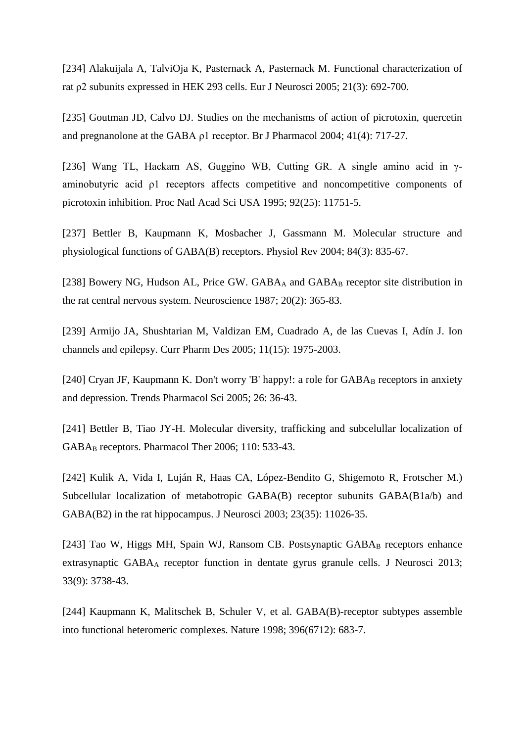[234] [Alakuijala A,](http://www.ncbi.nlm.nih.gov/pubmed/?term=Alakuijala%20A%5BAuthor%5D&cauthor=true&cauthor_uid=15733087) [TalviOja K,](http://www.ncbi.nlm.nih.gov/pubmed/?term=TalviOja%20K%5BAuthor%5D&cauthor=true&cauthor_uid=15733087) [Pasternack A,](http://www.ncbi.nlm.nih.gov/pubmed/?term=Pasternack%20A%5BAuthor%5D&cauthor=true&cauthor_uid=15733087) [Pasternack M.](http://www.ncbi.nlm.nih.gov/pubmed/?term=Pasternack%20M%5BAuthor%5D&cauthor=true&cauthor_uid=15733087) Functional characterization of rat ρ2 subunits expressed in HEK 293 cells. [Eur J Neurosci](http://www.ncbi.nlm.nih.gov/pubmed/15733087) 2005; 21(3): 692-700.

[235] [Goutman JD,](http://www.ncbi.nlm.nih.gov/pubmed/?term=Goutman%20JD%5BAuthor%5D&cauthor=true&cauthor_uid=14732759) [Calvo DJ.](http://www.ncbi.nlm.nih.gov/pubmed/?term=Calvo%20DJ%5BAuthor%5D&cauthor=true&cauthor_uid=14732759) Studies on the mechanisms of action of picrotoxin, quercetin and pregnanolone at the GABA ρ1 receptor. [Br J Pharmacol](http://www.ncbi.nlm.nih.gov/pubmed/14732759) 2004; 41(4): 717-27.

[236] Wang TL, Hackam AS, Guggino WB, Cutting GR. A single amino acid in γaminobutyric acid ρ1 receptors affects competitive and noncompetitive components of picrotoxin inhibition. Proc Natl Acad Sci USA 1995; 92(25): 11751-5.

[237] [Bettler B,](http://www.ncbi.nlm.nih.gov/pubmed/?term=Bettler%20B%5BAuthor%5D&cauthor=true&cauthor_uid=15269338) [Kaupmann K,](http://www.ncbi.nlm.nih.gov/pubmed/?term=Kaupmann%20K%5BAuthor%5D&cauthor=true&cauthor_uid=15269338) [Mosbacher J,](http://www.ncbi.nlm.nih.gov/pubmed/?term=Mosbacher%20J%5BAuthor%5D&cauthor=true&cauthor_uid=15269338) [Gassmann M.](http://www.ncbi.nlm.nih.gov/pubmed/?term=Gassmann%20M%5BAuthor%5D&cauthor=true&cauthor_uid=15269338) Molecular structure and physiological functions of GABA(B) receptors. [Physiol Rev](http://www.ncbi.nlm.nih.gov/pubmed/15269338) 2004; 84(3): 835-67.

[238] [Bowery NG,](http://www.ncbi.nlm.nih.gov/pubmed/?term=Bowery%20NG%5BAuthor%5D&cauthor=true&cauthor_uid=3035421) [Hudson AL,](http://www.ncbi.nlm.nih.gov/pubmed/?term=Hudson%20AL%5BAuthor%5D&cauthor=true&cauthor_uid=3035421) [Price GW.](http://www.ncbi.nlm.nih.gov/pubmed/?term=Price%20GW%5BAuthor%5D&cauthor=true&cauthor_uid=3035421) GABAA and GABAB receptor site distribution in the rat central nervous system. [Neuroscience](http://www.ncbi.nlm.nih.gov/pubmed/3035421) 1987; 20(2): 365-83.

[239] [Armijo JA,](http://www.ncbi.nlm.nih.gov/pubmed/?term=Armijo%20JA%5BAuthor%5D&cauthor=true&cauthor_uid=15974971) [Shushtarian M,](http://www.ncbi.nlm.nih.gov/pubmed/?term=Shushtarian%20M%5BAuthor%5D&cauthor=true&cauthor_uid=15974971) [Valdizan EM,](http://www.ncbi.nlm.nih.gov/pubmed/?term=Valdizan%20EM%5BAuthor%5D&cauthor=true&cauthor_uid=15974971) [Cuadrado A,](http://www.ncbi.nlm.nih.gov/pubmed/?term=Cuadrado%20A%5BAuthor%5D&cauthor=true&cauthor_uid=15974971) [de las Cuevas I,](http://www.ncbi.nlm.nih.gov/pubmed/?term=de%20las%20Cuevas%20I%5BAuthor%5D&cauthor=true&cauthor_uid=15974971) [Adín J.](http://www.ncbi.nlm.nih.gov/pubmed/?term=Ad%C3%ADn%20J%5BAuthor%5D&cauthor=true&cauthor_uid=15974971) Ion channels and epilepsy. [Curr Pharm Des](http://www.ncbi.nlm.nih.gov/pubmed/15974971) 2005; 11(15): 1975-2003.

[240] Cryan JF, Kaupmann K. Don't worry 'B' happy!: a role for  $GABA_B$  receptors in anxiety and depression. Trends Pharmacol Sci 2005; 26: 36-43.

[241] Bettler B, Tiao JY-H. Molecular diversity, trafficking and subcelullar localization of GABA<sup>B</sup> receptors. Pharmacol Ther 2006; 110: 533-43.

[242] [Kulik A,](http://www.ncbi.nlm.nih.gov/pubmed/?term=Kulik%20A%5BAuthor%5D&cauthor=true&cauthor_uid=14657159) [Vida I,](http://www.ncbi.nlm.nih.gov/pubmed/?term=Vida%20I%5BAuthor%5D&cauthor=true&cauthor_uid=14657159) [Luján R,](http://www.ncbi.nlm.nih.gov/pubmed/?term=Luj%C3%A1n%20R%5BAuthor%5D&cauthor=true&cauthor_uid=14657159) [Haas CA,](http://www.ncbi.nlm.nih.gov/pubmed/?term=Haas%20CA%5BAuthor%5D&cauthor=true&cauthor_uid=14657159) [López-Bendito G,](http://www.ncbi.nlm.nih.gov/pubmed/?term=L%C3%B3pez-Bendito%20G%5BAuthor%5D&cauthor=true&cauthor_uid=14657159) [Shigemoto R,](http://www.ncbi.nlm.nih.gov/pubmed/?term=Shigemoto%20R%5BAuthor%5D&cauthor=true&cauthor_uid=14657159) [Frotscher M.](http://www.ncbi.nlm.nih.gov/pubmed/?term=Frotscher%20M%5BAuthor%5D&cauthor=true&cauthor_uid=14657159)) Subcellular localization of metabotropic GABA(B) receptor subunits GABA(B1a/b) and GABA(B2) in the rat hippocampus. [J Neurosci](http://www.ncbi.nlm.nih.gov/pubmed/14657159) 2003; 23(35): 11026-35.

[243] [Tao W,](http://www.ncbi.nlm.nih.gov/pubmed/?term=Tao%20W%5BAuthor%5D&cauthor=true&cauthor_uid=23447585) [Higgs MH,](http://www.ncbi.nlm.nih.gov/pubmed/?term=Higgs%20MH%5BAuthor%5D&cauthor=true&cauthor_uid=23447585) [Spain WJ,](http://www.ncbi.nlm.nih.gov/pubmed/?term=Spain%20WJ%5BAuthor%5D&cauthor=true&cauthor_uid=23447585) [Ransom CB.](http://www.ncbi.nlm.nih.gov/pubmed/?term=Ransom%20CB%5BAuthor%5D&cauthor=true&cauthor_uid=23447585) Postsynaptic GABAB receptors enhance extrasynaptic GABA<sup>A</sup> receptor function in dentate gyrus granule cells. [J Neurosci](http://www.ncbi.nlm.nih.gov/pubmed/23447585) 2013; 33(9): 3738-43.

[244] [Kaupmann K,](http://www.ncbi.nlm.nih.gov/pubmed/?term=Kaupmann%20K%5BAuthor%5D&cauthor=true&cauthor_uid=9872317) [Malitschek B,](http://www.ncbi.nlm.nih.gov/pubmed/?term=Malitschek%20B%5BAuthor%5D&cauthor=true&cauthor_uid=9872317) [Schuler V,](http://www.ncbi.nlm.nih.gov/pubmed/?term=Schuler%20V%5BAuthor%5D&cauthor=true&cauthor_uid=9872317) et al. GABA(B)-receptor subtypes assemble into functional heteromeric complexes. [Nature](http://www.ncbi.nlm.nih.gov/pubmed/9872317) 1998; 396(6712): 683-7.